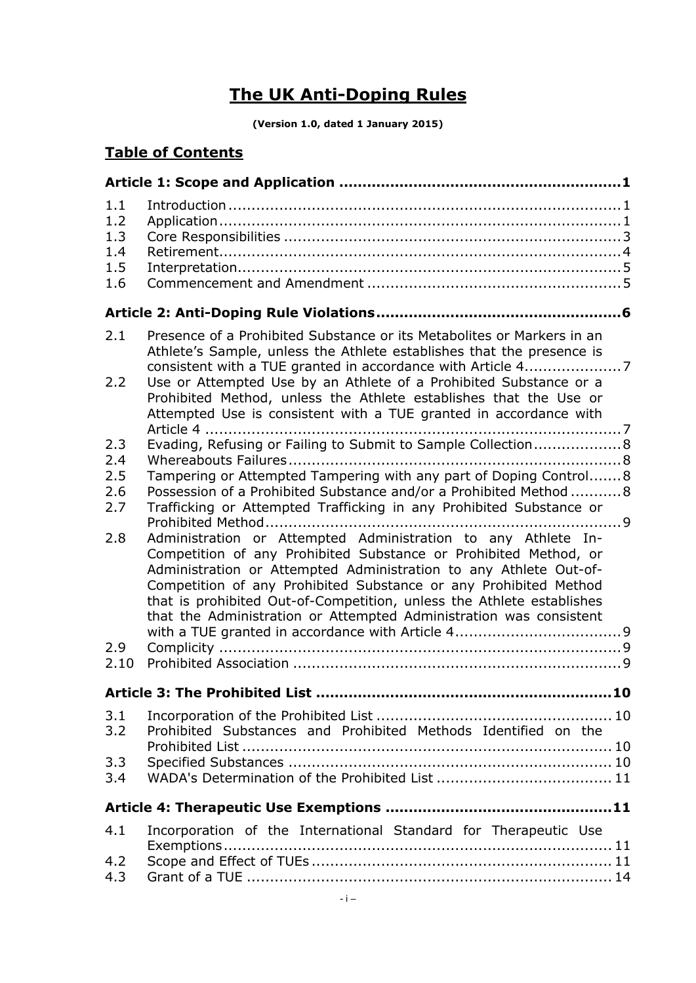# **The UK Anti-Doping Rules**

**(Version 1.0, dated 1 January 2015)**

# **Table of Contents**

| 1.1<br>1.2<br>1.3<br>1.4<br>1.5<br>1.6 |                                                                                                                                                                                                                                                                                                                                                                                                                           |  |  |  |  |
|----------------------------------------|---------------------------------------------------------------------------------------------------------------------------------------------------------------------------------------------------------------------------------------------------------------------------------------------------------------------------------------------------------------------------------------------------------------------------|--|--|--|--|
|                                        |                                                                                                                                                                                                                                                                                                                                                                                                                           |  |  |  |  |
| 2.1<br>2.2                             | Presence of a Prohibited Substance or its Metabolites or Markers in an<br>Athlete's Sample, unless the Athlete establishes that the presence is<br>Use or Attempted Use by an Athlete of a Prohibited Substance or a                                                                                                                                                                                                      |  |  |  |  |
|                                        | Prohibited Method, unless the Athlete establishes that the Use or<br>Attempted Use is consistent with a TUE granted in accordance with<br>Article 4                                                                                                                                                                                                                                                                       |  |  |  |  |
| 2.3                                    | Evading, Refusing or Failing to Submit to Sample Collection 8                                                                                                                                                                                                                                                                                                                                                             |  |  |  |  |
| 2.4<br>2.5                             |                                                                                                                                                                                                                                                                                                                                                                                                                           |  |  |  |  |
| 2.6                                    | Tampering or Attempted Tampering with any part of Doping Control 8<br>Possession of a Prohibited Substance and/or a Prohibited Method  8                                                                                                                                                                                                                                                                                  |  |  |  |  |
| 2.7                                    | Trafficking or Attempted Trafficking in any Prohibited Substance or                                                                                                                                                                                                                                                                                                                                                       |  |  |  |  |
|                                        |                                                                                                                                                                                                                                                                                                                                                                                                                           |  |  |  |  |
| 2.8                                    | Administration or Attempted Administration to any Athlete In-<br>Competition of any Prohibited Substance or Prohibited Method, or<br>Administration or Attempted Administration to any Athlete Out-of-<br>Competition of any Prohibited Substance or any Prohibited Method<br>that is prohibited Out-of-Competition, unless the Athlete establishes<br>that the Administration or Attempted Administration was consistent |  |  |  |  |
| 2.9<br>2.10                            |                                                                                                                                                                                                                                                                                                                                                                                                                           |  |  |  |  |
|                                        | <b>Article 3: The Prohibited List.</b><br>10                                                                                                                                                                                                                                                                                                                                                                              |  |  |  |  |
| 3.1<br>3.2                             | Prohibited Substances and Prohibited Methods Identified on the                                                                                                                                                                                                                                                                                                                                                            |  |  |  |  |
| 3.3<br>3.4                             |                                                                                                                                                                                                                                                                                                                                                                                                                           |  |  |  |  |
|                                        |                                                                                                                                                                                                                                                                                                                                                                                                                           |  |  |  |  |
| 4.1                                    | Incorporation of the International Standard for Therapeutic Use                                                                                                                                                                                                                                                                                                                                                           |  |  |  |  |
| 4.2<br>4.3                             |                                                                                                                                                                                                                                                                                                                                                                                                                           |  |  |  |  |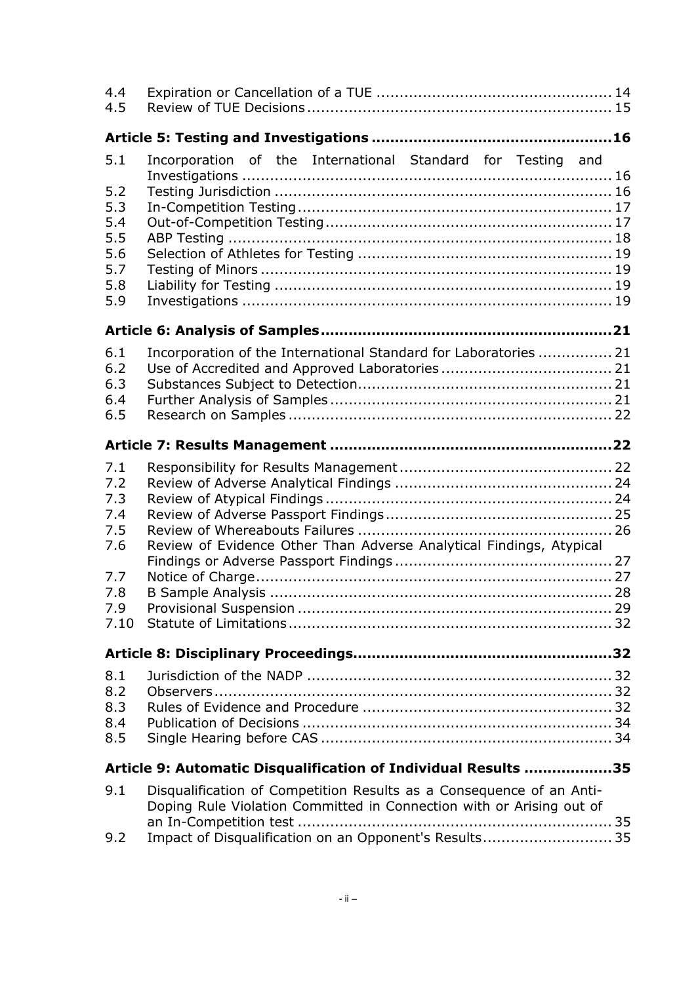| 4.4<br>4.5 |                                                                                                                                              |  |  |  |
|------------|----------------------------------------------------------------------------------------------------------------------------------------------|--|--|--|
|            |                                                                                                                                              |  |  |  |
| 5.1        | Incorporation of the International Standard for Testing and                                                                                  |  |  |  |
| 5.2        |                                                                                                                                              |  |  |  |
| 5.3        |                                                                                                                                              |  |  |  |
| 5.4        |                                                                                                                                              |  |  |  |
| 5.5        |                                                                                                                                              |  |  |  |
| 5.6        |                                                                                                                                              |  |  |  |
| 5.7        |                                                                                                                                              |  |  |  |
| 5.8        |                                                                                                                                              |  |  |  |
| 5.9        |                                                                                                                                              |  |  |  |
|            |                                                                                                                                              |  |  |  |
| 6.1        | Incorporation of the International Standard for Laboratories  21                                                                             |  |  |  |
| 6.2        |                                                                                                                                              |  |  |  |
| 6.3        |                                                                                                                                              |  |  |  |
| 6.4<br>6.5 |                                                                                                                                              |  |  |  |
|            |                                                                                                                                              |  |  |  |
|            |                                                                                                                                              |  |  |  |
| 7.1        |                                                                                                                                              |  |  |  |
| 7.2        |                                                                                                                                              |  |  |  |
| 7.3        |                                                                                                                                              |  |  |  |
| 7.4<br>7.5 |                                                                                                                                              |  |  |  |
| 7.6        | Review of Evidence Other Than Adverse Analytical Findings, Atypical                                                                          |  |  |  |
|            |                                                                                                                                              |  |  |  |
| 7.7        |                                                                                                                                              |  |  |  |
| 7.8        |                                                                                                                                              |  |  |  |
|            |                                                                                                                                              |  |  |  |
|            |                                                                                                                                              |  |  |  |
|            |                                                                                                                                              |  |  |  |
| 8.1        |                                                                                                                                              |  |  |  |
| 8.2        |                                                                                                                                              |  |  |  |
| 8.3        |                                                                                                                                              |  |  |  |
| 8.4        |                                                                                                                                              |  |  |  |
| 8.5        |                                                                                                                                              |  |  |  |
|            | Article 9: Automatic Disqualification of Individual Results 35                                                                               |  |  |  |
| 9.1        | Disqualification of Competition Results as a Consequence of an Anti-<br>Doping Rule Violation Committed in Connection with or Arising out of |  |  |  |
|            |                                                                                                                                              |  |  |  |
| 9.2        | Impact of Disqualification on an Opponent's Results 35                                                                                       |  |  |  |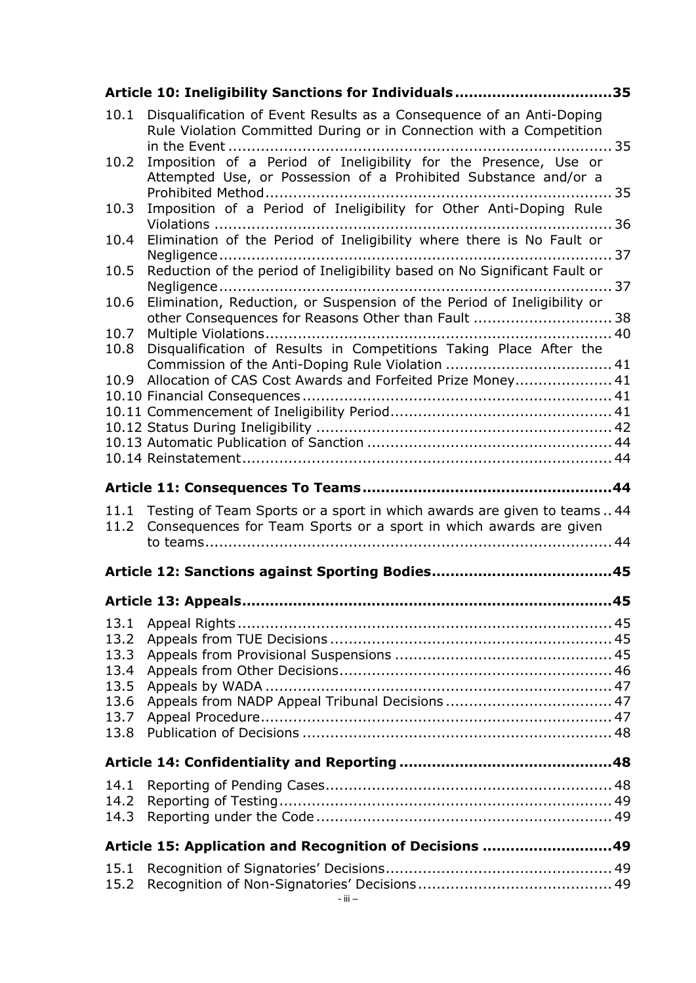|              | Article 10: Ineligibility Sanctions for Individuals35                                                                                       |  |
|--------------|---------------------------------------------------------------------------------------------------------------------------------------------|--|
| 10.1         | Disqualification of Event Results as a Consequence of an Anti-Doping<br>Rule Violation Committed During or in Connection with a Competition |  |
| 10.2         | Imposition of a Period of Ineligibility for the Presence, Use or<br>Attempted Use, or Possession of a Prohibited Substance and/or a         |  |
| 10.3         | Imposition of a Period of Ineligibility for Other Anti-Doping Rule                                                                          |  |
| 10.4         | Elimination of the Period of Ineligibility where there is No Fault or                                                                       |  |
| 10.5         | Reduction of the period of Ineligibility based on No Significant Fault or                                                                   |  |
| 10.6         | Elimination, Reduction, or Suspension of the Period of Ineligibility or<br>other Consequences for Reasons Other than Fault  38              |  |
| 10.7<br>10.8 | Disqualification of Results in Competitions Taking Place After the                                                                          |  |
|              |                                                                                                                                             |  |
| 10.9         | Allocation of CAS Cost Awards and Forfeited Prize Money 41                                                                                  |  |
|              |                                                                                                                                             |  |
|              |                                                                                                                                             |  |
|              |                                                                                                                                             |  |
|              |                                                                                                                                             |  |
|              |                                                                                                                                             |  |
|              |                                                                                                                                             |  |
| 11.1         | Testing of Team Sports or a sport in which awards are given to teams 44                                                                     |  |
| 11.2         | Consequences for Team Sports or a sport in which awards are given                                                                           |  |
|              |                                                                                                                                             |  |
|              |                                                                                                                                             |  |
|              |                                                                                                                                             |  |
|              |                                                                                                                                             |  |
| 13.1         |                                                                                                                                             |  |
| 13.2         |                                                                                                                                             |  |
| 13.3<br>13.4 |                                                                                                                                             |  |
| 13.5         |                                                                                                                                             |  |
| 13.6         |                                                                                                                                             |  |
| 13.7         |                                                                                                                                             |  |
| 13.8         |                                                                                                                                             |  |
|              |                                                                                                                                             |  |
| 14.1         |                                                                                                                                             |  |
| 14.2         |                                                                                                                                             |  |
|              |                                                                                                                                             |  |
|              | Article 15: Application and Recognition of Decisions 49                                                                                     |  |
| 15.1         |                                                                                                                                             |  |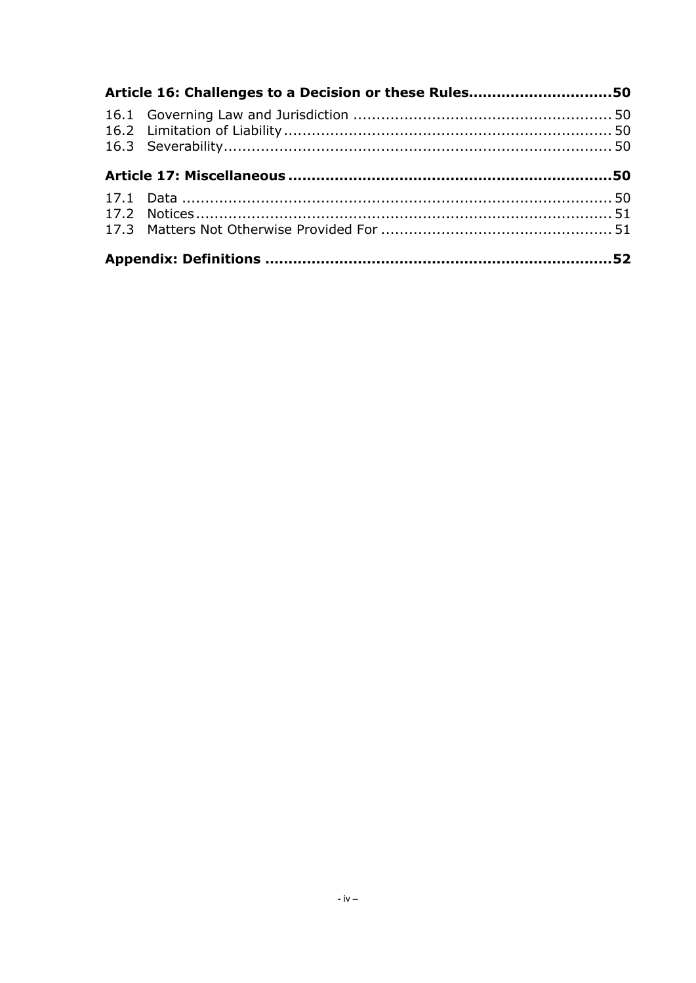| Article 16: Challenges to a Decision or these Rules50 |  |  |  |  |
|-------------------------------------------------------|--|--|--|--|
|                                                       |  |  |  |  |
|                                                       |  |  |  |  |
|                                                       |  |  |  |  |
|                                                       |  |  |  |  |
|                                                       |  |  |  |  |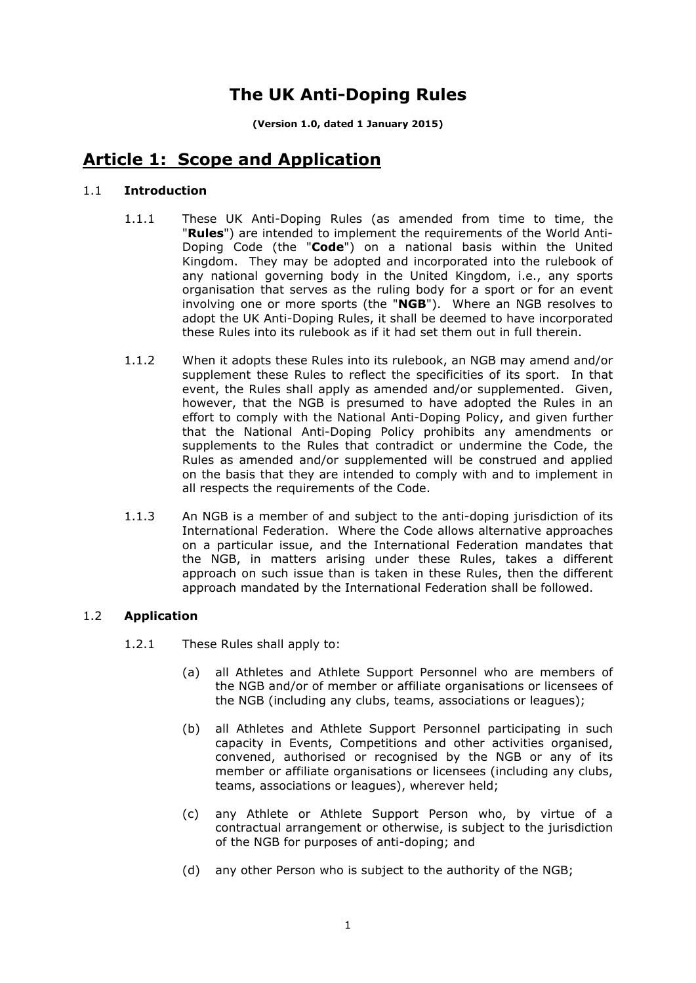# **The UK Anti-Doping Rules**

**(Version 1.0, dated 1 January 2015)**

# **Article 1: Scope and Application**

# 1.1 **Introduction**

- 1.1.1 These UK Anti-Doping Rules (as amended from time to time, the "**Rules**") are intended to implement the requirements of the World Anti-Doping Code (the "**Code**") on a national basis within the United Kingdom. They may be adopted and incorporated into the rulebook of any national governing body in the United Kingdom, i.e., any sports organisation that serves as the ruling body for a sport or for an event involving one or more sports (the "**NGB**"). Where an NGB resolves to adopt the UK Anti-Doping Rules, it shall be deemed to have incorporated these Rules into its rulebook as if it had set them out in full therein.
- 1.1.2 When it adopts these Rules into its rulebook, an NGB may amend and/or supplement these Rules to reflect the specificities of its sport. In that event, the Rules shall apply as amended and/or supplemented. Given, however, that the NGB is presumed to have adopted the Rules in an effort to comply with the National Anti-Doping Policy, and given further that the National Anti-Doping Policy prohibits any amendments or supplements to the Rules that contradict or undermine the Code, the Rules as amended and/or supplemented will be construed and applied on the basis that they are intended to comply with and to implement in all respects the requirements of the Code.
- 1.1.3 An NGB is a member of and subject to the anti-doping jurisdiction of its International Federation. Where the Code allows alternative approaches on a particular issue, and the International Federation mandates that the NGB, in matters arising under these Rules, takes a different approach on such issue than is taken in these Rules, then the different approach mandated by the International Federation shall be followed.

# 1.2 **Application**

- 1.2.1 These Rules shall apply to:
	- (a) all Athletes and Athlete Support Personnel who are members of the NGB and/or of member or affiliate organisations or licensees of the NGB (including any clubs, teams, associations or leagues);
	- (b) all Athletes and Athlete Support Personnel participating in such capacity in Events, Competitions and other activities organised, convened, authorised or recognised by the NGB or any of its member or affiliate organisations or licensees (including any clubs, teams, associations or leagues), wherever held;
	- (c) any Athlete or Athlete Support Person who, by virtue of a contractual arrangement or otherwise, is subject to the jurisdiction of the NGB for purposes of anti-doping; and
	- (d) any other Person who is subject to the authority of the NGB;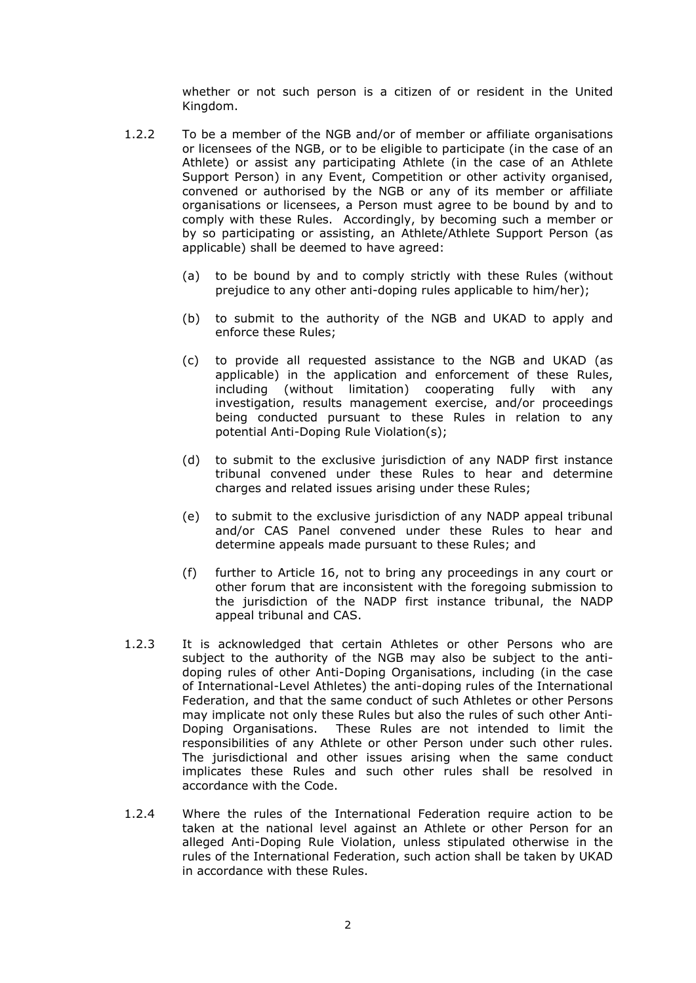whether or not such person is a citizen of or resident in the United Kingdom.

- 1.2.2 To be a member of the NGB and/or of member or affiliate organisations or licensees of the NGB, or to be eligible to participate (in the case of an Athlete) or assist any participating Athlete (in the case of an Athlete Support Person) in any Event, Competition or other activity organised, convened or authorised by the NGB or any of its member or affiliate organisations or licensees, a Person must agree to be bound by and to comply with these Rules. Accordingly, by becoming such a member or by so participating or assisting, an Athlete/Athlete Support Person (as applicable) shall be deemed to have agreed:
	- (a) to be bound by and to comply strictly with these Rules (without prejudice to any other anti-doping rules applicable to him/her);
	- (b) to submit to the authority of the NGB and UKAD to apply and enforce these Rules;
	- (c) to provide all requested assistance to the NGB and UKAD (as applicable) in the application and enforcement of these Rules, including (without limitation) cooperating fully with any investigation, results management exercise, and/or proceedings being conducted pursuant to these Rules in relation to any potential Anti-Doping Rule Violation(s);
	- (d) to submit to the exclusive jurisdiction of any NADP first instance tribunal convened under these Rules to hear and determine charges and related issues arising under these Rules;
	- (e) to submit to the exclusive jurisdiction of any NADP appeal tribunal and/or CAS Panel convened under these Rules to hear and determine appeals made pursuant to these Rules; and
	- (f) further to Article 16, not to bring any proceedings in any court or other forum that are inconsistent with the foregoing submission to the jurisdiction of the NADP first instance tribunal, the NADP appeal tribunal and CAS.
- 1.2.3 It is acknowledged that certain Athletes or other Persons who are subject to the authority of the NGB may also be subject to the antidoping rules of other Anti-Doping Organisations, including (in the case of International-Level Athletes) the anti-doping rules of the International Federation, and that the same conduct of such Athletes or other Persons may implicate not only these Rules but also the rules of such other Anti-Doping Organisations. These Rules are not intended to limit the responsibilities of any Athlete or other Person under such other rules. The jurisdictional and other issues arising when the same conduct implicates these Rules and such other rules shall be resolved in accordance with the Code.
- 1.2.4 Where the rules of the International Federation require action to be taken at the national level against an Athlete or other Person for an alleged Anti-Doping Rule Violation, unless stipulated otherwise in the rules of the International Federation, such action shall be taken by UKAD in accordance with these Rules.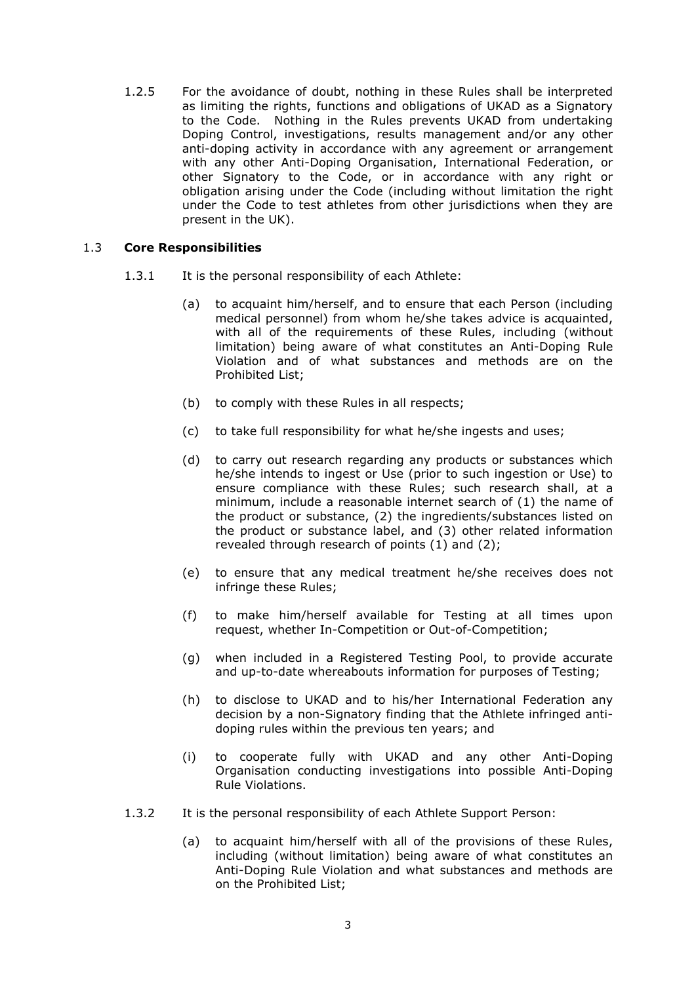1.2.5 For the avoidance of doubt, nothing in these Rules shall be interpreted as limiting the rights, functions and obligations of UKAD as a Signatory to the Code. Nothing in the Rules prevents UKAD from undertaking Doping Control, investigations, results management and/or any other anti-doping activity in accordance with any agreement or arrangement with any other Anti-Doping Organisation, International Federation, or other Signatory to the Code, or in accordance with any right or obligation arising under the Code (including without limitation the right under the Code to test athletes from other jurisdictions when they are present in the UK).

# 1.3 **Core Responsibilities**

- 1.3.1 It is the personal responsibility of each Athlete:
	- (a) to acquaint him/herself, and to ensure that each Person (including medical personnel) from whom he/she takes advice is acquainted, with all of the requirements of these Rules, including (without limitation) being aware of what constitutes an Anti-Doping Rule Violation and of what substances and methods are on the Prohibited List;
	- (b) to comply with these Rules in all respects;
	- (c) to take full responsibility for what he/she ingests and uses;
	- (d) to carry out research regarding any products or substances which he/she intends to ingest or Use (prior to such ingestion or Use) to ensure compliance with these Rules; such research shall, at a minimum, include a reasonable internet search of (1) the name of the product or substance, (2) the ingredients/substances listed on the product or substance label, and (3) other related information revealed through research of points (1) and (2);
	- (e) to ensure that any medical treatment he/she receives does not infringe these Rules;
	- (f) to make him/herself available for Testing at all times upon request, whether In-Competition or Out-of-Competition;
	- (g) when included in a Registered Testing Pool, to provide accurate and up-to-date whereabouts information for purposes of Testing;
	- (h) to disclose to UKAD and to his/her International Federation any decision by a non-Signatory finding that the Athlete infringed antidoping rules within the previous ten years; and
	- (i) to cooperate fully with UKAD and any other Anti-Doping Organisation conducting investigations into possible Anti-Doping Rule Violations.
- 1.3.2 It is the personal responsibility of each Athlete Support Person:
	- (a) to acquaint him/herself with all of the provisions of these Rules, including (without limitation) being aware of what constitutes an Anti-Doping Rule Violation and what substances and methods are on the Prohibited List;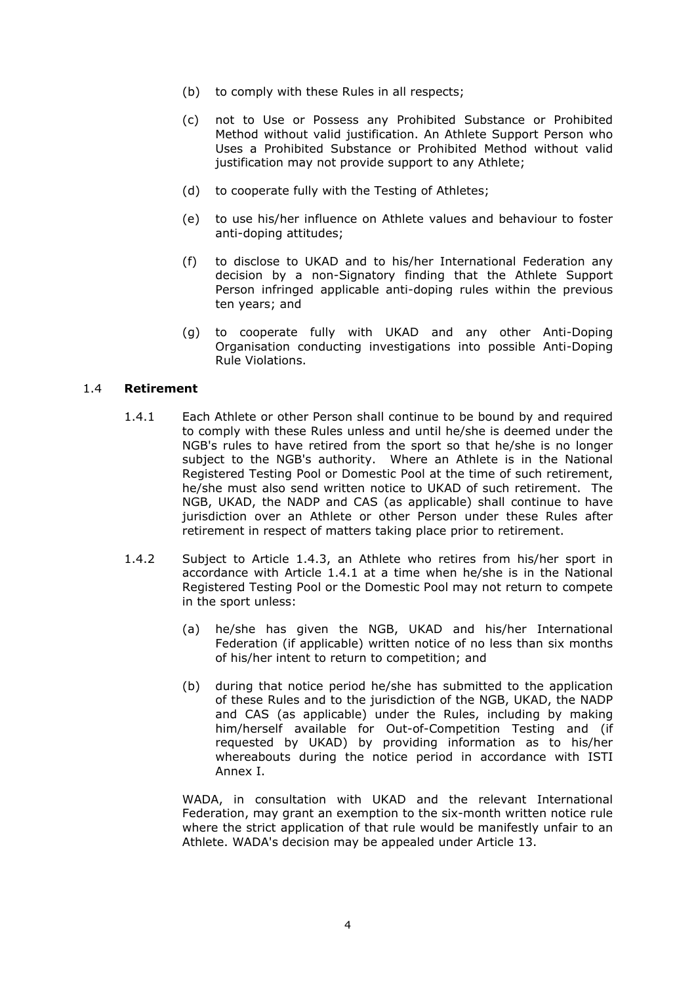- (b) to comply with these Rules in all respects;
- (c) not to Use or Possess any Prohibited Substance or Prohibited Method without valid justification. An Athlete Support Person who Uses a Prohibited Substance or Prohibited Method without valid justification may not provide support to any Athlete;
- (d) to cooperate fully with the Testing of Athletes;
- (e) to use his/her influence on Athlete values and behaviour to foster anti-doping attitudes;
- (f) to disclose to UKAD and to his/her International Federation any decision by a non-Signatory finding that the Athlete Support Person infringed applicable anti-doping rules within the previous ten years; and
- (g) to cooperate fully with UKAD and any other Anti-Doping Organisation conducting investigations into possible Anti-Doping Rule Violations.

### 1.4 **Retirement**

- 1.4.1 Each Athlete or other Person shall continue to be bound by and required to comply with these Rules unless and until he/she is deemed under the NGB's rules to have retired from the sport so that he/she is no longer subject to the NGB's authority. Where an Athlete is in the National Registered Testing Pool or Domestic Pool at the time of such retirement, he/she must also send written notice to UKAD of such retirement. The NGB, UKAD, the NADP and CAS (as applicable) shall continue to have jurisdiction over an Athlete or other Person under these Rules after retirement in respect of matters taking place prior to retirement.
- 1.4.2 Subject to Article 1.4.3, an Athlete who retires from his/her sport in accordance with Article 1.4.1 at a time when he/she is in the National Registered Testing Pool or the Domestic Pool may not return to compete in the sport unless:
	- (a) he/she has given the NGB, UKAD and his/her International Federation (if applicable) written notice of no less than six months of his/her intent to return to competition; and
	- (b) during that notice period he/she has submitted to the application of these Rules and to the jurisdiction of the NGB, UKAD, the NADP and CAS (as applicable) under the Rules, including by making him/herself available for Out-of-Competition Testing and (if requested by UKAD) by providing information as to his/her whereabouts during the notice period in accordance with ISTI Annex I.

WADA, in consultation with UKAD and the relevant International Federation, may grant an exemption to the six-month written notice rule where the strict application of that rule would be manifestly unfair to an Athlete. WADA's decision may be appealed under Article 13.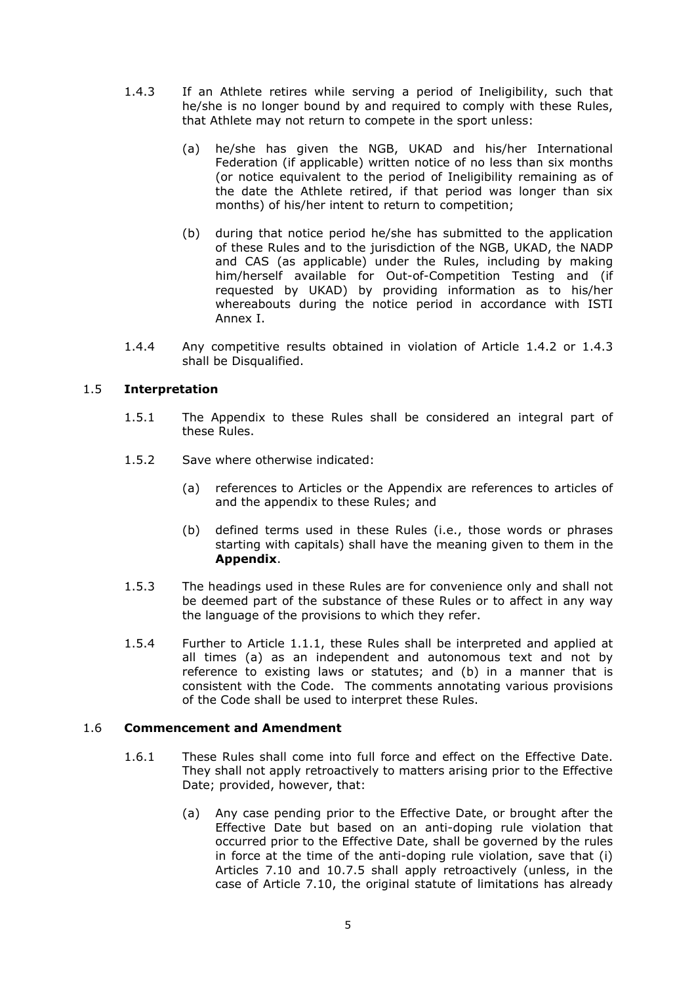- 1.4.3 If an Athlete retires while serving a period of Ineligibility, such that he/she is no longer bound by and required to comply with these Rules, that Athlete may not return to compete in the sport unless:
	- (a) he/she has given the NGB, UKAD and his/her International Federation (if applicable) written notice of no less than six months (or notice equivalent to the period of Ineligibility remaining as of the date the Athlete retired, if that period was longer than six months) of his/her intent to return to competition;
	- (b) during that notice period he/she has submitted to the application of these Rules and to the jurisdiction of the NGB, UKAD, the NADP and CAS (as applicable) under the Rules, including by making him/herself available for Out-of-Competition Testing and (if requested by UKAD) by providing information as to his/her whereabouts during the notice period in accordance with ISTI Annex I.
- 1.4.4 Any competitive results obtained in violation of Article 1.4.2 or 1.4.3 shall be Disqualified.

### 1.5 **Interpretation**

- 1.5.1 The Appendix to these Rules shall be considered an integral part of these Rules.
- 1.5.2 Save where otherwise indicated:
	- (a) references to Articles or the Appendix are references to articles of and the appendix to these Rules; and
	- (b) defined terms used in these Rules (i.e., those words or phrases starting with capitals) shall have the meaning given to them in the **Appendix**.
- 1.5.3 The headings used in these Rules are for convenience only and shall not be deemed part of the substance of these Rules or to affect in any way the language of the provisions to which they refer.
- 1.5.4 Further to Article 1.1.1, these Rules shall be interpreted and applied at all times (a) as an independent and autonomous text and not by reference to existing laws or statutes; and (b) in a manner that is consistent with the Code. The comments annotating various provisions of the Code shall be used to interpret these Rules.

# 1.6 **Commencement and Amendment**

- 1.6.1 These Rules shall come into full force and effect on the Effective Date. They shall not apply retroactively to matters arising prior to the Effective Date; provided, however, that:
	- (a) Any case pending prior to the Effective Date, or brought after the Effective Date but based on an anti-doping rule violation that occurred prior to the Effective Date, shall be governed by the rules in force at the time of the anti-doping rule violation, save that (i) Articles 7.10 and 10.7.5 shall apply retroactively (unless, in the case of Article 7.10, the original statute of limitations has already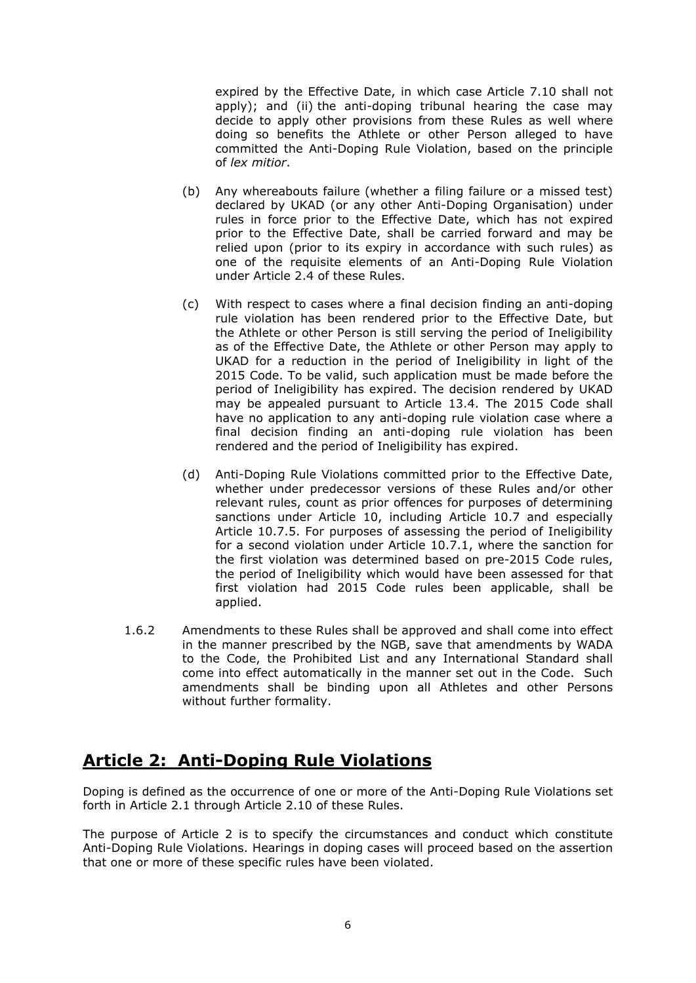expired by the Effective Date, in which case Article 7.10 shall not apply); and (ii) the anti-doping tribunal hearing the case may decide to apply other provisions from these Rules as well where doing so benefits the Athlete or other Person alleged to have committed the Anti-Doping Rule Violation, based on the principle of *lex mitior*.

- (b) Any whereabouts failure (whether a filing failure or a missed test) declared by UKAD (or any other Anti-Doping Organisation) under rules in force prior to the Effective Date, which has not expired prior to the Effective Date, shall be carried forward and may be relied upon (prior to its expiry in accordance with such rules) as one of the requisite elements of an Anti-Doping Rule Violation under Article 2.4 of these Rules.
- (c) With respect to cases where a final decision finding an anti-doping rule violation has been rendered prior to the Effective Date, but the Athlete or other Person is still serving the period of Ineligibility as of the Effective Date, the Athlete or other Person may apply to UKAD for a reduction in the period of Ineligibility in light of the 2015 Code. To be valid, such application must be made before the period of Ineligibility has expired. The decision rendered by UKAD may be appealed pursuant to Article 13.4. The 2015 Code shall have no application to any anti-doping rule violation case where a final decision finding an anti-doping rule violation has been rendered and the period of Ineligibility has expired.
- (d) Anti-Doping Rule Violations committed prior to the Effective Date, whether under predecessor versions of these Rules and/or other relevant rules, count as prior offences for purposes of determining sanctions under Article 10, including Article 10.7 and especially Article 10.7.5. For purposes of assessing the period of Ineligibility for a second violation under Article 10.7.1, where the sanction for the first violation was determined based on pre-2015 Code rules, the period of Ineligibility which would have been assessed for that first violation had 2015 Code rules been applicable, shall be applied.
- 1.6.2 Amendments to these Rules shall be approved and shall come into effect in the manner prescribed by the NGB, save that amendments by WADA to the Code, the Prohibited List and any International Standard shall come into effect automatically in the manner set out in the Code. Such amendments shall be binding upon all Athletes and other Persons without further formality.

# **Article 2: Anti-Doping Rule Violations**

Doping is defined as the occurrence of one or more of the Anti-Doping Rule Violations set forth in Article 2.1 through Article 2.10 of these Rules.

The purpose of Article 2 is to specify the circumstances and conduct which constitute Anti-Doping Rule Violations. Hearings in doping cases will proceed based on the assertion that one or more of these specific rules have been violated.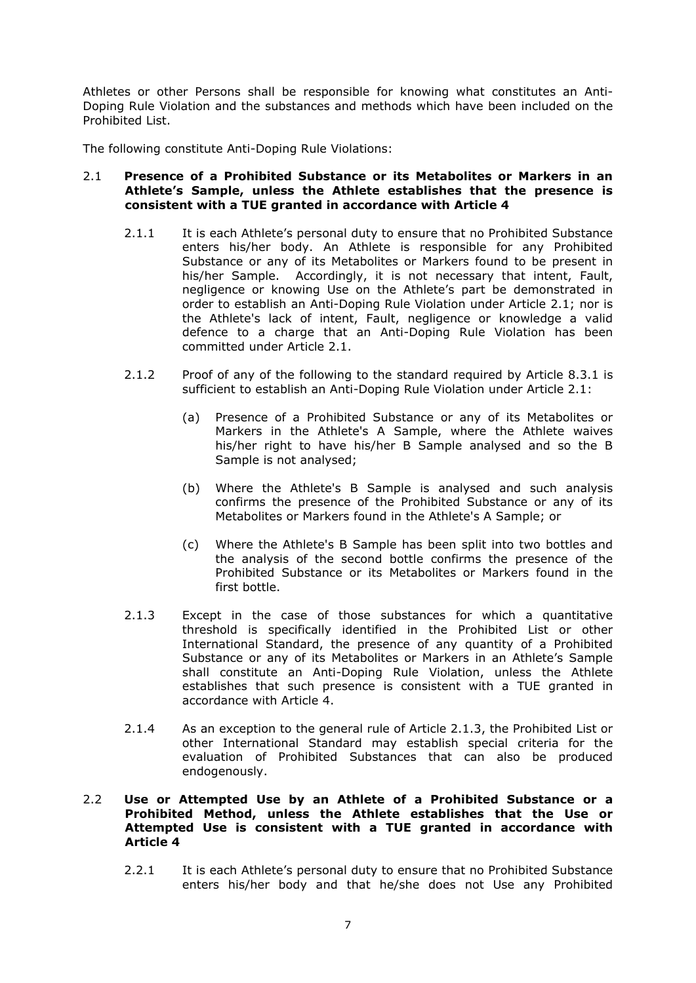Athletes or other Persons shall be responsible for knowing what constitutes an Anti-Doping Rule Violation and the substances and methods which have been included on the Prohibited List.

The following constitute Anti-Doping Rule Violations:

### 2.1 **Presence of a Prohibited Substance or its Metabolites or Markers in an Athlete's Sample, unless the Athlete establishes that the presence is consistent with a TUE granted in accordance with Article 4**

- 2.1.1 It is each Athlete's personal duty to ensure that no Prohibited Substance enters his/her body. An Athlete is responsible for any Prohibited Substance or any of its Metabolites or Markers found to be present in his/her Sample. Accordingly, it is not necessary that intent, Fault, negligence or knowing Use on the Athlete's part be demonstrated in order to establish an Anti-Doping Rule Violation under Article 2.1; nor is the Athlete's lack of intent, Fault, negligence or knowledge a valid defence to a charge that an Anti-Doping Rule Violation has been committed under Article 2.1.
- 2.1.2 Proof of any of the following to the standard required by Article 8.3.1 is sufficient to establish an Anti-Doping Rule Violation under Article 2.1:
	- (a) Presence of a Prohibited Substance or any of its Metabolites or Markers in the Athlete's A Sample, where the Athlete waives his/her right to have his/her B Sample analysed and so the B Sample is not analysed;
	- (b) Where the Athlete's B Sample is analysed and such analysis confirms the presence of the Prohibited Substance or any of its Metabolites or Markers found in the Athlete's A Sample; or
	- (c) Where the Athlete's B Sample has been split into two bottles and the analysis of the second bottle confirms the presence of the Prohibited Substance or its Metabolites or Markers found in the first bottle.
- 2.1.3 Except in the case of those substances for which a quantitative threshold is specifically identified in the Prohibited List or other International Standard, the presence of any quantity of a Prohibited Substance or any of its Metabolites or Markers in an Athlete's Sample shall constitute an Anti-Doping Rule Violation, unless the Athlete establishes that such presence is consistent with a TUE granted in accordance with Article 4.
- 2.1.4 As an exception to the general rule of Article 2.1.3, the Prohibited List or other International Standard may establish special criteria for the evaluation of Prohibited Substances that can also be produced endogenously.

# 2.2 **Use or Attempted Use by an Athlete of a Prohibited Substance or a Prohibited Method, unless the Athlete establishes that the Use or Attempted Use is consistent with a TUE granted in accordance with Article 4**

2.2.1 It is each Athlete's personal duty to ensure that no Prohibited Substance enters his/her body and that he/she does not Use any Prohibited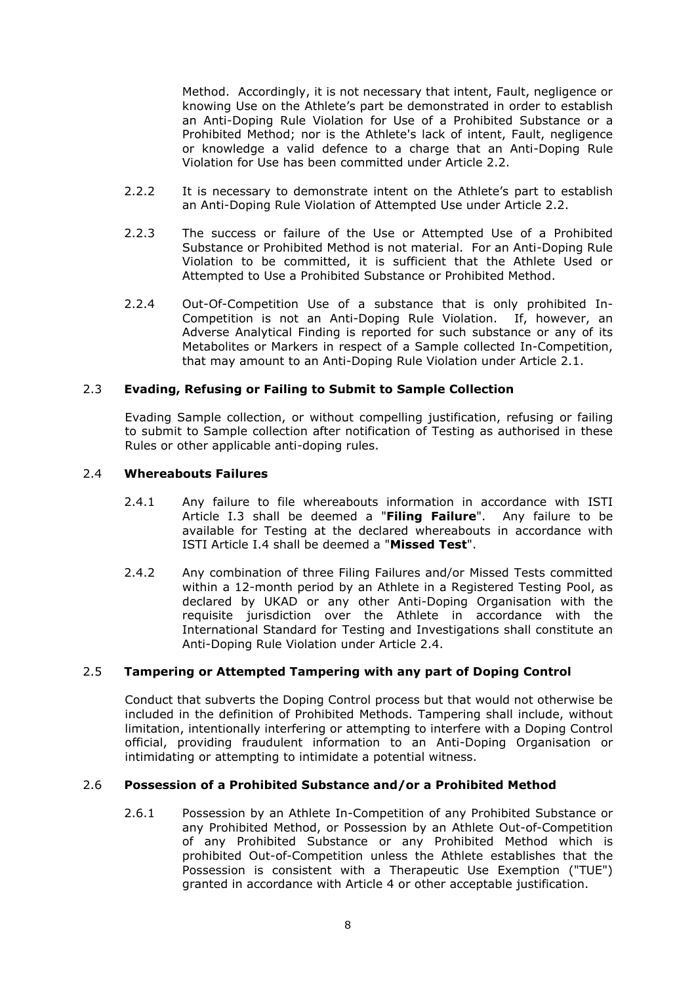Method. Accordingly, it is not necessary that intent, Fault, negligence or knowing Use on the Athlete's part be demonstrated in order to establish an Anti-Doping Rule Violation for Use of a Prohibited Substance or a Prohibited Method; nor is the Athlete's lack of intent, Fault, negligence or knowledge a valid defence to a charge that an Anti-Doping Rule Violation for Use has been committed under Article 2.2.

- 2.2.2 It is necessary to demonstrate intent on the Athlete's part to establish an Anti-Doping Rule Violation of Attempted Use under Article 2.2.
- 2.2.3 The success or failure of the Use or Attempted Use of a Prohibited Substance or Prohibited Method is not material. For an Anti-Doping Rule Violation to be committed, it is sufficient that the Athlete Used or Attempted to Use a Prohibited Substance or Prohibited Method.
- 2.2.4 Out-Of-Competition Use of a substance that is only prohibited In-Competition is not an Anti-Doping Rule Violation. If, however, an Adverse Analytical Finding is reported for such substance or any of its Metabolites or Markers in respect of a Sample collected In-Competition, that may amount to an Anti-Doping Rule Violation under Article 2.1.

# 2.3 **Evading, Refusing or Failing to Submit to Sample Collection**

Evading Sample collection, or without compelling justification, refusing or failing to submit to Sample collection after notification of Testing as authorised in these Rules or other applicable anti-doping rules.

### 2.4 **Whereabouts Failures**

- 2.4.1 Any failure to file whereabouts information in accordance with ISTI Article I.3 shall be deemed a "**Filing Failure**". Any failure to be available for Testing at the declared whereabouts in accordance with ISTI Article I.4 shall be deemed a "**Missed Test**".
- 2.4.2 Any combination of three Filing Failures and/or Missed Tests committed within a 12-month period by an Athlete in a Registered Testing Pool, as declared by UKAD or any other Anti-Doping Organisation with the requisite jurisdiction over the Athlete in accordance with the International Standard for Testing and Investigations shall constitute an Anti-Doping Rule Violation under Article 2.4.

# 2.5 **Tampering or Attempted Tampering with any part of Doping Control**

Conduct that subverts the Doping Control process but that would not otherwise be included in the definition of Prohibited Methods. Tampering shall include, without limitation, intentionally interfering or attempting to interfere with a Doping Control official, providing fraudulent information to an Anti-Doping Organisation or intimidating or attempting to intimidate a potential witness.

### 2.6 **Possession of a Prohibited Substance and/or a Prohibited Method**

2.6.1 Possession by an Athlete In-Competition of any Prohibited Substance or any Prohibited Method, or Possession by an Athlete Out-of-Competition of any Prohibited Substance or any Prohibited Method which is prohibited Out-of-Competition unless the Athlete establishes that the Possession is consistent with a Therapeutic Use Exemption ("TUE") granted in accordance with Article 4 or other acceptable justification.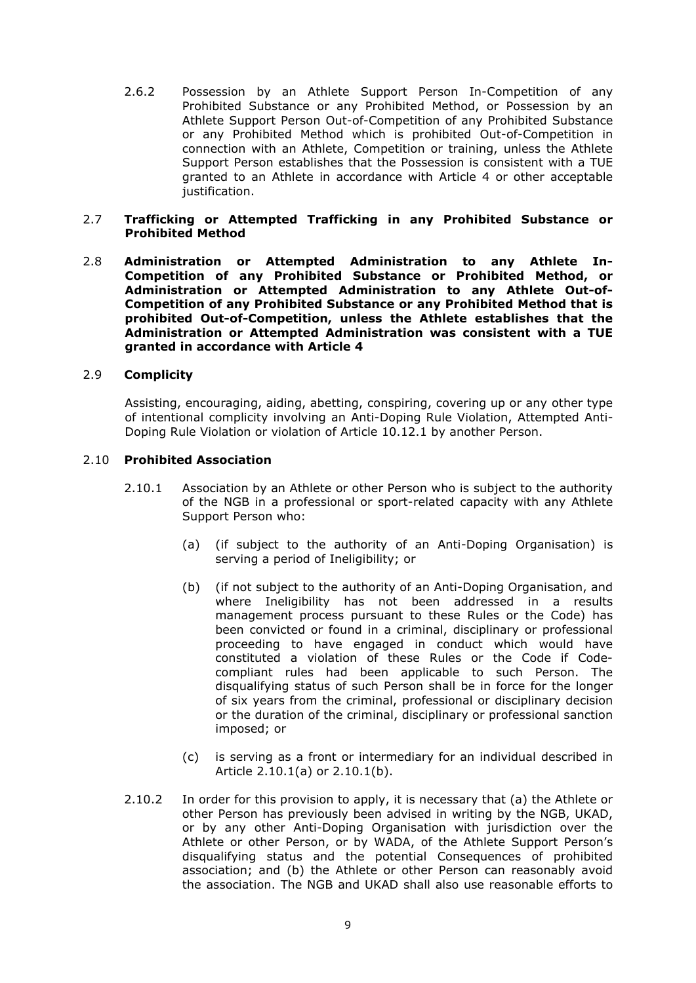2.6.2 Possession by an Athlete Support Person In-Competition of any Prohibited Substance or any Prohibited Method, or Possession by an Athlete Support Person Out-of-Competition of any Prohibited Substance or any Prohibited Method which is prohibited Out-of-Competition in connection with an Athlete, Competition or training, unless the Athlete Support Person establishes that the Possession is consistent with a TUE granted to an Athlete in accordance with Article 4 or other acceptable justification.

### 2.7 **Trafficking or Attempted Trafficking in any Prohibited Substance or Prohibited Method**

2.8 **Administration or Attempted Administration to any Athlete In-Competition of any Prohibited Substance or Prohibited Method, or Administration or Attempted Administration to any Athlete Out-of-Competition of any Prohibited Substance or any Prohibited Method that is prohibited Out-of-Competition, unless the Athlete establishes that the Administration or Attempted Administration was consistent with a TUE granted in accordance with Article 4**

### 2.9 **Complicity**

Assisting, encouraging, aiding, abetting, conspiring, covering up or any other type of intentional complicity involving an Anti-Doping Rule Violation, Attempted Anti-Doping Rule Violation or violation of Article 10.12.1 by another Person.

### 2.10 **Prohibited Association**

- 2.10.1 Association by an Athlete or other Person who is subject to the authority of the NGB in a professional or sport-related capacity with any Athlete Support Person who:
	- (a) (if subject to the authority of an Anti-Doping Organisation) is serving a period of Ineligibility; or
	- (b) (if not subject to the authority of an Anti-Doping Organisation, and where Ineligibility has not been addressed in a results management process pursuant to these Rules or the Code) has been convicted or found in a criminal, disciplinary or professional proceeding to have engaged in conduct which would have constituted a violation of these Rules or the Code if Codecompliant rules had been applicable to such Person. The disqualifying status of such Person shall be in force for the longer of six years from the criminal, professional or disciplinary decision or the duration of the criminal, disciplinary or professional sanction imposed; or
	- (c) is serving as a front or intermediary for an individual described in Article 2.10.1(a) or 2.10.1(b).
- 2.10.2 In order for this provision to apply, it is necessary that (a) the Athlete or other Person has previously been advised in writing by the NGB, UKAD, or by any other Anti-Doping Organisation with jurisdiction over the Athlete or other Person, or by WADA, of the Athlete Support Person's disqualifying status and the potential Consequences of prohibited association; and (b) the Athlete or other Person can reasonably avoid the association. The NGB and UKAD shall also use reasonable efforts to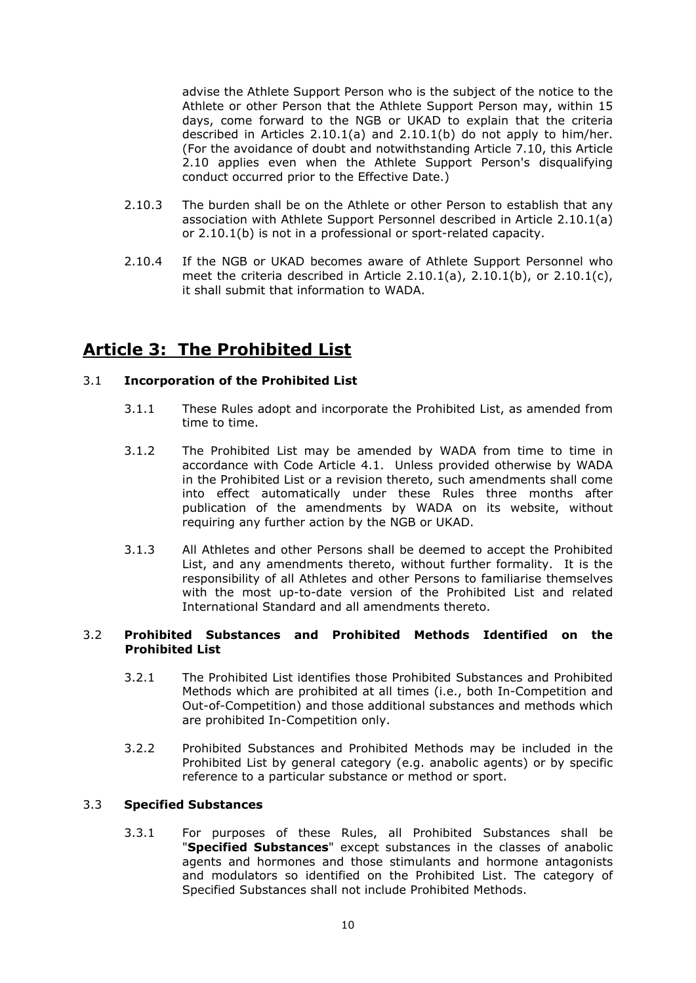advise the Athlete Support Person who is the subject of the notice to the Athlete or other Person that the Athlete Support Person may, within 15 days, come forward to the NGB or UKAD to explain that the criteria described in Articles 2.10.1(a) and 2.10.1(b) do not apply to him/her. (For the avoidance of doubt and notwithstanding Article 7.10, this Article 2.10 applies even when the Athlete Support Person's disqualifying conduct occurred prior to the Effective Date.)

- 2.10.3 The burden shall be on the Athlete or other Person to establish that any association with Athlete Support Personnel described in Article 2.10.1(a) or 2.10.1(b) is not in a professional or sport-related capacity.
- 2.10.4 If the NGB or UKAD becomes aware of Athlete Support Personnel who meet the criteria described in Article 2.10.1(a), 2.10.1(b), or 2.10.1(c), it shall submit that information to WADA.

# **Article 3: The Prohibited List**

# 3.1 **Incorporation of the Prohibited List**

- 3.1.1 These Rules adopt and incorporate the Prohibited List, as amended from time to time.
- 3.1.2 The Prohibited List may be amended by WADA from time to time in accordance with Code Article 4.1. Unless provided otherwise by WADA in the Prohibited List or a revision thereto, such amendments shall come into effect automatically under these Rules three months after publication of the amendments by WADA on its website, without requiring any further action by the NGB or UKAD.
- 3.1.3 All Athletes and other Persons shall be deemed to accept the Prohibited List, and any amendments thereto, without further formality. It is the responsibility of all Athletes and other Persons to familiarise themselves with the most up-to-date version of the Prohibited List and related International Standard and all amendments thereto.

# 3.2 **Prohibited Substances and Prohibited Methods Identified on the Prohibited List**

- 3.2.1 The Prohibited List identifies those Prohibited Substances and Prohibited Methods which are prohibited at all times (i.e., both In-Competition and Out-of-Competition) and those additional substances and methods which are prohibited In-Competition only.
- 3.2.2 Prohibited Substances and Prohibited Methods may be included in the Prohibited List by general category (e.g. anabolic agents) or by specific reference to a particular substance or method or sport.

# 3.3 **Specified Substances**

3.3.1 For purposes of these Rules, all Prohibited Substances shall be "**Specified Substances**" except substances in the classes of anabolic agents and hormones and those stimulants and hormone antagonists and modulators so identified on the Prohibited List. The category of Specified Substances shall not include Prohibited Methods.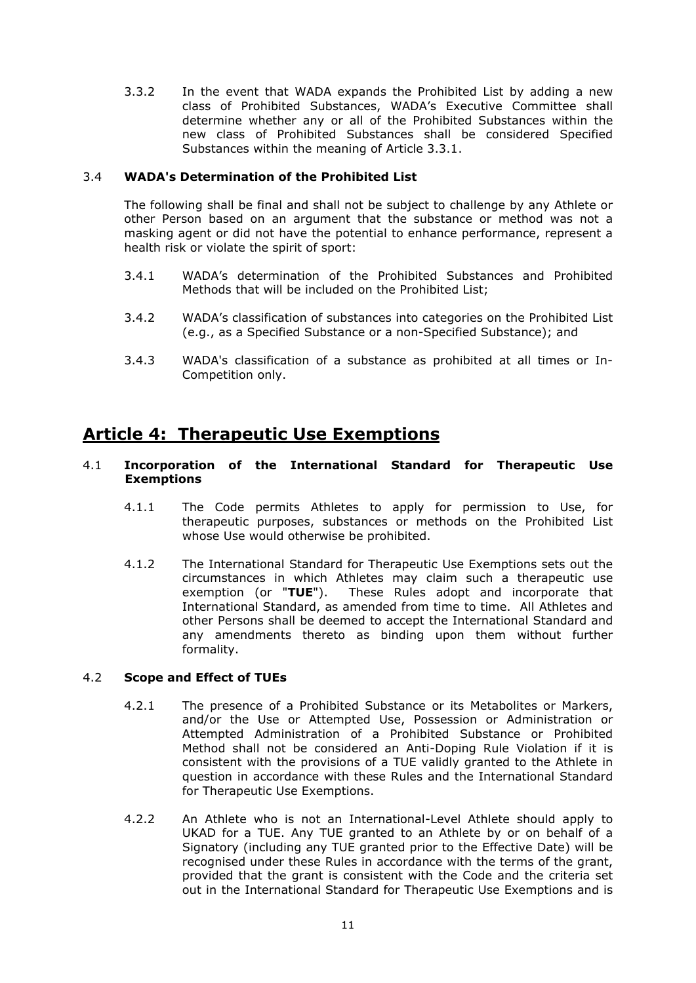3.3.2 In the event that WADA expands the Prohibited List by adding a new class of Prohibited Substances, WADA's Executive Committee shall determine whether any or all of the Prohibited Substances within the new class of Prohibited Substances shall be considered Specified Substances within the meaning of Article 3.3.1.

# 3.4 **WADA's Determination of the Prohibited List**

The following shall be final and shall not be subject to challenge by any Athlete or other Person based on an argument that the substance or method was not a masking agent or did not have the potential to enhance performance, represent a health risk or violate the spirit of sport:

- 3.4.1 WADA's determination of the Prohibited Substances and Prohibited Methods that will be included on the Prohibited List;
- 3.4.2 WADA's classification of substances into categories on the Prohibited List (e.g., as a Specified Substance or a non-Specified Substance); and
- 3.4.3 WADA's classification of a substance as prohibited at all times or In-Competition only.

# **Article 4: Therapeutic Use Exemptions**

### 4.1 **Incorporation of the International Standard for Therapeutic Use Exemptions**

- 4.1.1 The Code permits Athletes to apply for permission to Use, for therapeutic purposes, substances or methods on the Prohibited List whose Use would otherwise be prohibited.
- 4.1.2 The International Standard for Therapeutic Use Exemptions sets out the circumstances in which Athletes may claim such a therapeutic use exemption (or "**TUE**"). These Rules adopt and incorporate that International Standard, as amended from time to time. All Athletes and other Persons shall be deemed to accept the International Standard and any amendments thereto as binding upon them without further formality.

### 4.2 **Scope and Effect of TUEs**

- 4.2.1 The presence of a Prohibited Substance or its Metabolites or Markers, and/or the Use or Attempted Use, Possession or Administration or Attempted Administration of a Prohibited Substance or Prohibited Method shall not be considered an Anti-Doping Rule Violation if it is consistent with the provisions of a TUE validly granted to the Athlete in question in accordance with these Rules and the International Standard for Therapeutic Use Exemptions.
- 4.2.2 An Athlete who is not an International-Level Athlete should apply to UKAD for a TUE. Any TUE granted to an Athlete by or on behalf of a Signatory (including any TUE granted prior to the Effective Date) will be recognised under these Rules in accordance with the terms of the grant, provided that the grant is consistent with the Code and the criteria set out in the International Standard for Therapeutic Use Exemptions and is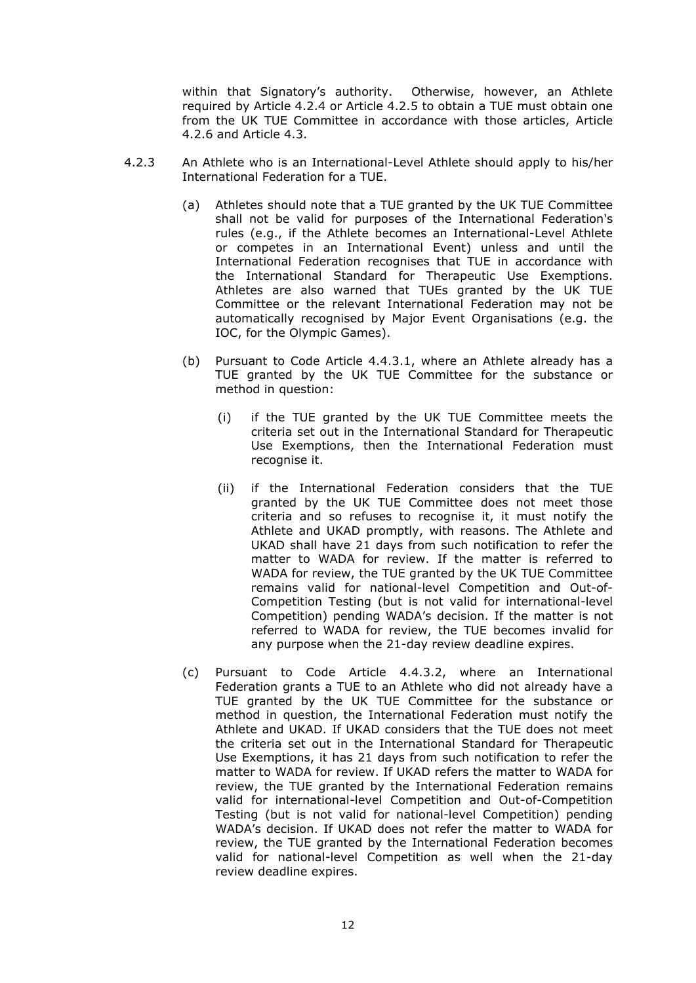within that Signatory's authority. Otherwise, however, an Athlete required by Article 4.2.4 or Article 4.2.5 to obtain a TUE must obtain one from the UK TUE Committee in accordance with those articles, Article 4.2.6 and Article 4.3.

- 4.2.3 An Athlete who is an International-Level Athlete should apply to his/her International Federation for a TUE.
	- (a) Athletes should note that a TUE granted by the UK TUE Committee shall not be valid for purposes of the International Federation's rules (e.g., if the Athlete becomes an International-Level Athlete or competes in an International Event) unless and until the International Federation recognises that TUE in accordance with the International Standard for Therapeutic Use Exemptions. Athletes are also warned that TUEs granted by the UK TUE Committee or the relevant International Federation may not be automatically recognised by Major Event Organisations (e.g. the IOC, for the Olympic Games).
	- (b) Pursuant to Code Article 4.4.3.1, where an Athlete already has a TUE granted by the UK TUE Committee for the substance or method in question:
		- (i) if the TUE granted by the UK TUE Committee meets the criteria set out in the International Standard for Therapeutic Use Exemptions, then the International Federation must recognise it.
		- (ii) if the International Federation considers that the TUE granted by the UK TUE Committee does not meet those criteria and so refuses to recognise it, it must notify the Athlete and UKAD promptly, with reasons. The Athlete and UKAD shall have 21 days from such notification to refer the matter to WADA for review. If the matter is referred to WADA for review, the TUE granted by the UK TUE Committee remains valid for national-level Competition and Out-of-Competition Testing (but is not valid for international-level Competition) pending WADA's decision. If the matter is not referred to WADA for review, the TUE becomes invalid for any purpose when the 21-day review deadline expires.
	- (c) Pursuant to Code Article 4.4.3.2, where an International Federation grants a TUE to an Athlete who did not already have a TUE granted by the UK TUE Committee for the substance or method in question, the International Federation must notify the Athlete and UKAD. If UKAD considers that the TUE does not meet the criteria set out in the International Standard for Therapeutic Use Exemptions, it has 21 days from such notification to refer the matter to WADA for review. If UKAD refers the matter to WADA for review, the TUE granted by the International Federation remains valid for international-level Competition and Out-of-Competition Testing (but is not valid for national-level Competition) pending WADA's decision. If UKAD does not refer the matter to WADA for review, the TUE granted by the International Federation becomes valid for national-level Competition as well when the 21-day review deadline expires.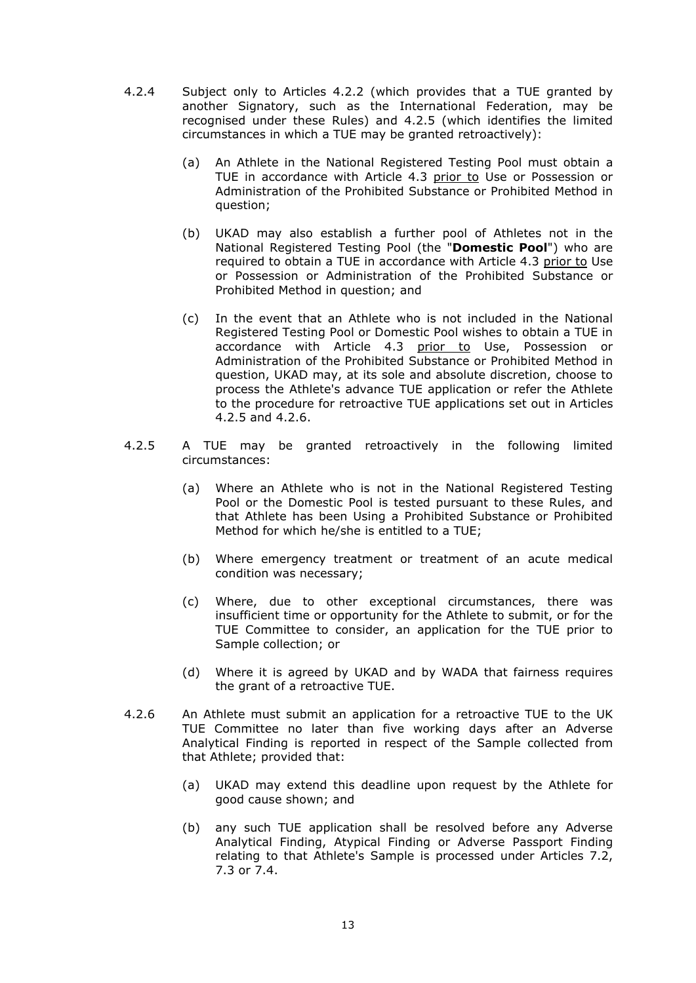- 4.2.4 Subject only to Articles 4.2.2 (which provides that a TUE granted by another Signatory, such as the International Federation, may be recognised under these Rules) and 4.2.5 (which identifies the limited circumstances in which a TUE may be granted retroactively):
	- (a) An Athlete in the National Registered Testing Pool must obtain a TUE in accordance with Article 4.3 prior to Use or Possession or Administration of the Prohibited Substance or Prohibited Method in question;
	- (b) UKAD may also establish a further pool of Athletes not in the National Registered Testing Pool (the "**Domestic Pool**") who are required to obtain a TUE in accordance with Article 4.3 prior to Use or Possession or Administration of the Prohibited Substance or Prohibited Method in question; and
	- (c) In the event that an Athlete who is not included in the National Registered Testing Pool or Domestic Pool wishes to obtain a TUE in accordance with Article 4.3 prior to Use, Possession or Administration of the Prohibited Substance or Prohibited Method in question, UKAD may, at its sole and absolute discretion, choose to process the Athlete's advance TUE application or refer the Athlete to the procedure for retroactive TUE applications set out in Articles 4.2.5 and 4.2.6.
- 4.2.5 A TUE may be granted retroactively in the following limited circumstances:
	- (a) Where an Athlete who is not in the National Registered Testing Pool or the Domestic Pool is tested pursuant to these Rules, and that Athlete has been Using a Prohibited Substance or Prohibited Method for which he/she is entitled to a TUE;
	- (b) Where emergency treatment or treatment of an acute medical condition was necessary;
	- (c) Where, due to other exceptional circumstances, there was insufficient time or opportunity for the Athlete to submit, or for the TUE Committee to consider, an application for the TUE prior to Sample collection; or
	- (d) Where it is agreed by UKAD and by WADA that fairness requires the grant of a retroactive TUE.
- 4.2.6 An Athlete must submit an application for a retroactive TUE to the UK TUE Committee no later than five working days after an Adverse Analytical Finding is reported in respect of the Sample collected from that Athlete; provided that:
	- (a) UKAD may extend this deadline upon request by the Athlete for good cause shown; and
	- (b) any such TUE application shall be resolved before any Adverse Analytical Finding, Atypical Finding or Adverse Passport Finding relating to that Athlete's Sample is processed under Articles 7.2, 7.3 or 7.4.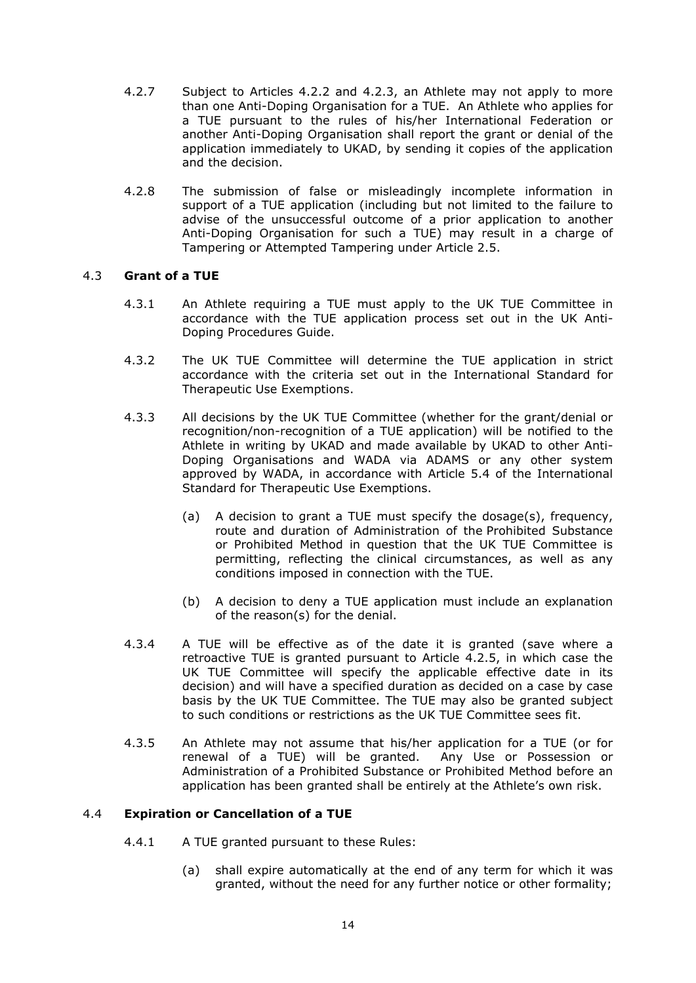- 4.2.7 Subject to Articles 4.2.2 and 4.2.3, an Athlete may not apply to more than one Anti-Doping Organisation for a TUE. An Athlete who applies for a TUE pursuant to the rules of his/her International Federation or another Anti-Doping Organisation shall report the grant or denial of the application immediately to UKAD, by sending it copies of the application and the decision.
- 4.2.8 The submission of false or misleadingly incomplete information in support of a TUE application (including but not limited to the failure to advise of the unsuccessful outcome of a prior application to another Anti-Doping Organisation for such a TUE) may result in a charge of Tampering or Attempted Tampering under Article 2.5.

# 4.3 **Grant of a TUE**

- 4.3.1 An Athlete requiring a TUE must apply to the UK TUE Committee in accordance with the TUE application process set out in the UK Anti-Doping Procedures Guide.
- 4.3.2 The UK TUE Committee will determine the TUE application in strict accordance with the criteria set out in the International Standard for Therapeutic Use Exemptions.
- 4.3.3 All decisions by the UK TUE Committee (whether for the grant/denial or recognition/non-recognition of a TUE application) will be notified to the Athlete in writing by UKAD and made available by UKAD to other Anti-Doping Organisations and WADA via ADAMS or any other system approved by WADA, in accordance with Article 5.4 of the International Standard for Therapeutic Use Exemptions.
	- (a) A decision to grant a TUE must specify the dosage(s), frequency, route and duration of Administration of the Prohibited Substance or Prohibited Method in question that the UK TUE Committee is permitting, reflecting the clinical circumstances, as well as any conditions imposed in connection with the TUE.
	- (b) A decision to deny a TUE application must include an explanation of the reason(s) for the denial.
- 4.3.4 A TUE will be effective as of the date it is granted (save where a retroactive TUE is granted pursuant to Article 4.2.5, in which case the UK TUE Committee will specify the applicable effective date in its decision) and will have a specified duration as decided on a case by case basis by the UK TUE Committee. The TUE may also be granted subject to such conditions or restrictions as the UK TUE Committee sees fit.
- 4.3.5 An Athlete may not assume that his/her application for a TUE (or for renewal of a TUE) will be granted. Any Use or Possession or Administration of a Prohibited Substance or Prohibited Method before an application has been granted shall be entirely at the Athlete's own risk.

# 4.4 **Expiration or Cancellation of a TUE**

- 4.4.1 A TUE granted pursuant to these Rules:
	- (a) shall expire automatically at the end of any term for which it was granted, without the need for any further notice or other formality;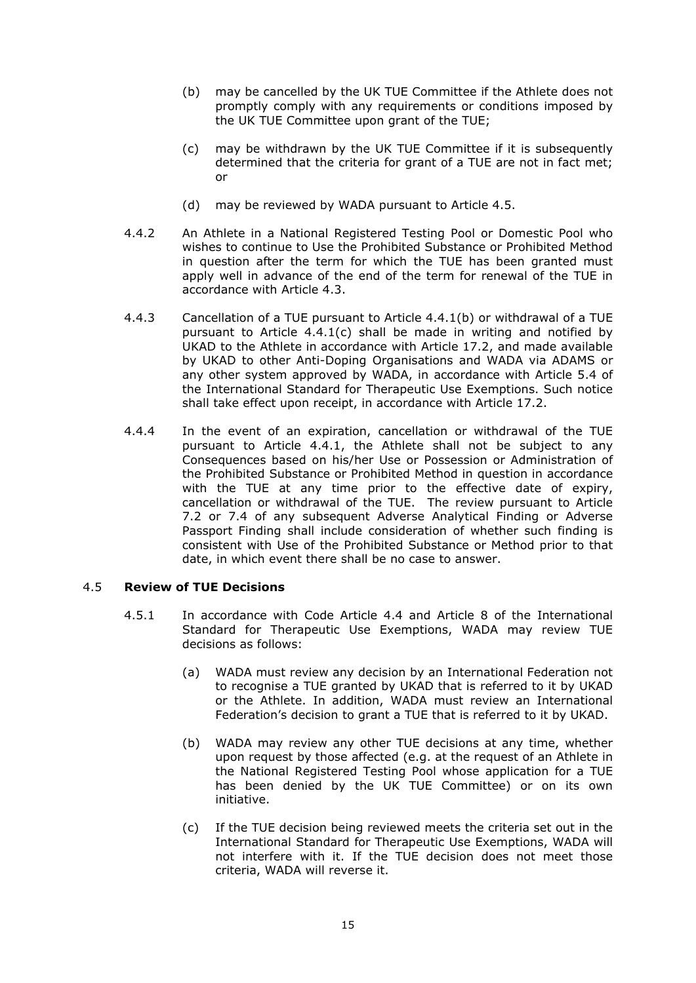- (b) may be cancelled by the UK TUE Committee if the Athlete does not promptly comply with any requirements or conditions imposed by the UK TUE Committee upon grant of the TUE;
- (c) may be withdrawn by the UK TUE Committee if it is subsequently determined that the criteria for grant of a TUE are not in fact met; or
- (d) may be reviewed by WADA pursuant to Article 4.5.
- 4.4.2 An Athlete in a National Registered Testing Pool or Domestic Pool who wishes to continue to Use the Prohibited Substance or Prohibited Method in question after the term for which the TUE has been granted must apply well in advance of the end of the term for renewal of the TUE in accordance with Article 4.3.
- 4.4.3 Cancellation of a TUE pursuant to Article 4.4.1(b) or withdrawal of a TUE pursuant to Article 4.4.1(c) shall be made in writing and notified by UKAD to the Athlete in accordance with Article 17.2, and made available by UKAD to other Anti-Doping Organisations and WADA via ADAMS or any other system approved by WADA, in accordance with Article 5.4 of the International Standard for Therapeutic Use Exemptions. Such notice shall take effect upon receipt, in accordance with Article 17.2.
- 4.4.4 In the event of an expiration, cancellation or withdrawal of the TUE pursuant to Article 4.4.1, the Athlete shall not be subject to any Consequences based on his/her Use or Possession or Administration of the Prohibited Substance or Prohibited Method in question in accordance with the TUE at any time prior to the effective date of expiry, cancellation or withdrawal of the TUE. The review pursuant to Article 7.2 or 7.4 of any subsequent Adverse Analytical Finding or Adverse Passport Finding shall include consideration of whether such finding is consistent with Use of the Prohibited Substance or Method prior to that date, in which event there shall be no case to answer.

### 4.5 **Review of TUE Decisions**

- 4.5.1 In accordance with Code Article 4.4 and Article 8 of the International Standard for Therapeutic Use Exemptions, WADA may review TUE decisions as follows:
	- (a) WADA must review any decision by an International Federation not to recognise a TUE granted by UKAD that is referred to it by UKAD or the Athlete. In addition, WADA must review an International Federation's decision to grant a TUE that is referred to it by UKAD.
	- (b) WADA may review any other TUE decisions at any time, whether upon request by those affected (e.g. at the request of an Athlete in the National Registered Testing Pool whose application for a TUE has been denied by the UK TUE Committee) or on its own initiative.
	- (c) If the TUE decision being reviewed meets the criteria set out in the International Standard for Therapeutic Use Exemptions, WADA will not interfere with it. If the TUE decision does not meet those criteria, WADA will reverse it.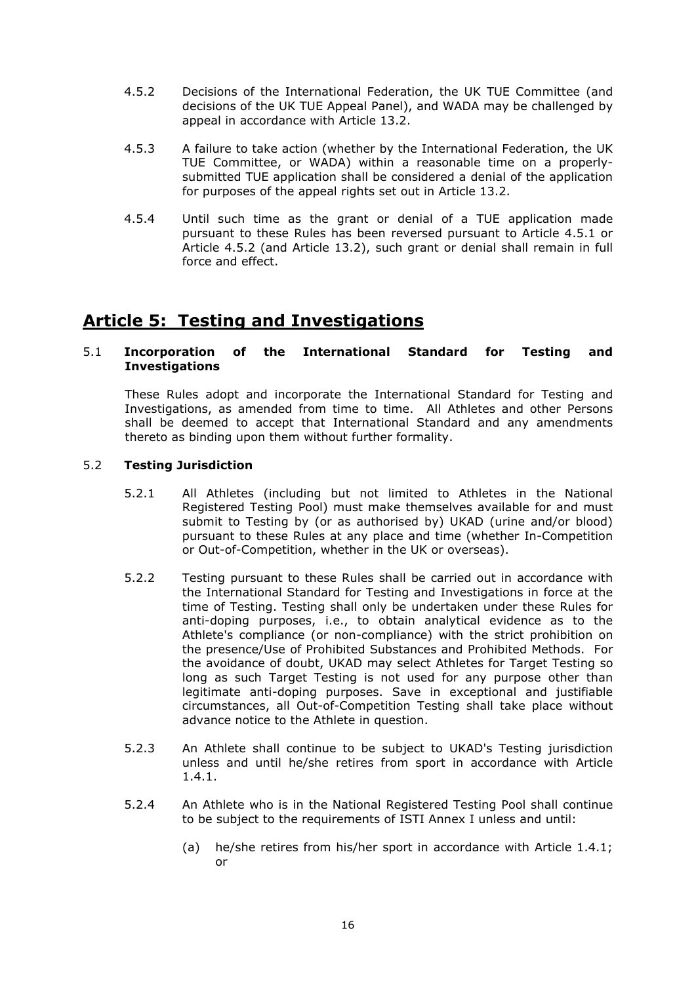- 4.5.2 Decisions of the International Federation, the UK TUE Committee (and decisions of the UK TUE Appeal Panel), and WADA may be challenged by appeal in accordance with Article 13.2.
- 4.5.3 A failure to take action (whether by the International Federation, the UK TUE Committee, or WADA) within a reasonable time on a properlysubmitted TUE application shall be considered a denial of the application for purposes of the appeal rights set out in Article 13.2.
- 4.5.4 Until such time as the grant or denial of a TUE application made pursuant to these Rules has been reversed pursuant to Article 4.5.1 or Article 4.5.2 (and Article 13.2), such grant or denial shall remain in full force and effect.

# **Article 5: Testing and Investigations**

# 5.1 **Incorporation of the International Standard for Testing and Investigations**

These Rules adopt and incorporate the International Standard for Testing and Investigations, as amended from time to time. All Athletes and other Persons shall be deemed to accept that International Standard and any amendments thereto as binding upon them without further formality.

# 5.2 **Testing Jurisdiction**

- 5.2.1 All Athletes (including but not limited to Athletes in the National Registered Testing Pool) must make themselves available for and must submit to Testing by (or as authorised by) UKAD (urine and/or blood) pursuant to these Rules at any place and time (whether In-Competition or Out-of-Competition, whether in the UK or overseas).
- 5.2.2 Testing pursuant to these Rules shall be carried out in accordance with the International Standard for Testing and Investigations in force at the time of Testing. Testing shall only be undertaken under these Rules for anti-doping purposes, i.e., to obtain analytical evidence as to the Athlete's compliance (or non-compliance) with the strict prohibition on the presence/Use of Prohibited Substances and Prohibited Methods. For the avoidance of doubt, UKAD may select Athletes for Target Testing so long as such Target Testing is not used for any purpose other than legitimate anti-doping purposes. Save in exceptional and justifiable circumstances, all Out-of-Competition Testing shall take place without advance notice to the Athlete in question.
- 5.2.3 An Athlete shall continue to be subject to UKAD's Testing jurisdiction unless and until he/she retires from sport in accordance with Article 1.4.1.
- 5.2.4 An Athlete who is in the National Registered Testing Pool shall continue to be subject to the requirements of ISTI Annex I unless and until:
	- (a) he/she retires from his/her sport in accordance with Article 1.4.1; or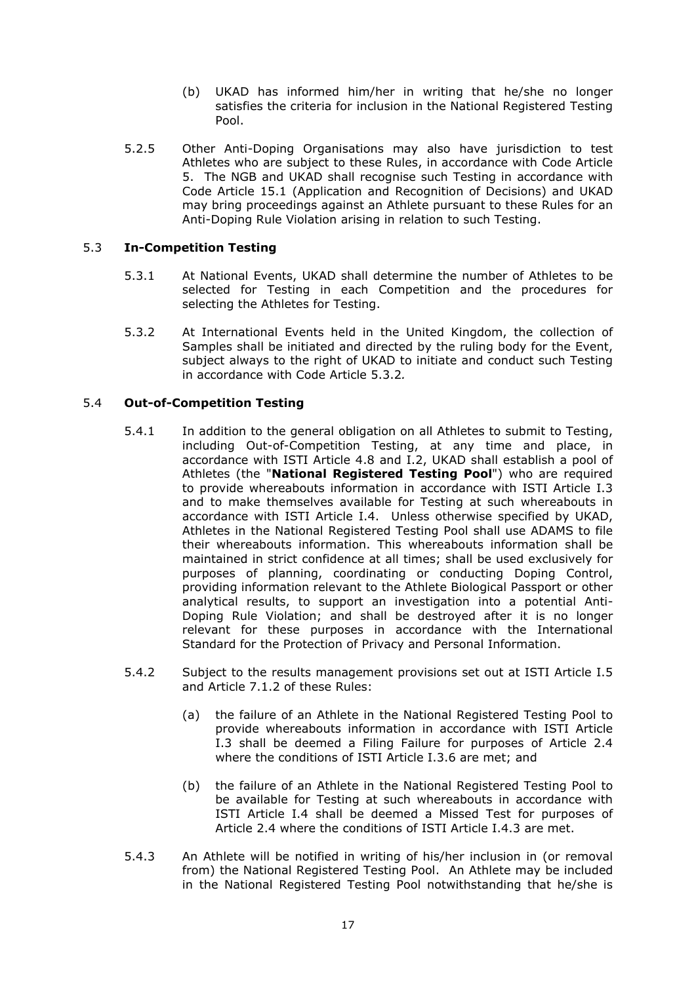- (b) UKAD has informed him/her in writing that he/she no longer satisfies the criteria for inclusion in the National Registered Testing Pool.
- 5.2.5 Other Anti-Doping Organisations may also have jurisdiction to test Athletes who are subject to these Rules, in accordance with Code Article 5. The NGB and UKAD shall recognise such Testing in accordance with Code Article 15.1 (Application and Recognition of Decisions) and UKAD may bring proceedings against an Athlete pursuant to these Rules for an Anti-Doping Rule Violation arising in relation to such Testing.

# 5.3 **In-Competition Testing**

- 5.3.1 At National Events, UKAD shall determine the number of Athletes to be selected for Testing in each Competition and the procedures for selecting the Athletes for Testing.
- 5.3.2 At International Events held in the United Kingdom, the collection of Samples shall be initiated and directed by the ruling body for the Event, subject always to the right of UKAD to initiate and conduct such Testing in accordance with Code Article 5.3.2*.*

# 5.4 **Out-of-Competition Testing**

- 5.4.1 In addition to the general obligation on all Athletes to submit to Testing, including Out-of-Competition Testing, at any time and place, in accordance with ISTI Article 4.8 and I.2, UKAD shall establish a pool of Athletes (the "**National Registered Testing Pool**") who are required to provide whereabouts information in accordance with ISTI Article I.3 and to make themselves available for Testing at such whereabouts in accordance with ISTI Article I.4. Unless otherwise specified by UKAD, Athletes in the National Registered Testing Pool shall use ADAMS to file their whereabouts information. This whereabouts information shall be maintained in strict confidence at all times; shall be used exclusively for purposes of planning, coordinating or conducting Doping Control, providing information relevant to the Athlete Biological Passport or other analytical results, to support an investigation into a potential Anti-Doping Rule Violation; and shall be destroyed after it is no longer relevant for these purposes in accordance with the International Standard for the Protection of Privacy and Personal Information.
- 5.4.2 Subject to the results management provisions set out at ISTI Article I.5 and Article 7.1.2 of these Rules:
	- (a) the failure of an Athlete in the National Registered Testing Pool to provide whereabouts information in accordance with ISTI Article I.3 shall be deemed a Filing Failure for purposes of Article 2.4 where the conditions of ISTI Article I.3.6 are met; and
	- (b) the failure of an Athlete in the National Registered Testing Pool to be available for Testing at such whereabouts in accordance with ISTI Article I.4 shall be deemed a Missed Test for purposes of Article 2.4 where the conditions of ISTI Article I.4.3 are met.
- 5.4.3 An Athlete will be notified in writing of his/her inclusion in (or removal from) the National Registered Testing Pool. An Athlete may be included in the National Registered Testing Pool notwithstanding that he/she is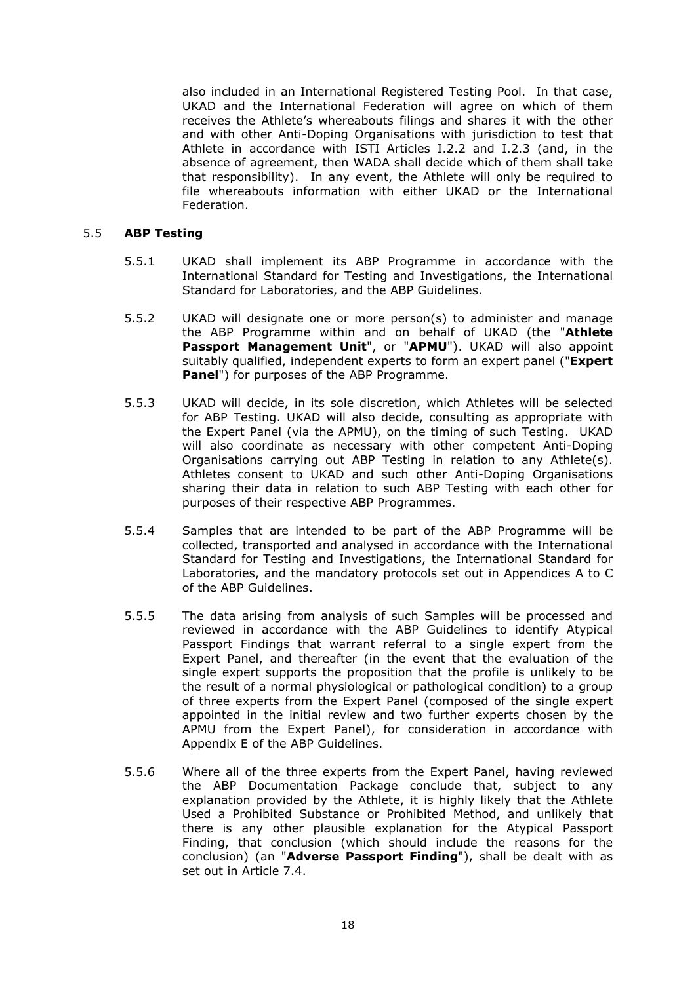also included in an International Registered Testing Pool. In that case, UKAD and the International Federation will agree on which of them receives the Athlete's whereabouts filings and shares it with the other and with other Anti-Doping Organisations with jurisdiction to test that Athlete in accordance with ISTI Articles I.2.2 and I.2.3 (and, in the absence of agreement, then WADA shall decide which of them shall take that responsibility). In any event, the Athlete will only be required to file whereabouts information with either UKAD or the International Federation.

### 5.5 **ABP Testing**

- 5.5.1 UKAD shall implement its ABP Programme in accordance with the International Standard for Testing and Investigations, the International Standard for Laboratories, and the ABP Guidelines.
- 5.5.2 UKAD will designate one or more person(s) to administer and manage the ABP Programme within and on behalf of UKAD (the "**Athlete Passport Management Unit**", or "**APMU**"). UKAD will also appoint suitably qualified, independent experts to form an expert panel ("**Expert Panel**") for purposes of the ABP Programme.
- 5.5.3 UKAD will decide, in its sole discretion, which Athletes will be selected for ABP Testing. UKAD will also decide, consulting as appropriate with the Expert Panel (via the APMU), on the timing of such Testing. UKAD will also coordinate as necessary with other competent Anti-Doping Organisations carrying out ABP Testing in relation to any Athlete(s). Athletes consent to UKAD and such other Anti-Doping Organisations sharing their data in relation to such ABP Testing with each other for purposes of their respective ABP Programmes.
- 5.5.4 Samples that are intended to be part of the ABP Programme will be collected, transported and analysed in accordance with the International Standard for Testing and Investigations, the International Standard for Laboratories, and the mandatory protocols set out in Appendices A to C of the ABP Guidelines.
- 5.5.5 The data arising from analysis of such Samples will be processed and reviewed in accordance with the ABP Guidelines to identify Atypical Passport Findings that warrant referral to a single expert from the Expert Panel, and thereafter (in the event that the evaluation of the single expert supports the proposition that the profile is unlikely to be the result of a normal physiological or pathological condition) to a group of three experts from the Expert Panel (composed of the single expert appointed in the initial review and two further experts chosen by the APMU from the Expert Panel), for consideration in accordance with Appendix E of the ABP Guidelines.
- 5.5.6 Where all of the three experts from the Expert Panel, having reviewed the ABP Documentation Package conclude that, subject to any explanation provided by the Athlete, it is highly likely that the Athlete Used a Prohibited Substance or Prohibited Method, and unlikely that there is any other plausible explanation for the Atypical Passport Finding, that conclusion (which should include the reasons for the conclusion) (an "**Adverse Passport Finding**"), shall be dealt with as set out in Article 7.4.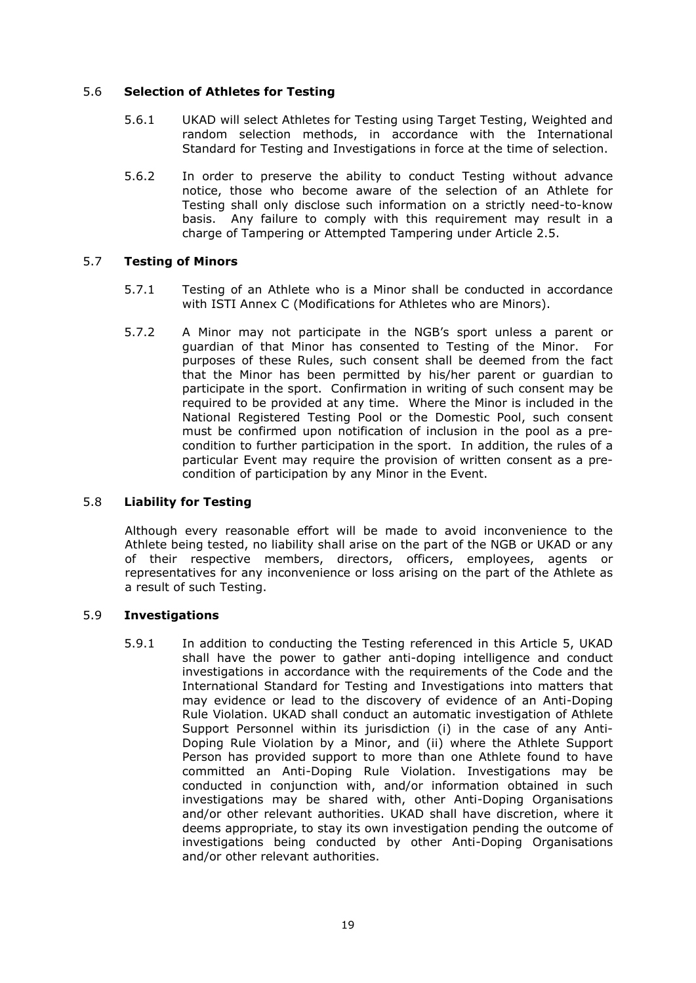# 5.6 **Selection of Athletes for Testing**

- 5.6.1 UKAD will select Athletes for Testing using Target Testing, Weighted and random selection methods, in accordance with the International Standard for Testing and Investigations in force at the time of selection.
- 5.6.2 In order to preserve the ability to conduct Testing without advance notice, those who become aware of the selection of an Athlete for Testing shall only disclose such information on a strictly need-to-know basis. Any failure to comply with this requirement may result in a charge of Tampering or Attempted Tampering under Article 2.5.

# 5.7 **Testing of Minors**

- 5.7.1 Testing of an Athlete who is a Minor shall be conducted in accordance with ISTI Annex C (Modifications for Athletes who are Minors).
- 5.7.2 A Minor may not participate in the NGB's sport unless a parent or guardian of that Minor has consented to Testing of the Minor. For purposes of these Rules, such consent shall be deemed from the fact that the Minor has been permitted by his/her parent or guardian to participate in the sport. Confirmation in writing of such consent may be required to be provided at any time. Where the Minor is included in the National Registered Testing Pool or the Domestic Pool, such consent must be confirmed upon notification of inclusion in the pool as a precondition to further participation in the sport. In addition, the rules of a particular Event may require the provision of written consent as a precondition of participation by any Minor in the Event.

### 5.8 **Liability for Testing**

Although every reasonable effort will be made to avoid inconvenience to the Athlete being tested, no liability shall arise on the part of the NGB or UKAD or any of their respective members, directors, officers, employees, agents or representatives for any inconvenience or loss arising on the part of the Athlete as a result of such Testing.

### 5.9 **Investigations**

5.9.1 In addition to conducting the Testing referenced in this Article 5, UKAD shall have the power to gather anti-doping intelligence and conduct investigations in accordance with the requirements of the Code and the International Standard for Testing and Investigations into matters that may evidence or lead to the discovery of evidence of an Anti-Doping Rule Violation. UKAD shall conduct an automatic investigation of Athlete Support Personnel within its jurisdiction (i) in the case of any Anti-Doping Rule Violation by a Minor, and (ii) where the Athlete Support Person has provided support to more than one Athlete found to have committed an Anti-Doping Rule Violation. Investigations may be conducted in conjunction with, and/or information obtained in such investigations may be shared with, other Anti-Doping Organisations and/or other relevant authorities. UKAD shall have discretion, where it deems appropriate, to stay its own investigation pending the outcome of investigations being conducted by other Anti-Doping Organisations and/or other relevant authorities.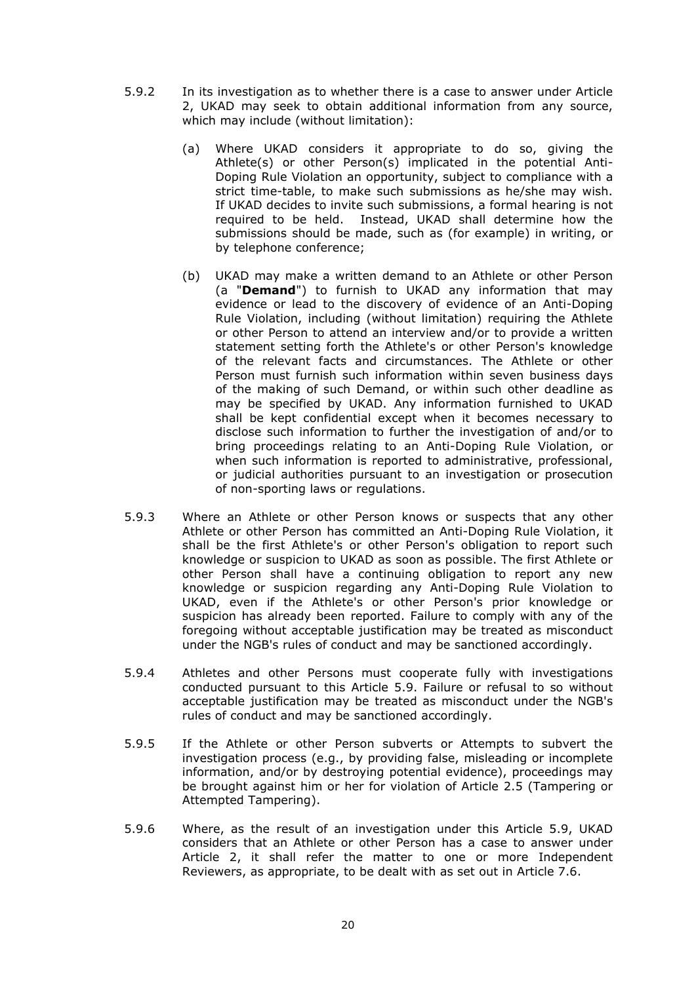- 5.9.2 In its investigation as to whether there is a case to answer under Article 2, UKAD may seek to obtain additional information from any source, which may include (without limitation):
	- (a) Where UKAD considers it appropriate to do so, giving the Athlete(s) or other Person(s) implicated in the potential Anti-Doping Rule Violation an opportunity, subject to compliance with a strict time-table, to make such submissions as he/she may wish. If UKAD decides to invite such submissions, a formal hearing is not required to be held. Instead, UKAD shall determine how the submissions should be made, such as (for example) in writing, or by telephone conference;
	- (b) UKAD may make a written demand to an Athlete or other Person (a "**Demand**") to furnish to UKAD any information that may evidence or lead to the discovery of evidence of an Anti-Doping Rule Violation, including (without limitation) requiring the Athlete or other Person to attend an interview and/or to provide a written statement setting forth the Athlete's or other Person's knowledge of the relevant facts and circumstances. The Athlete or other Person must furnish such information within seven business days of the making of such Demand, or within such other deadline as may be specified by UKAD. Any information furnished to UKAD shall be kept confidential except when it becomes necessary to disclose such information to further the investigation of and/or to bring proceedings relating to an Anti-Doping Rule Violation, or when such information is reported to administrative, professional, or judicial authorities pursuant to an investigation or prosecution of non-sporting laws or regulations.
- 5.9.3 Where an Athlete or other Person knows or suspects that any other Athlete or other Person has committed an Anti-Doping Rule Violation, it shall be the first Athlete's or other Person's obligation to report such knowledge or suspicion to UKAD as soon as possible. The first Athlete or other Person shall have a continuing obligation to report any new knowledge or suspicion regarding any Anti-Doping Rule Violation to UKAD, even if the Athlete's or other Person's prior knowledge or suspicion has already been reported. Failure to comply with any of the foregoing without acceptable justification may be treated as misconduct under the NGB's rules of conduct and may be sanctioned accordingly.
- 5.9.4 Athletes and other Persons must cooperate fully with investigations conducted pursuant to this Article 5.9. Failure or refusal to so without acceptable justification may be treated as misconduct under the NGB's rules of conduct and may be sanctioned accordingly.
- 5.9.5 If the Athlete or other Person subverts or Attempts to subvert the investigation process (e.g., by providing false, misleading or incomplete information, and/or by destroying potential evidence), proceedings may be brought against him or her for violation of Article 2.5 (Tampering or Attempted Tampering).
- 5.9.6 Where, as the result of an investigation under this Article 5.9, UKAD considers that an Athlete or other Person has a case to answer under Article 2, it shall refer the matter to one or more Independent Reviewers, as appropriate, to be dealt with as set out in Article 7.6.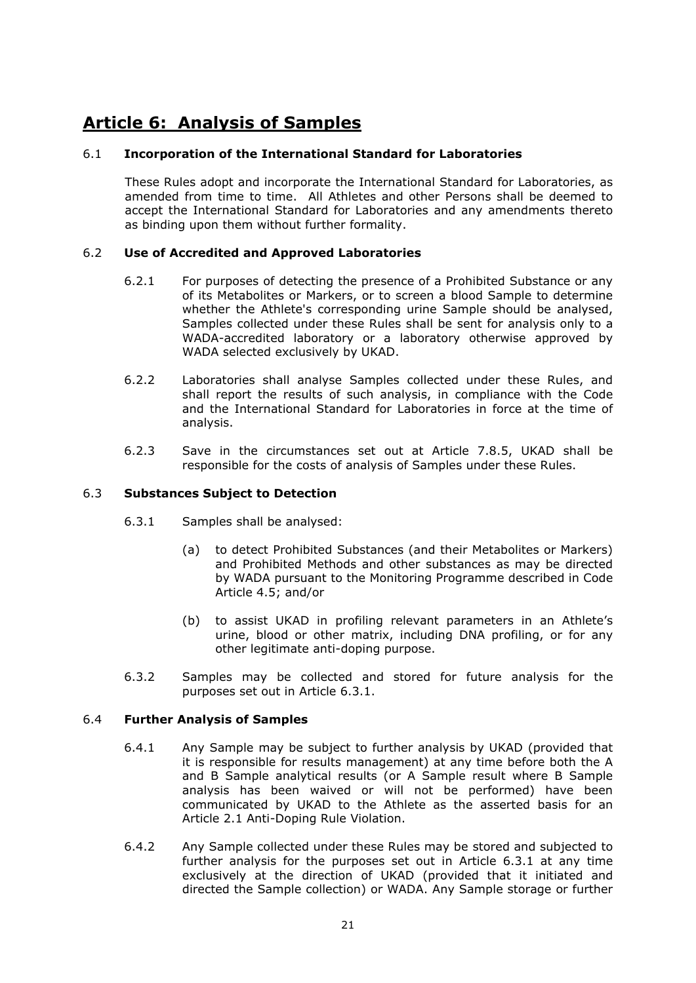# **Article 6: Analysis of Samples**

# 6.1 **Incorporation of the International Standard for Laboratories**

These Rules adopt and incorporate the International Standard for Laboratories, as amended from time to time. All Athletes and other Persons shall be deemed to accept the International Standard for Laboratories and any amendments thereto as binding upon them without further formality.

# 6.2 **Use of Accredited and Approved Laboratories**

- 6.2.1 For purposes of detecting the presence of a Prohibited Substance or any of its Metabolites or Markers, or to screen a blood Sample to determine whether the Athlete's corresponding urine Sample should be analysed, Samples collected under these Rules shall be sent for analysis only to a WADA-accredited laboratory or a laboratory otherwise approved by WADA selected exclusively by UKAD.
- 6.2.2 Laboratories shall analyse Samples collected under these Rules, and shall report the results of such analysis, in compliance with the Code and the International Standard for Laboratories in force at the time of analysis.
- 6.2.3 Save in the circumstances set out at Article 7.8.5, UKAD shall be responsible for the costs of analysis of Samples under these Rules.

# 6.3 **Substances Subject to Detection**

- 6.3.1 Samples shall be analysed:
	- (a) to detect Prohibited Substances (and their Metabolites or Markers) and Prohibited Methods and other substances as may be directed by WADA pursuant to the Monitoring Programme described in Code Article 4.5; and/or
	- (b) to assist UKAD in profiling relevant parameters in an Athlete's urine, blood or other matrix, including DNA profiling, or for any other legitimate anti-doping purpose.
- 6.3.2 Samples may be collected and stored for future analysis for the purposes set out in Article 6.3.1.

# 6.4 **Further Analysis of Samples**

- 6.4.1 Any Sample may be subject to further analysis by UKAD (provided that it is responsible for results management) at any time before both the A and B Sample analytical results (or A Sample result where B Sample analysis has been waived or will not be performed) have been communicated by UKAD to the Athlete as the asserted basis for an Article 2.1 Anti-Doping Rule Violation.
- 6.4.2 Any Sample collected under these Rules may be stored and subjected to further analysis for the purposes set out in Article 6.3.1 at any time exclusively at the direction of UKAD (provided that it initiated and directed the Sample collection) or WADA. Any Sample storage or further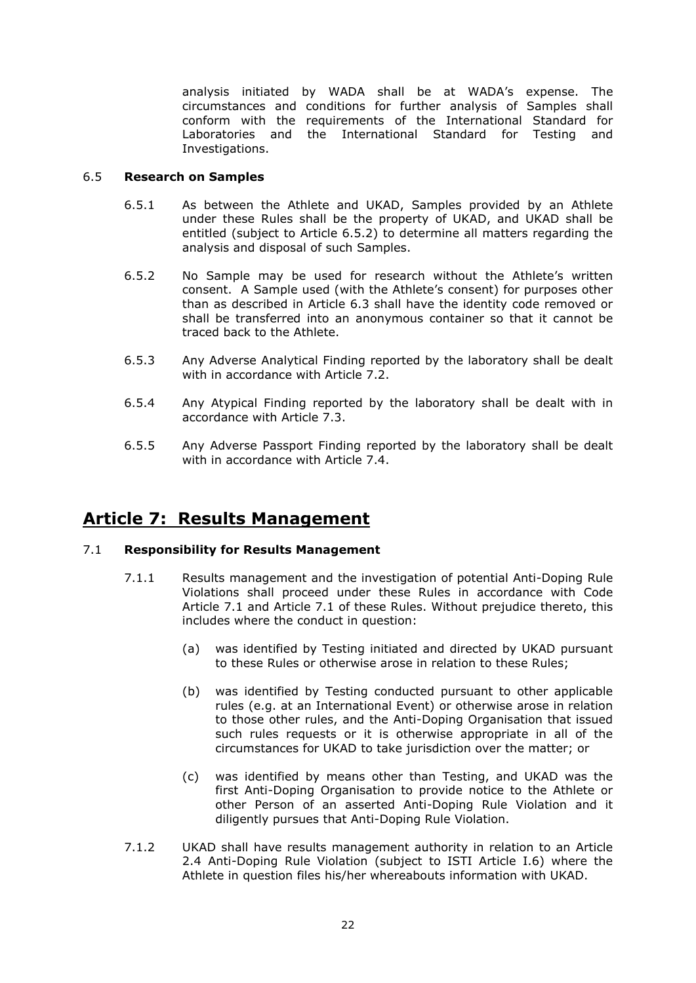analysis initiated by WADA shall be at WADA's expense. The circumstances and conditions for further analysis of Samples shall conform with the requirements of the International Standard for Laboratories and the International Standard for Testing and Investigations.

# 6.5 **Research on Samples**

- 6.5.1 As between the Athlete and UKAD, Samples provided by an Athlete under these Rules shall be the property of UKAD, and UKAD shall be entitled (subject to Article 6.5.2) to determine all matters regarding the analysis and disposal of such Samples.
- 6.5.2 No Sample may be used for research without the Athlete's written consent. A Sample used (with the Athlete's consent) for purposes other than as described in Article 6.3 shall have the identity code removed or shall be transferred into an anonymous container so that it cannot be traced back to the Athlete.
- 6.5.3 Any Adverse Analytical Finding reported by the laboratory shall be dealt with in accordance with Article 7.2.
- 6.5.4 Any Atypical Finding reported by the laboratory shall be dealt with in accordance with Article 7.3.
- 6.5.5 Any Adverse Passport Finding reported by the laboratory shall be dealt with in accordance with Article 7.4.

# **Article 7: Results Management**

# 7.1 **Responsibility for Results Management**

- 7.1.1 Results management and the investigation of potential Anti-Doping Rule Violations shall proceed under these Rules in accordance with Code Article 7.1 and Article 7.1 of these Rules. Without prejudice thereto, this includes where the conduct in question:
	- (a) was identified by Testing initiated and directed by UKAD pursuant to these Rules or otherwise arose in relation to these Rules;
	- (b) was identified by Testing conducted pursuant to other applicable rules (e.g. at an International Event) or otherwise arose in relation to those other rules, and the Anti-Doping Organisation that issued such rules requests or it is otherwise appropriate in all of the circumstances for UKAD to take jurisdiction over the matter; or
	- (c) was identified by means other than Testing, and UKAD was the first Anti-Doping Organisation to provide notice to the Athlete or other Person of an asserted Anti-Doping Rule Violation and it diligently pursues that Anti-Doping Rule Violation.
- 7.1.2 UKAD shall have results management authority in relation to an Article 2.4 Anti-Doping Rule Violation (subject to ISTI Article I.6) where the Athlete in question files his/her whereabouts information with UKAD.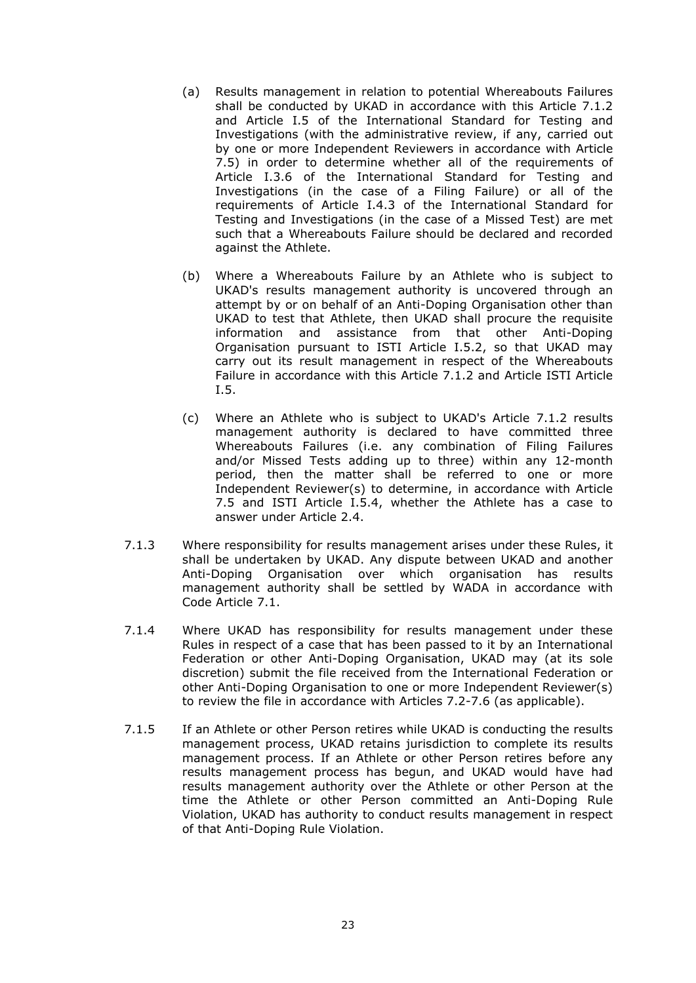- (a) Results management in relation to potential Whereabouts Failures shall be conducted by UKAD in accordance with this Article 7.1.2 and Article I.5 of the International Standard for Testing and Investigations (with the administrative review, if any, carried out by one or more Independent Reviewers in accordance with Article 7.5) in order to determine whether all of the requirements of Article I.3.6 of the International Standard for Testing and Investigations (in the case of a Filing Failure) or all of the requirements of Article I.4.3 of the International Standard for Testing and Investigations (in the case of a Missed Test) are met such that a Whereabouts Failure should be declared and recorded against the Athlete.
- (b) Where a Whereabouts Failure by an Athlete who is subject to UKAD's results management authority is uncovered through an attempt by or on behalf of an Anti-Doping Organisation other than UKAD to test that Athlete, then UKAD shall procure the requisite information and assistance from that other Anti-Doping Organisation pursuant to ISTI Article I.5.2, so that UKAD may carry out its result management in respect of the Whereabouts Failure in accordance with this Article 7.1.2 and Article ISTI Article I.5.
- (c) Where an Athlete who is subject to UKAD's Article 7.1.2 results management authority is declared to have committed three Whereabouts Failures (i.e. any combination of Filing Failures and/or Missed Tests adding up to three) within any 12-month period, then the matter shall be referred to one or more Independent Reviewer(s) to determine, in accordance with Article 7.5 and ISTI Article I.5.4, whether the Athlete has a case to answer under Article 2.4.
- 7.1.3 Where responsibility for results management arises under these Rules, it shall be undertaken by UKAD. Any dispute between UKAD and another Anti-Doping Organisation over which organisation has results management authority shall be settled by WADA in accordance with Code Article 7.1.
- 7.1.4 Where UKAD has responsibility for results management under these Rules in respect of a case that has been passed to it by an International Federation or other Anti-Doping Organisation, UKAD may (at its sole discretion) submit the file received from the International Federation or other Anti-Doping Organisation to one or more Independent Reviewer(s) to review the file in accordance with Articles 7.2-7.6 (as applicable).
- 7.1.5 If an Athlete or other Person retires while UKAD is conducting the results management process, UKAD retains jurisdiction to complete its results management process. If an Athlete or other Person retires before any results management process has begun, and UKAD would have had results management authority over the Athlete or other Person at the time the Athlete or other Person committed an Anti-Doping Rule Violation, UKAD has authority to conduct results management in respect of that Anti-Doping Rule Violation.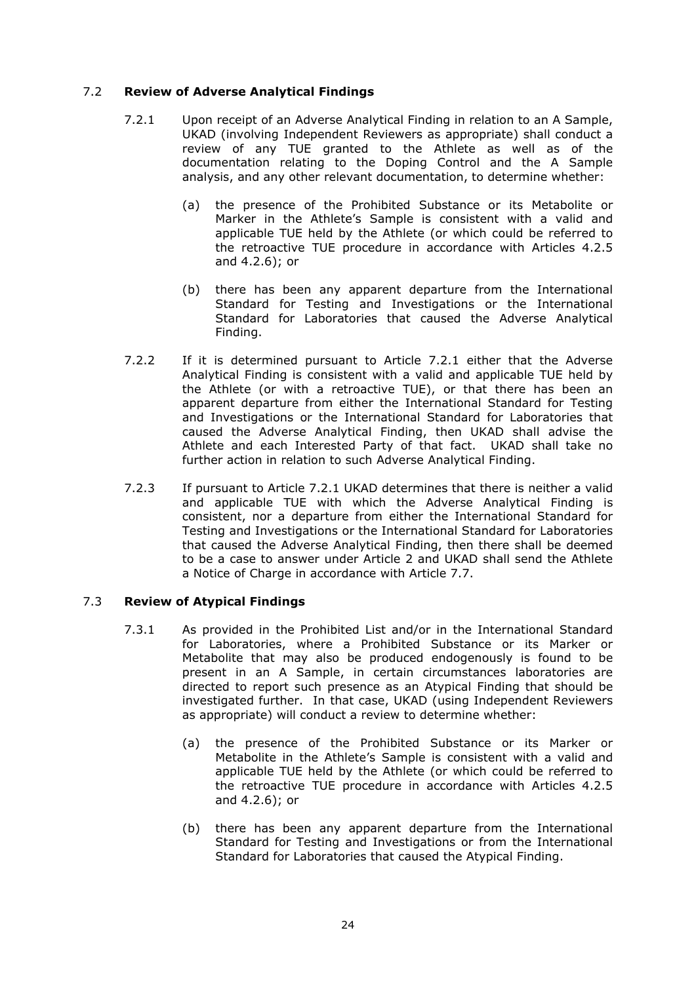# 7.2 **Review of Adverse Analytical Findings**

- 7.2.1 Upon receipt of an Adverse Analytical Finding in relation to an A Sample, UKAD (involving Independent Reviewers as appropriate) shall conduct a review of any TUE granted to the Athlete as well as of the documentation relating to the Doping Control and the A Sample analysis, and any other relevant documentation, to determine whether:
	- (a) the presence of the Prohibited Substance or its Metabolite or Marker in the Athlete's Sample is consistent with a valid and applicable TUE held by the Athlete (or which could be referred to the retroactive TUE procedure in accordance with Articles 4.2.5 and 4.2.6); or
	- (b) there has been any apparent departure from the International Standard for Testing and Investigations or the International Standard for Laboratories that caused the Adverse Analytical Finding.
- 7.2.2 If it is determined pursuant to Article 7.2.1 either that the Adverse Analytical Finding is consistent with a valid and applicable TUE held by the Athlete (or with a retroactive TUE), or that there has been an apparent departure from either the International Standard for Testing and Investigations or the International Standard for Laboratories that caused the Adverse Analytical Finding, then UKAD shall advise the Athlete and each Interested Party of that fact. UKAD shall take no further action in relation to such Adverse Analytical Finding.
- 7.2.3 If pursuant to Article 7.2.1 UKAD determines that there is neither a valid and applicable TUE with which the Adverse Analytical Finding is consistent, nor a departure from either the International Standard for Testing and Investigations or the International Standard for Laboratories that caused the Adverse Analytical Finding, then there shall be deemed to be a case to answer under Article 2 and UKAD shall send the Athlete a Notice of Charge in accordance with Article 7.7.

# 7.3 **Review of Atypical Findings**

- 7.3.1 As provided in the Prohibited List and/or in the International Standard for Laboratories, where a Prohibited Substance or its Marker or Metabolite that may also be produced endogenously is found to be present in an A Sample, in certain circumstances laboratories are directed to report such presence as an Atypical Finding that should be investigated further. In that case, UKAD (using Independent Reviewers as appropriate) will conduct a review to determine whether:
	- (a) the presence of the Prohibited Substance or its Marker or Metabolite in the Athlete's Sample is consistent with a valid and applicable TUE held by the Athlete (or which could be referred to the retroactive TUE procedure in accordance with Articles 4.2.5 and 4.2.6); or
	- (b) there has been any apparent departure from the International Standard for Testing and Investigations or from the International Standard for Laboratories that caused the Atypical Finding.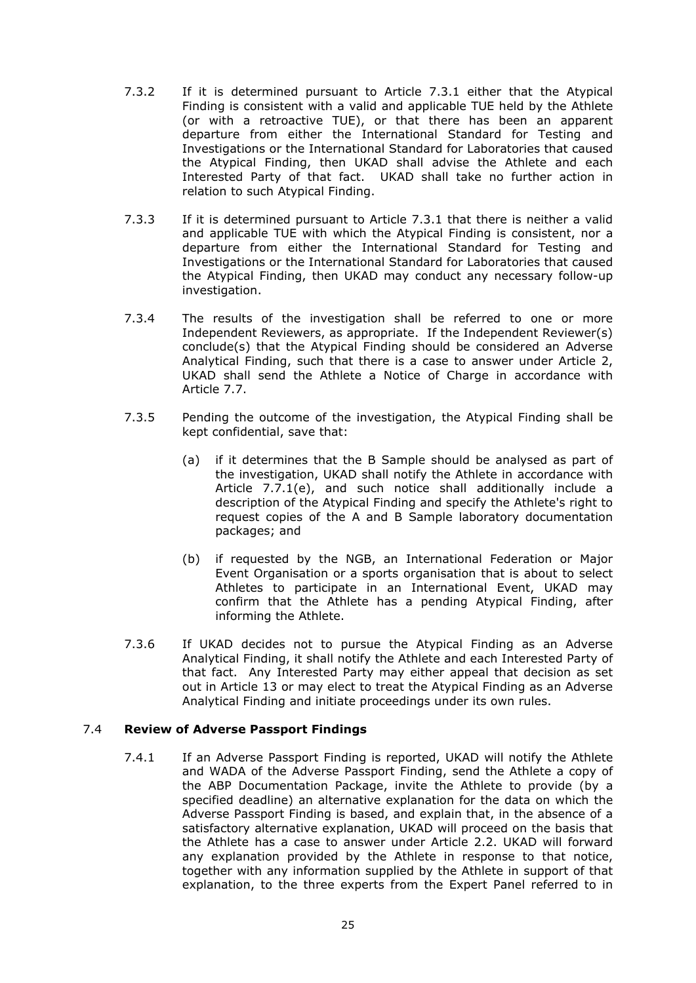- 7.3.2 If it is determined pursuant to Article 7.3.1 either that the Atypical Finding is consistent with a valid and applicable TUE held by the Athlete (or with a retroactive TUE), or that there has been an apparent departure from either the International Standard for Testing and Investigations or the International Standard for Laboratories that caused the Atypical Finding, then UKAD shall advise the Athlete and each Interested Party of that fact. UKAD shall take no further action in relation to such Atypical Finding.
- 7.3.3 If it is determined pursuant to Article 7.3.1 that there is neither a valid and applicable TUE with which the Atypical Finding is consistent, nor a departure from either the International Standard for Testing and Investigations or the International Standard for Laboratories that caused the Atypical Finding, then UKAD may conduct any necessary follow-up investigation.
- 7.3.4 The results of the investigation shall be referred to one or more Independent Reviewers, as appropriate. If the Independent Reviewer(s) conclude(s) that the Atypical Finding should be considered an Adverse Analytical Finding, such that there is a case to answer under Article 2, UKAD shall send the Athlete a Notice of Charge in accordance with Article 7.7.
- 7.3.5 Pending the outcome of the investigation, the Atypical Finding shall be kept confidential, save that:
	- (a) if it determines that the B Sample should be analysed as part of the investigation, UKAD shall notify the Athlete in accordance with Article 7.7.1(e), and such notice shall additionally include a description of the Atypical Finding and specify the Athlete's right to request copies of the A and B Sample laboratory documentation packages; and
	- (b) if requested by the NGB, an International Federation or Major Event Organisation or a sports organisation that is about to select Athletes to participate in an International Event, UKAD may confirm that the Athlete has a pending Atypical Finding, after informing the Athlete.
- 7.3.6 If UKAD decides not to pursue the Atypical Finding as an Adverse Analytical Finding, it shall notify the Athlete and each Interested Party of that fact. Any Interested Party may either appeal that decision as set out in Article 13 or may elect to treat the Atypical Finding as an Adverse Analytical Finding and initiate proceedings under its own rules.

### 7.4 **Review of Adverse Passport Findings**

7.4.1 If an Adverse Passport Finding is reported, UKAD will notify the Athlete and WADA of the Adverse Passport Finding, send the Athlete a copy of the ABP Documentation Package, invite the Athlete to provide (by a specified deadline) an alternative explanation for the data on which the Adverse Passport Finding is based, and explain that, in the absence of a satisfactory alternative explanation, UKAD will proceed on the basis that the Athlete has a case to answer under Article 2.2. UKAD will forward any explanation provided by the Athlete in response to that notice, together with any information supplied by the Athlete in support of that explanation, to the three experts from the Expert Panel referred to in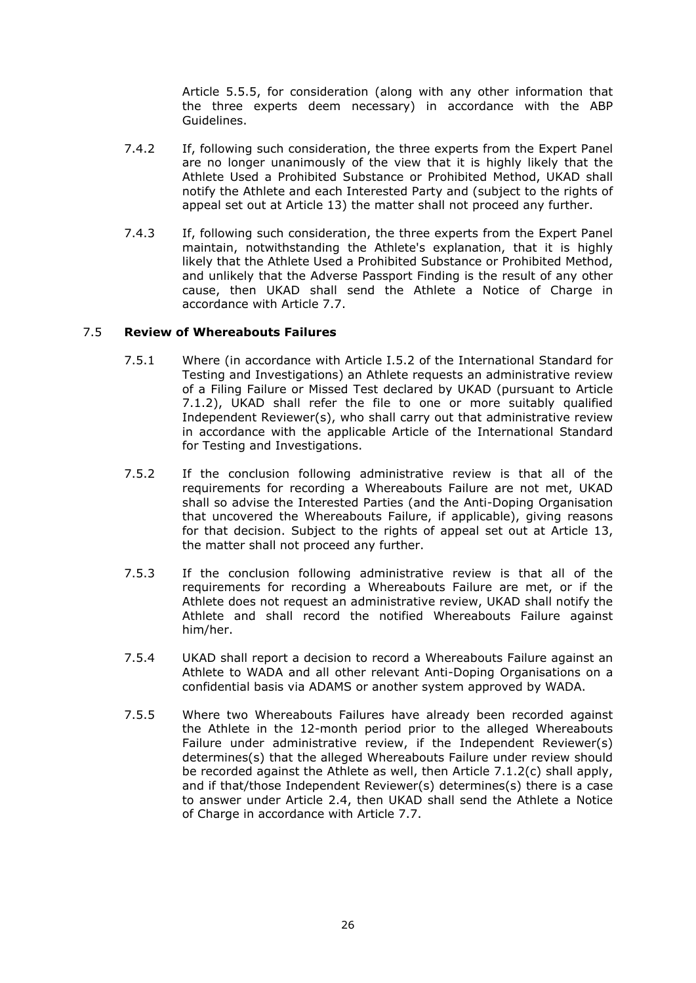Article 5.5.5, for consideration (along with any other information that the three experts deem necessary) in accordance with the ABP Guidelines.

- 7.4.2 If, following such consideration, the three experts from the Expert Panel are no longer unanimously of the view that it is highly likely that the Athlete Used a Prohibited Substance or Prohibited Method, UKAD shall notify the Athlete and each Interested Party and (subject to the rights of appeal set out at Article 13) the matter shall not proceed any further.
- 7.4.3 If, following such consideration, the three experts from the Expert Panel maintain, notwithstanding the Athlete's explanation, that it is highly likely that the Athlete Used a Prohibited Substance or Prohibited Method, and unlikely that the Adverse Passport Finding is the result of any other cause, then UKAD shall send the Athlete a Notice of Charge in accordance with Article 7.7.

# 7.5 **Review of Whereabouts Failures**

- 7.5.1 Where (in accordance with Article I.5.2 of the International Standard for Testing and Investigations) an Athlete requests an administrative review of a Filing Failure or Missed Test declared by UKAD (pursuant to Article 7.1.2), UKAD shall refer the file to one or more suitably qualified Independent Reviewer(s), who shall carry out that administrative review in accordance with the applicable Article of the International Standard for Testing and Investigations.
- 7.5.2 If the conclusion following administrative review is that all of the requirements for recording a Whereabouts Failure are not met, UKAD shall so advise the Interested Parties (and the Anti-Doping Organisation that uncovered the Whereabouts Failure, if applicable), giving reasons for that decision. Subject to the rights of appeal set out at Article 13, the matter shall not proceed any further.
- 7.5.3 If the conclusion following administrative review is that all of the requirements for recording a Whereabouts Failure are met, or if the Athlete does not request an administrative review, UKAD shall notify the Athlete and shall record the notified Whereabouts Failure against him/her.
- 7.5.4 UKAD shall report a decision to record a Whereabouts Failure against an Athlete to WADA and all other relevant Anti-Doping Organisations on a confidential basis via ADAMS or another system approved by WADA.
- 7.5.5 Where two Whereabouts Failures have already been recorded against the Athlete in the 12-month period prior to the alleged Whereabouts Failure under administrative review, if the Independent Reviewer(s) determines(s) that the alleged Whereabouts Failure under review should be recorded against the Athlete as well, then Article 7.1.2(c) shall apply, and if that/those Independent Reviewer(s) determines(s) there is a case to answer under Article 2.4, then UKAD shall send the Athlete a Notice of Charge in accordance with Article 7.7.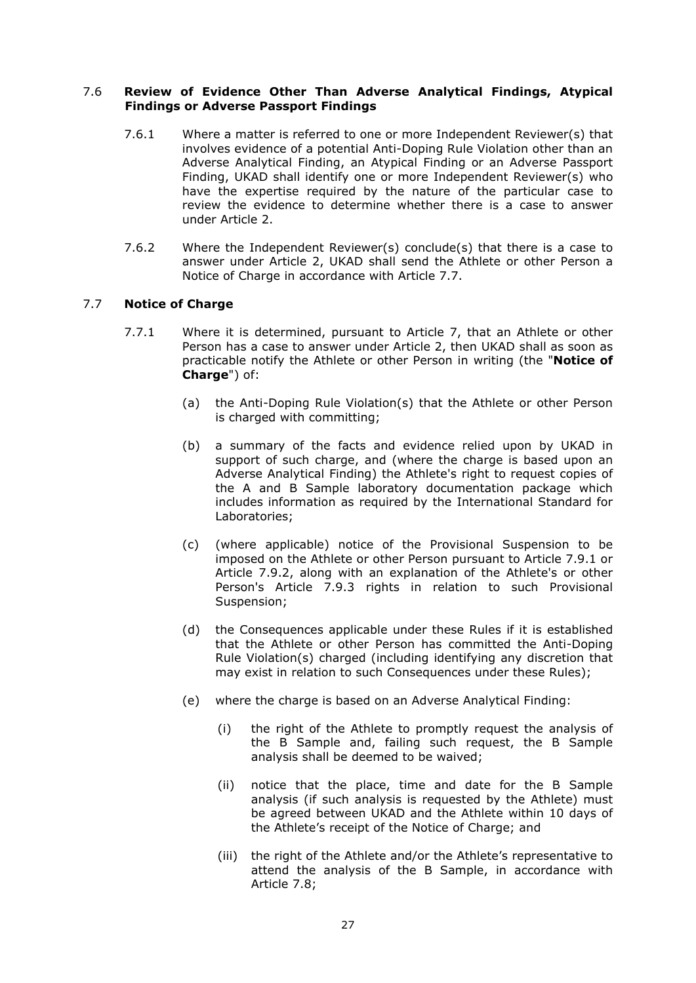# 7.6 **Review of Evidence Other Than Adverse Analytical Findings, Atypical Findings or Adverse Passport Findings**

- 7.6.1 Where a matter is referred to one or more Independent Reviewer(s) that involves evidence of a potential Anti-Doping Rule Violation other than an Adverse Analytical Finding, an Atypical Finding or an Adverse Passport Finding, UKAD shall identify one or more Independent Reviewer(s) who have the expertise required by the nature of the particular case to review the evidence to determine whether there is a case to answer under Article 2.
- 7.6.2 Where the Independent Reviewer(s) conclude(s) that there is a case to answer under Article 2, UKAD shall send the Athlete or other Person a Notice of Charge in accordance with Article 7.7.

# 7.7 **Notice of Charge**

- 7.7.1 Where it is determined, pursuant to Article 7, that an Athlete or other Person has a case to answer under Article 2, then UKAD shall as soon as practicable notify the Athlete or other Person in writing (the "**Notice of Charge**") of:
	- (a) the Anti-Doping Rule Violation(s) that the Athlete or other Person is charged with committing;
	- (b) a summary of the facts and evidence relied upon by UKAD in support of such charge, and (where the charge is based upon an Adverse Analytical Finding) the Athlete's right to request copies of the A and B Sample laboratory documentation package which includes information as required by the International Standard for Laboratories;
	- (c) (where applicable) notice of the Provisional Suspension to be imposed on the Athlete or other Person pursuant to Article 7.9.1 or Article 7.9.2, along with an explanation of the Athlete's or other Person's Article 7.9.3 rights in relation to such Provisional Suspension;
	- (d) the Consequences applicable under these Rules if it is established that the Athlete or other Person has committed the Anti-Doping Rule Violation(s) charged (including identifying any discretion that may exist in relation to such Consequences under these Rules);
	- (e) where the charge is based on an Adverse Analytical Finding:
		- (i) the right of the Athlete to promptly request the analysis of the B Sample and, failing such request, the B Sample analysis shall be deemed to be waived;
		- (ii) notice that the place, time and date for the B Sample analysis (if such analysis is requested by the Athlete) must be agreed between UKAD and the Athlete within 10 days of the Athlete's receipt of the Notice of Charge; and
		- (iii) the right of the Athlete and/or the Athlete's representative to attend the analysis of the B Sample, in accordance with Article 7.8;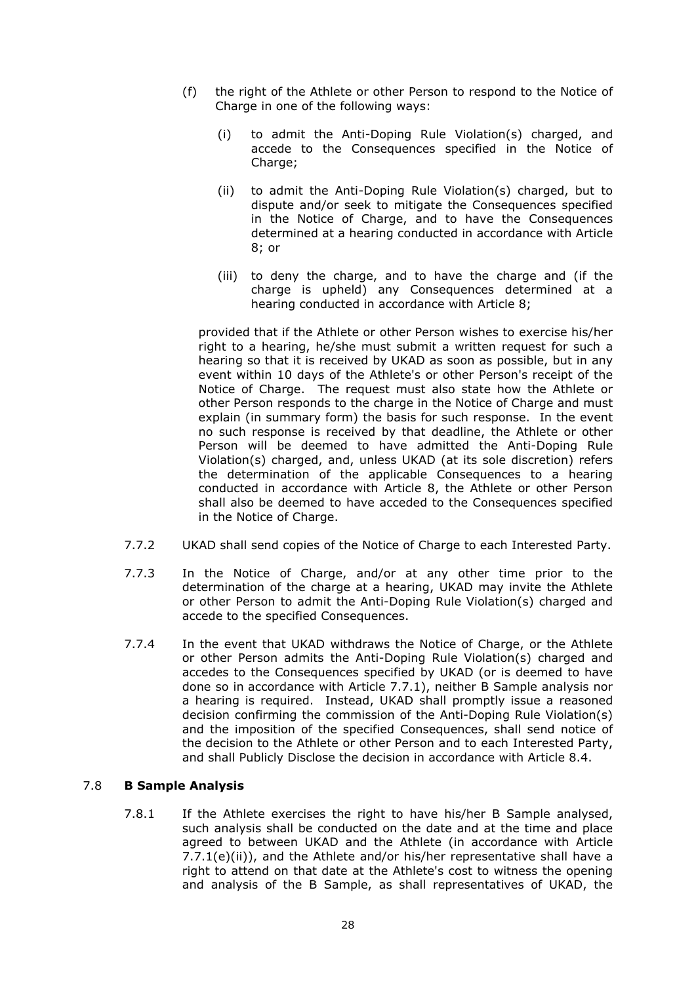- (f) the right of the Athlete or other Person to respond to the Notice of Charge in one of the following ways:
	- (i) to admit the Anti-Doping Rule Violation(s) charged, and accede to the Consequences specified in the Notice of Charge;
	- (ii) to admit the Anti-Doping Rule Violation(s) charged, but to dispute and/or seek to mitigate the Consequences specified in the Notice of Charge, and to have the Consequences determined at a hearing conducted in accordance with Article 8; or
	- (iii) to deny the charge, and to have the charge and (if the charge is upheld) any Consequences determined at a hearing conducted in accordance with Article 8;

provided that if the Athlete or other Person wishes to exercise his/her right to a hearing, he/she must submit a written request for such a hearing so that it is received by UKAD as soon as possible, but in any event within 10 days of the Athlete's or other Person's receipt of the Notice of Charge. The request must also state how the Athlete or other Person responds to the charge in the Notice of Charge and must explain (in summary form) the basis for such response. In the event no such response is received by that deadline, the Athlete or other Person will be deemed to have admitted the Anti-Doping Rule Violation(s) charged, and, unless UKAD (at its sole discretion) refers the determination of the applicable Consequences to a hearing conducted in accordance with Article 8, the Athlete or other Person shall also be deemed to have acceded to the Consequences specified in the Notice of Charge.

- 7.7.2 UKAD shall send copies of the Notice of Charge to each Interested Party.
- 7.7.3 In the Notice of Charge, and/or at any other time prior to the determination of the charge at a hearing, UKAD may invite the Athlete or other Person to admit the Anti-Doping Rule Violation(s) charged and accede to the specified Consequences.
- 7.7.4 In the event that UKAD withdraws the Notice of Charge, or the Athlete or other Person admits the Anti-Doping Rule Violation(s) charged and accedes to the Consequences specified by UKAD (or is deemed to have done so in accordance with Article 7.7.1), neither B Sample analysis nor a hearing is required. Instead, UKAD shall promptly issue a reasoned decision confirming the commission of the Anti-Doping Rule Violation(s) and the imposition of the specified Consequences, shall send notice of the decision to the Athlete or other Person and to each Interested Party, and shall Publicly Disclose the decision in accordance with Article 8.4.

# 7.8 **B Sample Analysis**

7.8.1 If the Athlete exercises the right to have his/her B Sample analysed, such analysis shall be conducted on the date and at the time and place agreed to between UKAD and the Athlete (in accordance with Article 7.7.1(e)(ii)), and the Athlete and/or his/her representative shall have a right to attend on that date at the Athlete's cost to witness the opening and analysis of the B Sample, as shall representatives of UKAD, the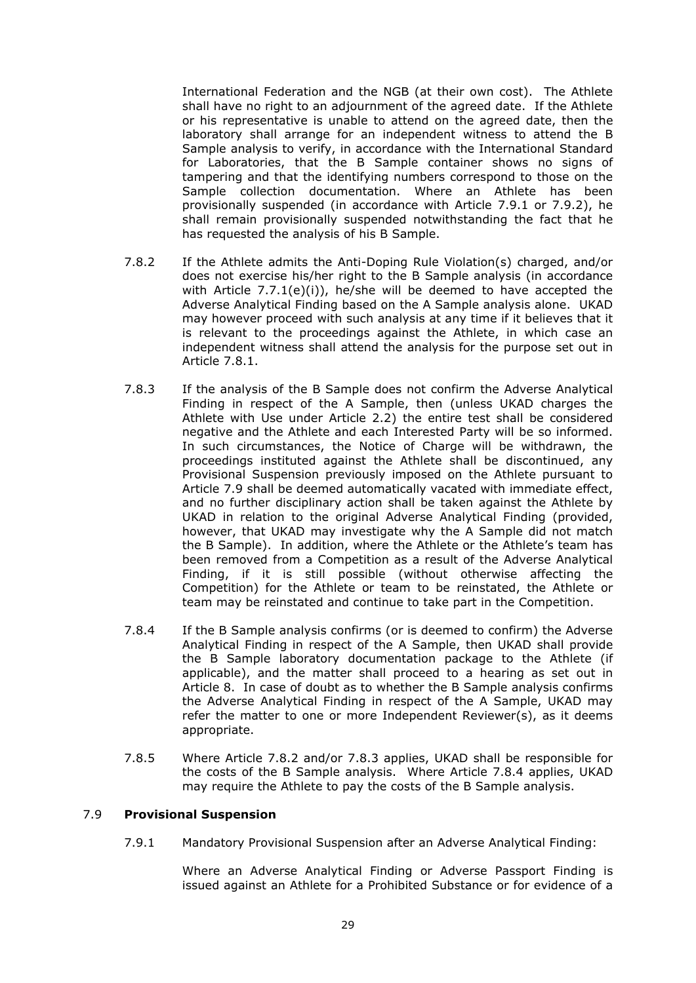International Federation and the NGB (at their own cost). The Athlete shall have no right to an adjournment of the agreed date. If the Athlete or his representative is unable to attend on the agreed date, then the laboratory shall arrange for an independent witness to attend the B Sample analysis to verify, in accordance with the International Standard for Laboratories, that the B Sample container shows no signs of tampering and that the identifying numbers correspond to those on the Sample collection documentation. Where an Athlete has been provisionally suspended (in accordance with Article 7.9.1 or 7.9.2), he shall remain provisionally suspended notwithstanding the fact that he has requested the analysis of his B Sample.

- 7.8.2 If the Athlete admits the Anti-Doping Rule Violation(s) charged, and/or does not exercise his/her right to the B Sample analysis (in accordance with Article 7.7.1(e)(i)), he/she will be deemed to have accepted the Adverse Analytical Finding based on the A Sample analysis alone. UKAD may however proceed with such analysis at any time if it believes that it is relevant to the proceedings against the Athlete, in which case an independent witness shall attend the analysis for the purpose set out in Article 7.8.1.
- 7.8.3 If the analysis of the B Sample does not confirm the Adverse Analytical Finding in respect of the A Sample, then (unless UKAD charges the Athlete with Use under Article 2.2) the entire test shall be considered negative and the Athlete and each Interested Party will be so informed. In such circumstances, the Notice of Charge will be withdrawn, the proceedings instituted against the Athlete shall be discontinued, any Provisional Suspension previously imposed on the Athlete pursuant to Article 7.9 shall be deemed automatically vacated with immediate effect, and no further disciplinary action shall be taken against the Athlete by UKAD in relation to the original Adverse Analytical Finding (provided, however, that UKAD may investigate why the A Sample did not match the B Sample). In addition, where the Athlete or the Athlete's team has been removed from a Competition as a result of the Adverse Analytical Finding, if it is still possible (without otherwise affecting the Competition) for the Athlete or team to be reinstated, the Athlete or team may be reinstated and continue to take part in the Competition.
- 7.8.4 If the B Sample analysis confirms (or is deemed to confirm) the Adverse Analytical Finding in respect of the A Sample, then UKAD shall provide the B Sample laboratory documentation package to the Athlete (if applicable), and the matter shall proceed to a hearing as set out in Article 8. In case of doubt as to whether the B Sample analysis confirms the Adverse Analytical Finding in respect of the A Sample, UKAD may refer the matter to one or more Independent Reviewer(s), as it deems appropriate.
- 7.8.5 Where Article 7.8.2 and/or 7.8.3 applies, UKAD shall be responsible for the costs of the B Sample analysis. Where Article 7.8.4 applies, UKAD may require the Athlete to pay the costs of the B Sample analysis.

### 7.9 **Provisional Suspension**

7.9.1 Mandatory Provisional Suspension after an Adverse Analytical Finding:

Where an Adverse Analytical Finding or Adverse Passport Finding is issued against an Athlete for a Prohibited Substance or for evidence of a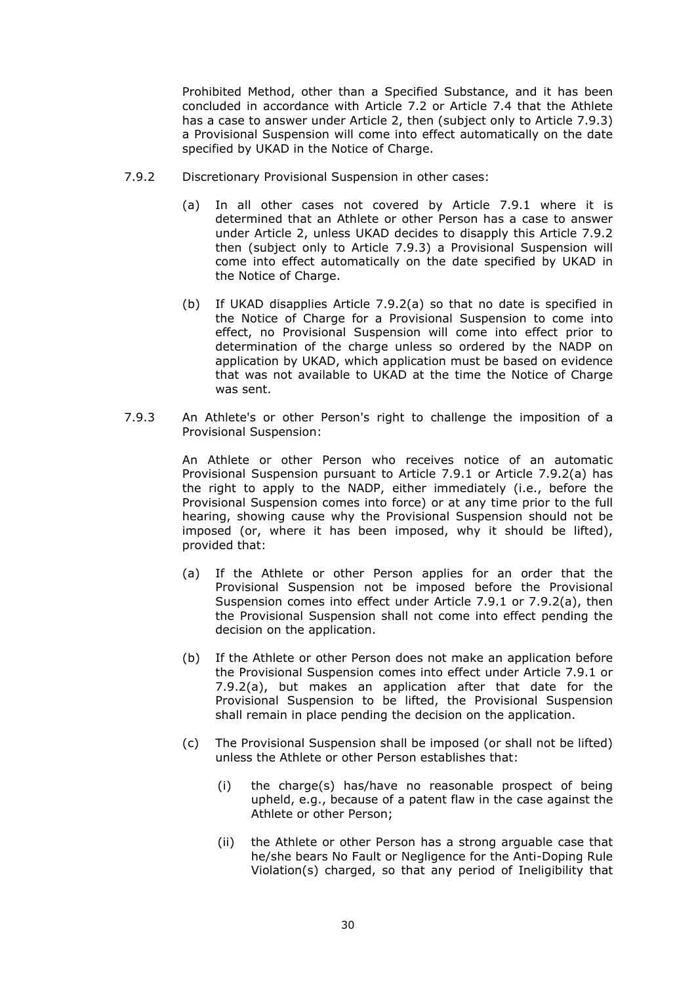Prohibited Method, other than a Specified Substance, and it has been concluded in accordance with Article 7.2 or Article 7.4 that the Athlete has a case to answer under Article 2, then (subject only to Article 7.9.3) a Provisional Suspension will come into effect automatically on the date specified by UKAD in the Notice of Charge.

- 7.9.2 Discretionary Provisional Suspension in other cases:
	- (a) In all other cases not covered by Article 7.9.1 where it is determined that an Athlete or other Person has a case to answer under Article 2, unless UKAD decides to disapply this Article 7.9.2 then (subject only to Article 7.9.3) a Provisional Suspension will come into effect automatically on the date specified by UKAD in the Notice of Charge.
	- (b) If UKAD disapplies Article 7.9.2(a) so that no date is specified in the Notice of Charge for a Provisional Suspension to come into effect, no Provisional Suspension will come into effect prior to determination of the charge unless so ordered by the NADP on application by UKAD, which application must be based on evidence that was not available to UKAD at the time the Notice of Charge was sent.
- 7.9.3 An Athlete's or other Person's right to challenge the imposition of a Provisional Suspension:

An Athlete or other Person who receives notice of an automatic Provisional Suspension pursuant to Article 7.9.1 or Article 7.9.2(a) has the right to apply to the NADP, either immediately (i.e., before the Provisional Suspension comes into force) or at any time prior to the full hearing, showing cause why the Provisional Suspension should not be imposed (or, where it has been imposed, why it should be lifted), provided that:

- (a) If the Athlete or other Person applies for an order that the Provisional Suspension not be imposed before the Provisional Suspension comes into effect under Article 7.9.1 or 7.9.2(a), then the Provisional Suspension shall not come into effect pending the decision on the application.
- (b) If the Athlete or other Person does not make an application before the Provisional Suspension comes into effect under Article 7.9.1 or 7.9.2(a), but makes an application after that date for the Provisional Suspension to be lifted, the Provisional Suspension shall remain in place pending the decision on the application.
- (c) The Provisional Suspension shall be imposed (or shall not be lifted) unless the Athlete or other Person establishes that:
	- (i) the charge(s) has/have no reasonable prospect of being upheld, e.g., because of a patent flaw in the case against the Athlete or other Person;
	- (ii) the Athlete or other Person has a strong arguable case that he/she bears No Fault or Negligence for the Anti-Doping Rule Violation(s) charged, so that any period of Ineligibility that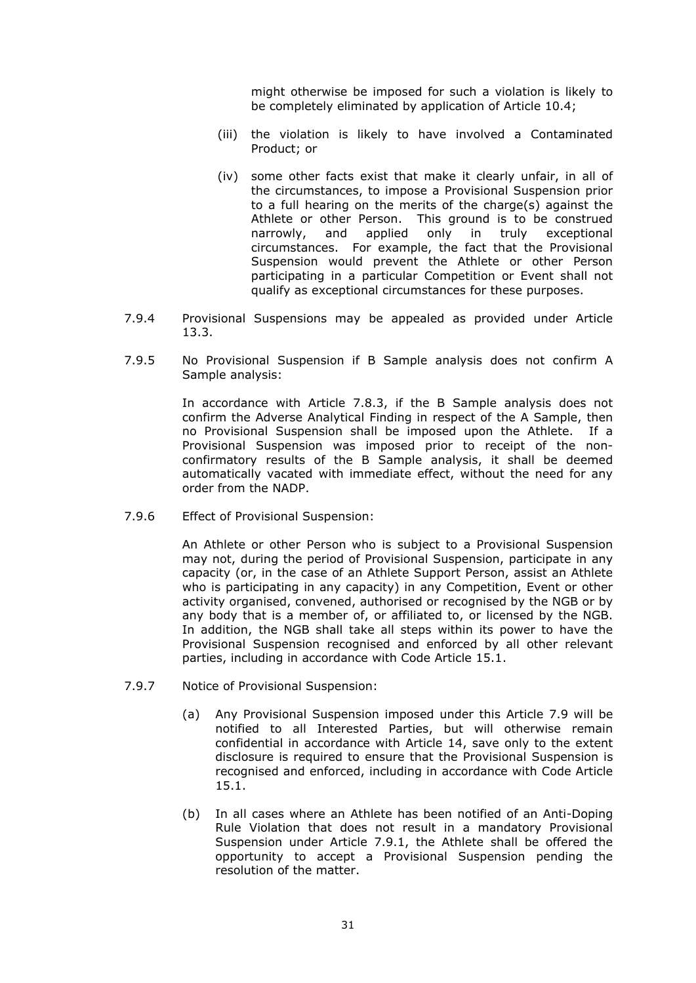might otherwise be imposed for such a violation is likely to be completely eliminated by application of Article 10.4;

- (iii) the violation is likely to have involved a Contaminated Product; or
- (iv) some other facts exist that make it clearly unfair, in all of the circumstances, to impose a Provisional Suspension prior to a full hearing on the merits of the charge(s) against the Athlete or other Person. This ground is to be construed narrowly, and applied only in truly exceptional circumstances. For example, the fact that the Provisional Suspension would prevent the Athlete or other Person participating in a particular Competition or Event shall not qualify as exceptional circumstances for these purposes.
- 7.9.4 Provisional Suspensions may be appealed as provided under Article 13.3.
- 7.9.5 No Provisional Suspension if B Sample analysis does not confirm A Sample analysis:

In accordance with Article 7.8.3, if the B Sample analysis does not confirm the Adverse Analytical Finding in respect of the A Sample, then no Provisional Suspension shall be imposed upon the Athlete. If a Provisional Suspension was imposed prior to receipt of the nonconfirmatory results of the B Sample analysis, it shall be deemed automatically vacated with immediate effect, without the need for any order from the NADP.

7.9.6 Effect of Provisional Suspension:

An Athlete or other Person who is subject to a Provisional Suspension may not, during the period of Provisional Suspension, participate in any capacity (or, in the case of an Athlete Support Person, assist an Athlete who is participating in any capacity) in any Competition, Event or other activity organised, convened, authorised or recognised by the NGB or by any body that is a member of, or affiliated to, or licensed by the NGB. In addition, the NGB shall take all steps within its power to have the Provisional Suspension recognised and enforced by all other relevant parties, including in accordance with Code Article 15.1.

- 7.9.7 Notice of Provisional Suspension:
	- (a) Any Provisional Suspension imposed under this Article 7.9 will be notified to all Interested Parties, but will otherwise remain confidential in accordance with Article 14, save only to the extent disclosure is required to ensure that the Provisional Suspension is recognised and enforced, including in accordance with Code Article 15.1.
	- (b) In all cases where an Athlete has been notified of an Anti-Doping Rule Violation that does not result in a mandatory Provisional Suspension under Article 7.9.1, the Athlete shall be offered the opportunity to accept a Provisional Suspension pending the resolution of the matter.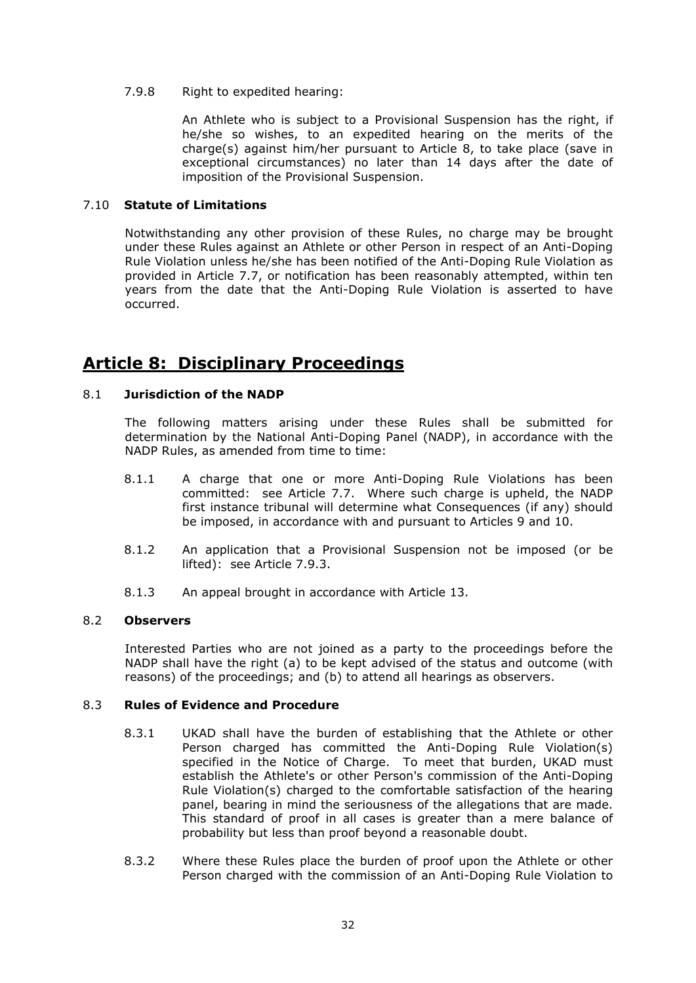### 7.9.8 Right to expedited hearing:

An Athlete who is subject to a Provisional Suspension has the right, if he/she so wishes, to an expedited hearing on the merits of the charge(s) against him/her pursuant to Article 8, to take place (save in exceptional circumstances) no later than 14 days after the date of imposition of the Provisional Suspension.

#### 7.10 **Statute of Limitations**

Notwithstanding any other provision of these Rules, no charge may be brought under these Rules against an Athlete or other Person in respect of an Anti-Doping Rule Violation unless he/she has been notified of the Anti-Doping Rule Violation as provided in Article 7.7, or notification has been reasonably attempted, within ten years from the date that the Anti-Doping Rule Violation is asserted to have occurred.

# **Article 8: Disciplinary Proceedings**

# 8.1 **Jurisdiction of the NADP**

The following matters arising under these Rules shall be submitted for determination by the National Anti-Doping Panel (NADP), in accordance with the NADP Rules, as amended from time to time:

- 8.1.1 A charge that one or more Anti-Doping Rule Violations has been committed: see Article 7.7. Where such charge is upheld, the NADP first instance tribunal will determine what Consequences (if any) should be imposed, in accordance with and pursuant to Articles 9 and 10.
- 8.1.2 An application that a Provisional Suspension not be imposed (or be lifted): see Article 7.9.3.
- 8.1.3 An appeal brought in accordance with Article 13.

### 8.2 **Observers**

Interested Parties who are not joined as a party to the proceedings before the NADP shall have the right (a) to be kept advised of the status and outcome (with reasons) of the proceedings; and (b) to attend all hearings as observers.

### 8.3 **Rules of Evidence and Procedure**

- 8.3.1 UKAD shall have the burden of establishing that the Athlete or other Person charged has committed the Anti-Doping Rule Violation(s) specified in the Notice of Charge. To meet that burden, UKAD must establish the Athlete's or other Person's commission of the Anti-Doping Rule Violation(s) charged to the comfortable satisfaction of the hearing panel, bearing in mind the seriousness of the allegations that are made. This standard of proof in all cases is greater than a mere balance of probability but less than proof beyond a reasonable doubt.
- 8.3.2 Where these Rules place the burden of proof upon the Athlete or other Person charged with the commission of an Anti-Doping Rule Violation to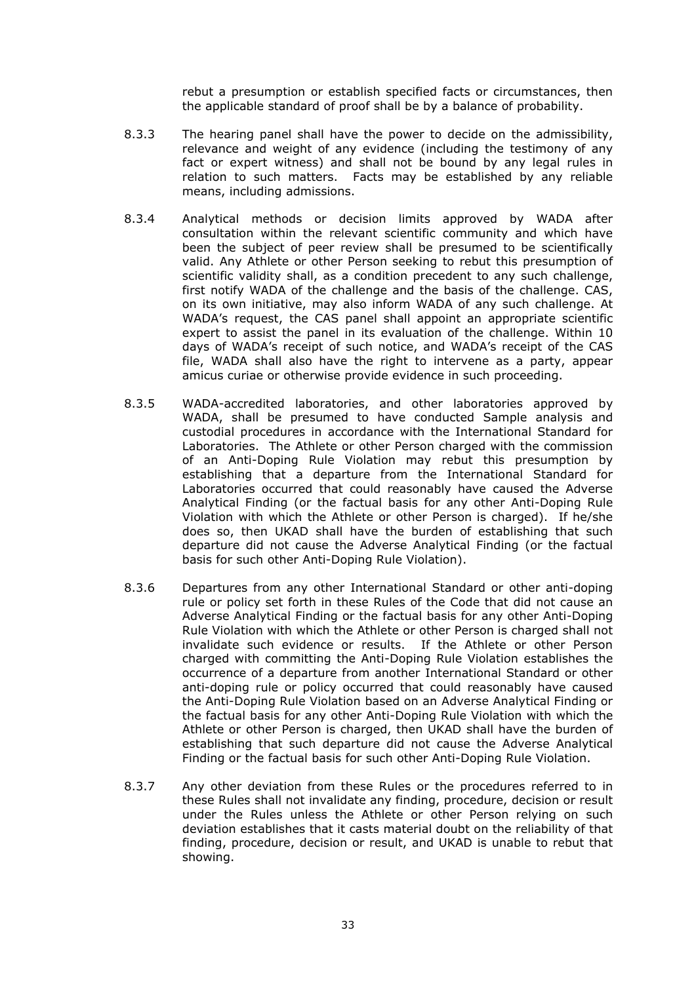rebut a presumption or establish specified facts or circumstances, then the applicable standard of proof shall be by a balance of probability.

- 8.3.3 The hearing panel shall have the power to decide on the admissibility, relevance and weight of any evidence (including the testimony of any fact or expert witness) and shall not be bound by any legal rules in relation to such matters. Facts may be established by any reliable means, including admissions.
- 8.3.4 Analytical methods or decision limits approved by WADA after consultation within the relevant scientific community and which have been the subject of peer review shall be presumed to be scientifically valid. Any Athlete or other Person seeking to rebut this presumption of scientific validity shall, as a condition precedent to any such challenge, first notify WADA of the challenge and the basis of the challenge. CAS, on its own initiative, may also inform WADA of any such challenge. At WADA's request, the CAS panel shall appoint an appropriate scientific expert to assist the panel in its evaluation of the challenge. Within 10 days of WADA's receipt of such notice, and WADA's receipt of the CAS file, WADA shall also have the right to intervene as a party, appear amicus curiae or otherwise provide evidence in such proceeding.
- 8.3.5 WADA-accredited laboratories, and other laboratories approved by WADA, shall be presumed to have conducted Sample analysis and custodial procedures in accordance with the International Standard for Laboratories. The Athlete or other Person charged with the commission of an Anti-Doping Rule Violation may rebut this presumption by establishing that a departure from the International Standard for Laboratories occurred that could reasonably have caused the Adverse Analytical Finding (or the factual basis for any other Anti-Doping Rule Violation with which the Athlete or other Person is charged). If he/she does so, then UKAD shall have the burden of establishing that such departure did not cause the Adverse Analytical Finding (or the factual basis for such other Anti-Doping Rule Violation).
- 8.3.6 Departures from any other International Standard or other anti-doping rule or policy set forth in these Rules of the Code that did not cause an Adverse Analytical Finding or the factual basis for any other Anti-Doping Rule Violation with which the Athlete or other Person is charged shall not invalidate such evidence or results. If the Athlete or other Person charged with committing the Anti-Doping Rule Violation establishes the occurrence of a departure from another International Standard or other anti-doping rule or policy occurred that could reasonably have caused the Anti-Doping Rule Violation based on an Adverse Analytical Finding or the factual basis for any other Anti-Doping Rule Violation with which the Athlete or other Person is charged, then UKAD shall have the burden of establishing that such departure did not cause the Adverse Analytical Finding or the factual basis for such other Anti-Doping Rule Violation.
- 8.3.7 Any other deviation from these Rules or the procedures referred to in these Rules shall not invalidate any finding, procedure, decision or result under the Rules unless the Athlete or other Person relying on such deviation establishes that it casts material doubt on the reliability of that finding, procedure, decision or result, and UKAD is unable to rebut that showing.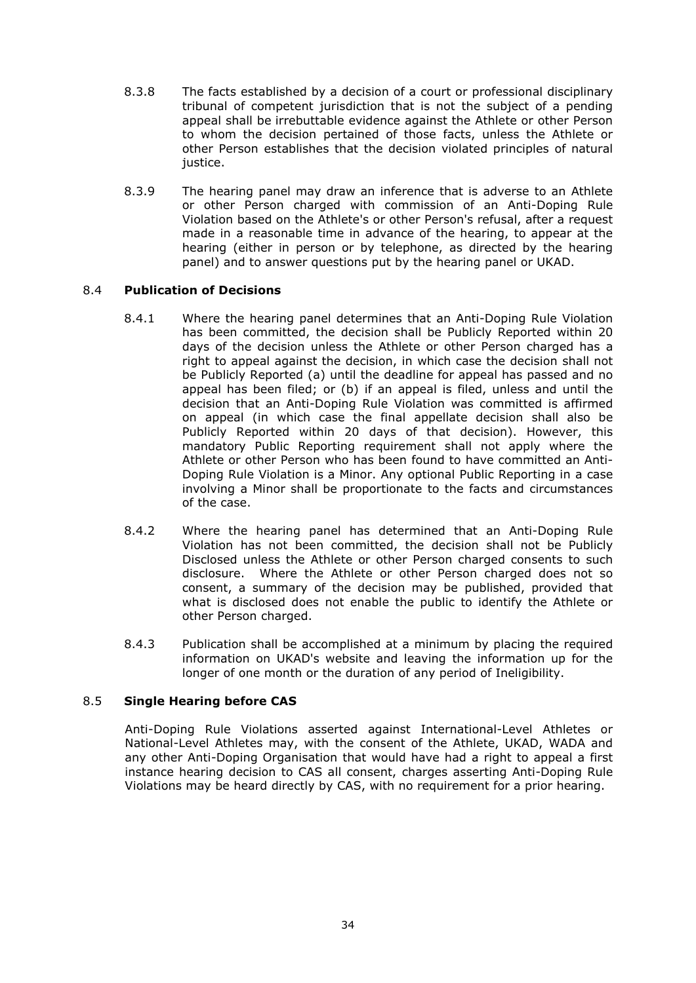- 8.3.8 The facts established by a decision of a court or professional disciplinary tribunal of competent jurisdiction that is not the subject of a pending appeal shall be irrebuttable evidence against the Athlete or other Person to whom the decision pertained of those facts, unless the Athlete or other Person establishes that the decision violated principles of natural justice.
- 8.3.9 The hearing panel may draw an inference that is adverse to an Athlete or other Person charged with commission of an Anti-Doping Rule Violation based on the Athlete's or other Person's refusal, after a request made in a reasonable time in advance of the hearing, to appear at the hearing (either in person or by telephone, as directed by the hearing panel) and to answer questions put by the hearing panel or UKAD.

# 8.4 **Publication of Decisions**

- 8.4.1 Where the hearing panel determines that an Anti-Doping Rule Violation has been committed, the decision shall be Publicly Reported within 20 days of the decision unless the Athlete or other Person charged has a right to appeal against the decision, in which case the decision shall not be Publicly Reported (a) until the deadline for appeal has passed and no appeal has been filed; or (b) if an appeal is filed, unless and until the decision that an Anti-Doping Rule Violation was committed is affirmed on appeal (in which case the final appellate decision shall also be Publicly Reported within 20 days of that decision). However, this mandatory Public Reporting requirement shall not apply where the Athlete or other Person who has been found to have committed an Anti-Doping Rule Violation is a Minor. Any optional Public Reporting in a case involving a Minor shall be proportionate to the facts and circumstances of the case.
- 8.4.2 Where the hearing panel has determined that an Anti-Doping Rule Violation has not been committed, the decision shall not be Publicly Disclosed unless the Athlete or other Person charged consents to such disclosure. Where the Athlete or other Person charged does not so consent, a summary of the decision may be published, provided that what is disclosed does not enable the public to identify the Athlete or other Person charged.
- 8.4.3 Publication shall be accomplished at a minimum by placing the required information on UKAD's website and leaving the information up for the longer of one month or the duration of any period of Ineligibility.

# 8.5 **Single Hearing before CAS**

Anti-Doping Rule Violations asserted against International-Level Athletes or National-Level Athletes may, with the consent of the Athlete, UKAD, WADA and any other Anti-Doping Organisation that would have had a right to appeal a first instance hearing decision to CAS all consent, charges asserting Anti-Doping Rule Violations may be heard directly by CAS, with no requirement for a prior hearing.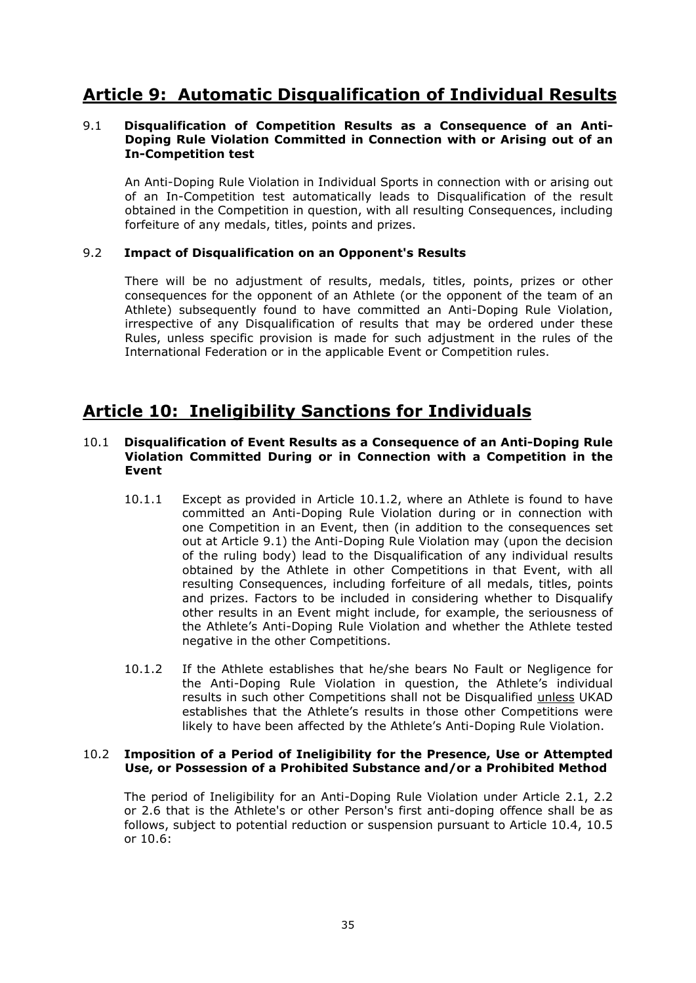# **Article 9: Automatic Disqualification of Individual Results**

### 9.1 **Disqualification of Competition Results as a Consequence of an Anti-Doping Rule Violation Committed in Connection with or Arising out of an In-Competition test**

An Anti-Doping Rule Violation in Individual Sports in connection with or arising out of an In-Competition test automatically leads to Disqualification of the result obtained in the Competition in question, with all resulting Consequences, including forfeiture of any medals, titles, points and prizes.

# 9.2 **Impact of Disqualification on an Opponent's Results**

There will be no adjustment of results, medals, titles, points, prizes or other consequences for the opponent of an Athlete (or the opponent of the team of an Athlete) subsequently found to have committed an Anti-Doping Rule Violation, irrespective of any Disqualification of results that may be ordered under these Rules, unless specific provision is made for such adjustment in the rules of the International Federation or in the applicable Event or Competition rules.

# **Article 10: Ineligibility Sanctions for Individuals**

### 10.1 **Disqualification of Event Results as a Consequence of an Anti-Doping Rule Violation Committed During or in Connection with a Competition in the Event**

- 10.1.1 Except as provided in Article 10.1.2, where an Athlete is found to have committed an Anti-Doping Rule Violation during or in connection with one Competition in an Event, then (in addition to the consequences set out at Article 9.1) the Anti-Doping Rule Violation may (upon the decision of the ruling body) lead to the Disqualification of any individual results obtained by the Athlete in other Competitions in that Event, with all resulting Consequences, including forfeiture of all medals, titles, points and prizes. Factors to be included in considering whether to Disqualify other results in an Event might include, for example, the seriousness of the Athlete's Anti-Doping Rule Violation and whether the Athlete tested negative in the other Competitions.
- 10.1.2 If the Athlete establishes that he/she bears No Fault or Negligence for the Anti-Doping Rule Violation in question, the Athlete's individual results in such other Competitions shall not be Disqualified unless UKAD establishes that the Athlete's results in those other Competitions were likely to have been affected by the Athlete's Anti-Doping Rule Violation.

### 10.2 **Imposition of a Period of Ineligibility for the Presence, Use or Attempted Use, or Possession of a Prohibited Substance and/or a Prohibited Method**

The period of Ineligibility for an Anti-Doping Rule Violation under Article 2.1, 2.2 or 2.6 that is the Athlete's or other Person's first anti-doping offence shall be as follows, subject to potential reduction or suspension pursuant to Article 10.4, 10.5 or 10.6: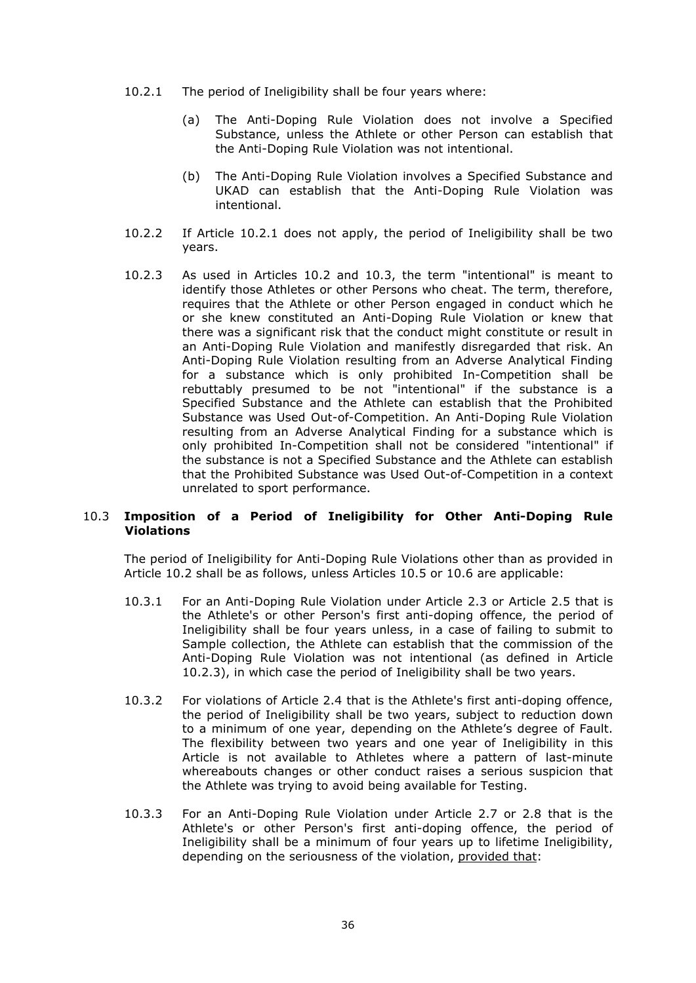- 10.2.1 The period of Ineligibility shall be four years where:
	- (a) The Anti-Doping Rule Violation does not involve a Specified Substance, unless the Athlete or other Person can establish that the Anti-Doping Rule Violation was not intentional.
	- (b) The Anti-Doping Rule Violation involves a Specified Substance and UKAD can establish that the Anti-Doping Rule Violation was intentional.
- 10.2.2 If Article 10.2.1 does not apply, the period of Ineligibility shall be two years.
- 10.2.3 As used in Articles 10.2 and 10.3, the term "intentional" is meant to identify those Athletes or other Persons who cheat. The term, therefore, requires that the Athlete or other Person engaged in conduct which he or she knew constituted an Anti-Doping Rule Violation or knew that there was a significant risk that the conduct might constitute or result in an Anti-Doping Rule Violation and manifestly disregarded that risk. An Anti-Doping Rule Violation resulting from an Adverse Analytical Finding for a substance which is only prohibited In-Competition shall be rebuttably presumed to be not "intentional" if the substance is a Specified Substance and the Athlete can establish that the Prohibited Substance was Used Out-of-Competition. An Anti-Doping Rule Violation resulting from an Adverse Analytical Finding for a substance which is only prohibited In-Competition shall not be considered "intentional" if the substance is not a Specified Substance and the Athlete can establish that the Prohibited Substance was Used Out-of-Competition in a context unrelated to sport performance.

# 10.3 **Imposition of a Period of Ineligibility for Other Anti-Doping Rule Violations**

The period of Ineligibility for Anti-Doping Rule Violations other than as provided in Article 10.2 shall be as follows, unless Articles 10.5 or 10.6 are applicable:

- 10.3.1 For an Anti-Doping Rule Violation under Article 2.3 or Article 2.5 that is the Athlete's or other Person's first anti-doping offence, the period of Ineligibility shall be four years unless, in a case of failing to submit to Sample collection, the Athlete can establish that the commission of the Anti-Doping Rule Violation was not intentional (as defined in Article 10.2.3), in which case the period of Ineligibility shall be two years.
- 10.3.2 For violations of Article 2.4 that is the Athlete's first anti-doping offence, the period of Ineligibility shall be two years, subject to reduction down to a minimum of one year, depending on the Athlete's degree of Fault. The flexibility between two years and one year of Ineligibility in this Article is not available to Athletes where a pattern of last-minute whereabouts changes or other conduct raises a serious suspicion that the Athlete was trying to avoid being available for Testing.
- 10.3.3 For an Anti-Doping Rule Violation under Article 2.7 or 2.8 that is the Athlete's or other Person's first anti-doping offence, the period of Ineligibility shall be a minimum of four years up to lifetime Ineligibility, depending on the seriousness of the violation, provided that: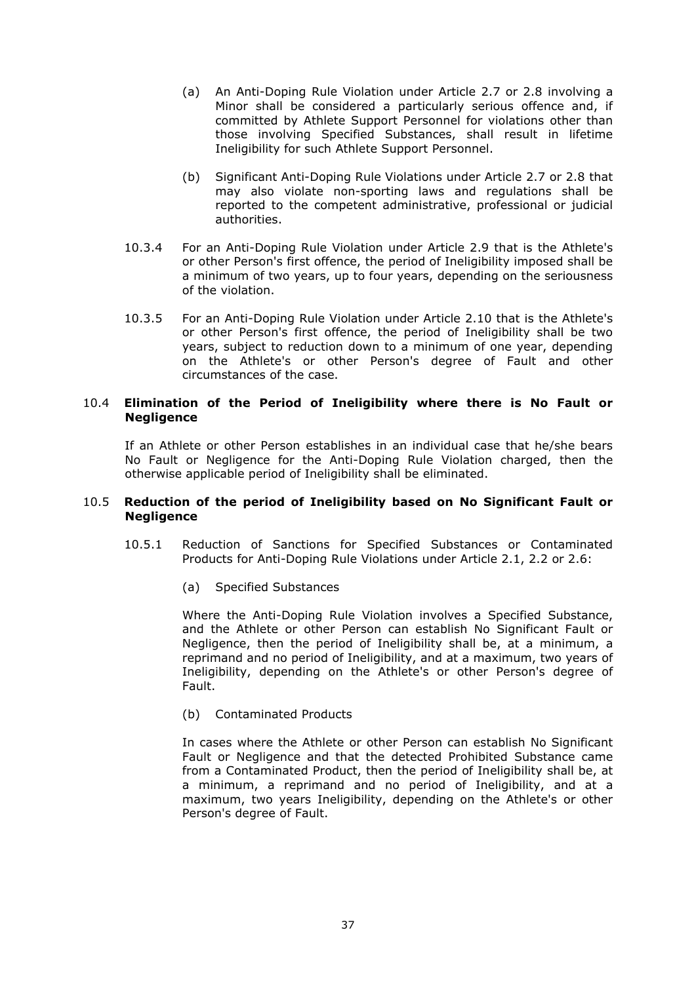- (a) An Anti-Doping Rule Violation under Article 2.7 or 2.8 involving a Minor shall be considered a particularly serious offence and, if committed by Athlete Support Personnel for violations other than those involving Specified Substances, shall result in lifetime Ineligibility for such Athlete Support Personnel.
- (b) Significant Anti-Doping Rule Violations under Article 2.7 or 2.8 that may also violate non-sporting laws and regulations shall be reported to the competent administrative, professional or judicial authorities.
- 10.3.4 For an Anti-Doping Rule Violation under Article 2.9 that is the Athlete's or other Person's first offence, the period of Ineligibility imposed shall be a minimum of two years, up to four years, depending on the seriousness of the violation.
- 10.3.5 For an Anti-Doping Rule Violation under Article 2.10 that is the Athlete's or other Person's first offence, the period of Ineligibility shall be two years, subject to reduction down to a minimum of one year, depending on the Athlete's or other Person's degree of Fault and other circumstances of the case.

### 10.4 **Elimination of the Period of Ineligibility where there is No Fault or Negligence**

If an Athlete or other Person establishes in an individual case that he/she bears No Fault or Negligence for the Anti-Doping Rule Violation charged, then the otherwise applicable period of Ineligibility shall be eliminated.

### 10.5 **Reduction of the period of Ineligibility based on No Significant Fault or Negligence**

- 10.5.1 Reduction of Sanctions for Specified Substances or Contaminated Products for Anti-Doping Rule Violations under Article 2.1, 2.2 or 2.6:
	- (a) Specified Substances

Where the Anti-Doping Rule Violation involves a Specified Substance, and the Athlete or other Person can establish No Significant Fault or Negligence, then the period of Ineligibility shall be, at a minimum, a reprimand and no period of Ineligibility, and at a maximum, two years of Ineligibility, depending on the Athlete's or other Person's degree of Fault.

(b) Contaminated Products

In cases where the Athlete or other Person can establish No Significant Fault or Negligence and that the detected Prohibited Substance came from a Contaminated Product, then the period of Ineligibility shall be, at a minimum, a reprimand and no period of Ineligibility, and at a maximum, two years Ineligibility, depending on the Athlete's or other Person's degree of Fault.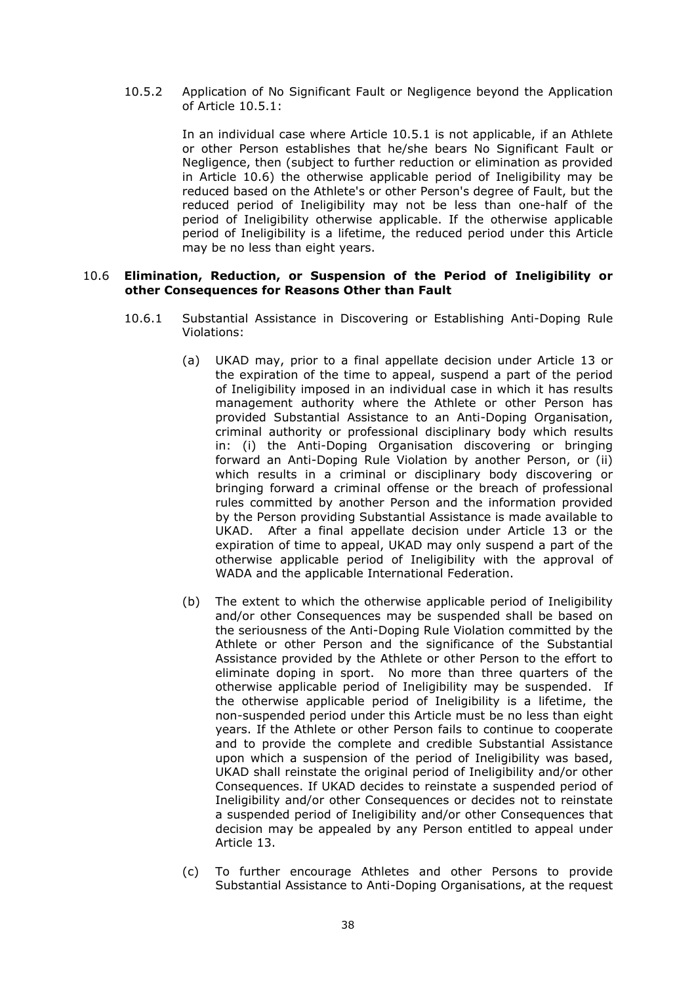10.5.2 Application of No Significant Fault or Negligence beyond the Application of Article 10.5.1:

> In an individual case where Article 10.5.1 is not applicable, if an Athlete or other Person establishes that he/she bears No Significant Fault or Negligence, then (subject to further reduction or elimination as provided in Article 10.6) the otherwise applicable period of Ineligibility may be reduced based on the Athlete's or other Person's degree of Fault, but the reduced period of Ineligibility may not be less than one-half of the period of Ineligibility otherwise applicable. If the otherwise applicable period of Ineligibility is a lifetime, the reduced period under this Article may be no less than eight years.

#### 10.6 **Elimination, Reduction, or Suspension of the Period of Ineligibility or other Consequences for Reasons Other than Fault**

- 10.6.1 Substantial Assistance in Discovering or Establishing Anti-Doping Rule Violations:
	- (a) UKAD may, prior to a final appellate decision under Article 13 or the expiration of the time to appeal, suspend a part of the period of Ineligibility imposed in an individual case in which it has results management authority where the Athlete or other Person has provided Substantial Assistance to an Anti-Doping Organisation, criminal authority or professional disciplinary body which results in: (i) the Anti-Doping Organisation discovering or bringing forward an Anti-Doping Rule Violation by another Person, or (ii) which results in a criminal or disciplinary body discovering or bringing forward a criminal offense or the breach of professional rules committed by another Person and the information provided by the Person providing Substantial Assistance is made available to UKAD. After a final appellate decision under Article 13 or the expiration of time to appeal, UKAD may only suspend a part of the otherwise applicable period of Ineligibility with the approval of WADA and the applicable International Federation.
	- (b) The extent to which the otherwise applicable period of Ineligibility and/or other Consequences may be suspended shall be based on the seriousness of the Anti-Doping Rule Violation committed by the Athlete or other Person and the significance of the Substantial Assistance provided by the Athlete or other Person to the effort to eliminate doping in sport. No more than three quarters of the otherwise applicable period of Ineligibility may be suspended. If the otherwise applicable period of Ineligibility is a lifetime, the non-suspended period under this Article must be no less than eight years. If the Athlete or other Person fails to continue to cooperate and to provide the complete and credible Substantial Assistance upon which a suspension of the period of Ineligibility was based, UKAD shall reinstate the original period of Ineligibility and/or other Consequences. If UKAD decides to reinstate a suspended period of Ineligibility and/or other Consequences or decides not to reinstate a suspended period of Ineligibility and/or other Consequences that decision may be appealed by any Person entitled to appeal under Article 13.
	- (c) To further encourage Athletes and other Persons to provide Substantial Assistance to Anti-Doping Organisations, at the request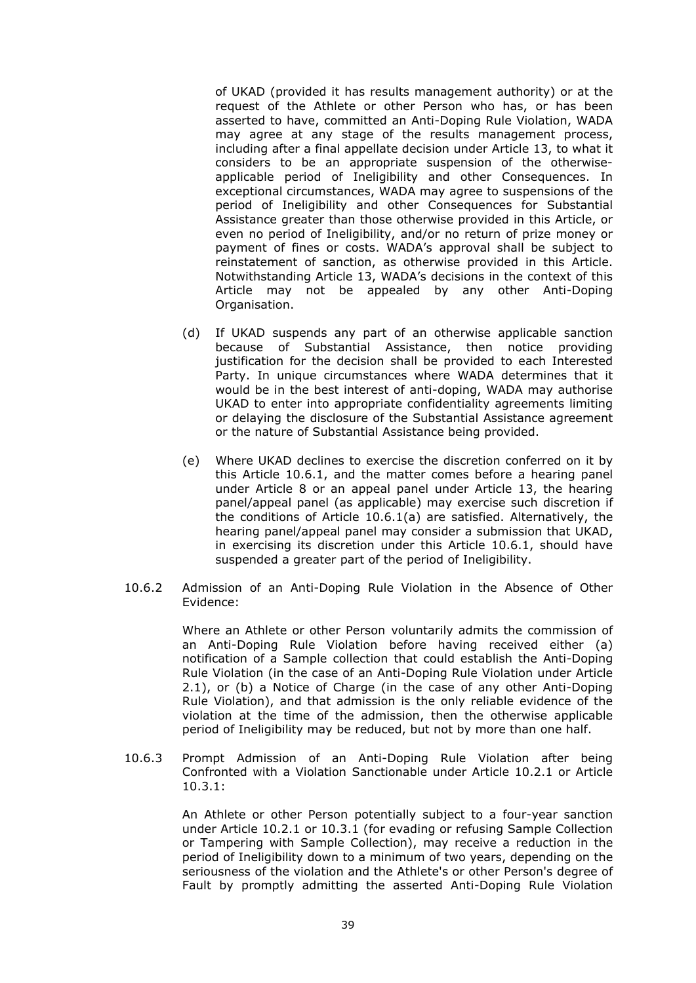of UKAD (provided it has results management authority) or at the request of the Athlete or other Person who has, or has been asserted to have, committed an Anti-Doping Rule Violation, WADA may agree at any stage of the results management process, including after a final appellate decision under Article 13, to what it considers to be an appropriate suspension of the otherwiseapplicable period of Ineligibility and other Consequences. In exceptional circumstances, WADA may agree to suspensions of the period of Ineligibility and other Consequences for Substantial Assistance greater than those otherwise provided in this Article, or even no period of Ineligibility, and/or no return of prize money or payment of fines or costs. WADA's approval shall be subject to reinstatement of sanction, as otherwise provided in this Article. Notwithstanding Article 13, WADA's decisions in the context of this Article may not be appealed by any other Anti-Doping Organisation.

- (d) If UKAD suspends any part of an otherwise applicable sanction because of Substantial Assistance, then notice providing justification for the decision shall be provided to each Interested Party. In unique circumstances where WADA determines that it would be in the best interest of anti-doping, WADA may authorise UKAD to enter into appropriate confidentiality agreements limiting or delaying the disclosure of the Substantial Assistance agreement or the nature of Substantial Assistance being provided.
- (e) Where UKAD declines to exercise the discretion conferred on it by this Article 10.6.1, and the matter comes before a hearing panel under Article 8 or an appeal panel under Article 13, the hearing panel/appeal panel (as applicable) may exercise such discretion if the conditions of Article 10.6.1(a) are satisfied. Alternatively, the hearing panel/appeal panel may consider a submission that UKAD, in exercising its discretion under this Article 10.6.1, should have suspended a greater part of the period of Ineligibility.
- 10.6.2 Admission of an Anti-Doping Rule Violation in the Absence of Other Evidence:

Where an Athlete or other Person voluntarily admits the commission of an Anti-Doping Rule Violation before having received either (a) notification of a Sample collection that could establish the Anti-Doping Rule Violation (in the case of an Anti-Doping Rule Violation under Article 2.1), or (b) a Notice of Charge (in the case of any other Anti-Doping Rule Violation), and that admission is the only reliable evidence of the violation at the time of the admission, then the otherwise applicable period of Ineligibility may be reduced, but not by more than one half.

10.6.3 Prompt Admission of an Anti-Doping Rule Violation after being Confronted with a Violation Sanctionable under Article 10.2.1 or Article 10.3.1:

> An Athlete or other Person potentially subject to a four-year sanction under Article 10.2.1 or 10.3.1 (for evading or refusing Sample Collection or Tampering with Sample Collection), may receive a reduction in the period of Ineligibility down to a minimum of two years, depending on the seriousness of the violation and the Athlete's or other Person's degree of Fault by promptly admitting the asserted Anti-Doping Rule Violation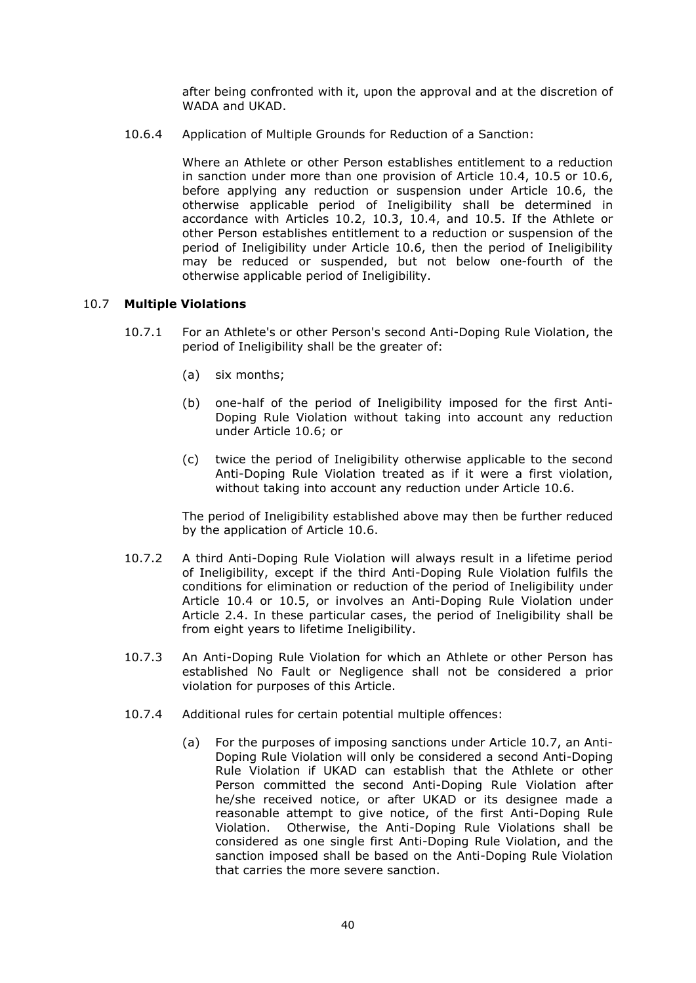after being confronted with it, upon the approval and at the discretion of WADA and UKAD.

10.6.4 Application of Multiple Grounds for Reduction of a Sanction:

Where an Athlete or other Person establishes entitlement to a reduction in sanction under more than one provision of Article 10.4, 10.5 or 10.6, before applying any reduction or suspension under Article 10.6, the otherwise applicable period of Ineligibility shall be determined in accordance with Articles 10.2, 10.3, 10.4, and 10.5. If the Athlete or other Person establishes entitlement to a reduction or suspension of the period of Ineligibility under Article 10.6, then the period of Ineligibility may be reduced or suspended, but not below one-fourth of the otherwise applicable period of Ineligibility.

# 10.7 **Multiple Violations**

- 10.7.1 For an Athlete's or other Person's second Anti-Doping Rule Violation, the period of Ineligibility shall be the greater of:
	- (a) six months;
	- (b) one-half of the period of Ineligibility imposed for the first Anti-Doping Rule Violation without taking into account any reduction under Article 10.6; or
	- (c) twice the period of Ineligibility otherwise applicable to the second Anti-Doping Rule Violation treated as if it were a first violation, without taking into account any reduction under Article 10.6.

The period of Ineligibility established above may then be further reduced by the application of Article 10.6.

- 10.7.2 A third Anti-Doping Rule Violation will always result in a lifetime period of Ineligibility, except if the third Anti-Doping Rule Violation fulfils the conditions for elimination or reduction of the period of Ineligibility under Article 10.4 or 10.5, or involves an Anti-Doping Rule Violation under Article 2.4. In these particular cases, the period of Ineligibility shall be from eight years to lifetime Ineligibility.
- 10.7.3 An Anti-Doping Rule Violation for which an Athlete or other Person has established No Fault or Negligence shall not be considered a prior violation for purposes of this Article.
- 10.7.4 Additional rules for certain potential multiple offences:
	- (a) For the purposes of imposing sanctions under Article 10.7, an Anti-Doping Rule Violation will only be considered a second Anti-Doping Rule Violation if UKAD can establish that the Athlete or other Person committed the second Anti-Doping Rule Violation after he/she received notice, or after UKAD or its designee made a reasonable attempt to give notice, of the first Anti-Doping Rule Violation. Otherwise, the Anti-Doping Rule Violations shall be considered as one single first Anti-Doping Rule Violation, and the sanction imposed shall be based on the Anti-Doping Rule Violation that carries the more severe sanction.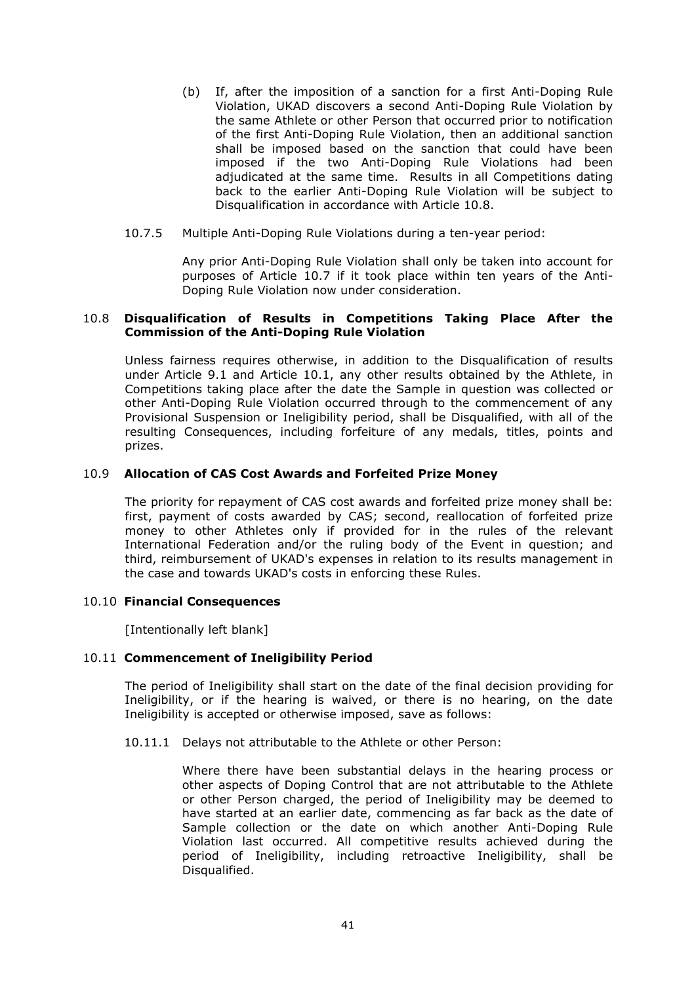- (b) If, after the imposition of a sanction for a first Anti-Doping Rule Violation, UKAD discovers a second Anti-Doping Rule Violation by the same Athlete or other Person that occurred prior to notification of the first Anti-Doping Rule Violation, then an additional sanction shall be imposed based on the sanction that could have been imposed if the two Anti-Doping Rule Violations had been adjudicated at the same time. Results in all Competitions dating back to the earlier Anti-Doping Rule Violation will be subject to Disqualification in accordance with Article 10.8.
- 10.7.5 Multiple Anti-Doping Rule Violations during a ten-year period:

Any prior Anti-Doping Rule Violation shall only be taken into account for purposes of Article 10.7 if it took place within ten years of the Anti-Doping Rule Violation now under consideration.

#### 10.8 **Disqualification of Results in Competitions Taking Place After the Commission of the Anti-Doping Rule Violation**

Unless fairness requires otherwise, in addition to the Disqualification of results under Article 9.1 and Article 10.1, any other results obtained by the Athlete, in Competitions taking place after the date the Sample in question was collected or other Anti-Doping Rule Violation occurred through to the commencement of any Provisional Suspension or Ineligibility period, shall be Disqualified, with all of the resulting Consequences, including forfeiture of any medals, titles, points and prizes.

### 10.9 **Allocation of CAS Cost Awards and Forfeited Prize Money**

The priority for repayment of CAS cost awards and forfeited prize money shall be: first, payment of costs awarded by CAS; second, reallocation of forfeited prize money to other Athletes only if provided for in the rules of the relevant International Federation and/or the ruling body of the Event in question; and third, reimbursement of UKAD's expenses in relation to its results management in the case and towards UKAD's costs in enforcing these Rules.

### 10.10 **Financial Consequences**

[Intentionally left blank]

### 10.11 **Commencement of Ineligibility Period**

The period of Ineligibility shall start on the date of the final decision providing for Ineligibility, or if the hearing is waived, or there is no hearing, on the date Ineligibility is accepted or otherwise imposed, save as follows:

10.11.1 Delays not attributable to the Athlete or other Person:

Where there have been substantial delays in the hearing process or other aspects of Doping Control that are not attributable to the Athlete or other Person charged, the period of Ineligibility may be deemed to have started at an earlier date, commencing as far back as the date of Sample collection or the date on which another Anti-Doping Rule Violation last occurred. All competitive results achieved during the period of Ineligibility, including retroactive Ineligibility, shall be Disqualified.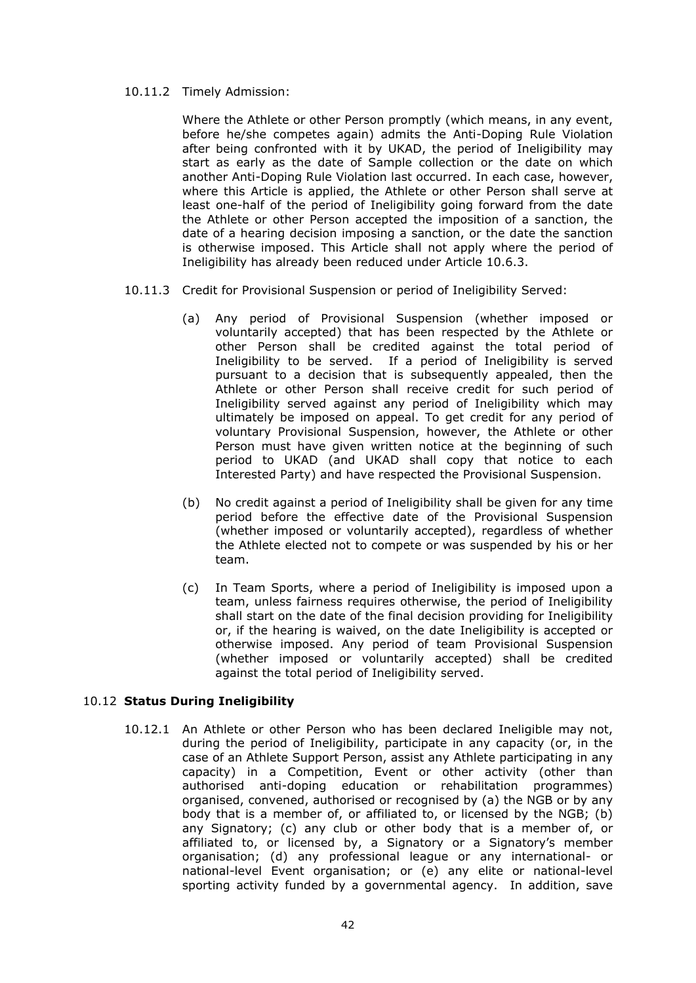#### 10.11.2 Timely Admission:

Where the Athlete or other Person promptly (which means, in any event, before he/she competes again) admits the Anti-Doping Rule Violation after being confronted with it by UKAD, the period of Ineligibility may start as early as the date of Sample collection or the date on which another Anti-Doping Rule Violation last occurred. In each case, however, where this Article is applied, the Athlete or other Person shall serve at least one-half of the period of Ineligibility going forward from the date the Athlete or other Person accepted the imposition of a sanction, the date of a hearing decision imposing a sanction, or the date the sanction is otherwise imposed. This Article shall not apply where the period of Ineligibility has already been reduced under Article 10.6.3.

- 10.11.3 Credit for Provisional Suspension or period of Ineligibility Served:
	- (a) Any period of Provisional Suspension (whether imposed or voluntarily accepted) that has been respected by the Athlete or other Person shall be credited against the total period of Ineligibility to be served. If a period of Ineligibility is served pursuant to a decision that is subsequently appealed, then the Athlete or other Person shall receive credit for such period of Ineligibility served against any period of Ineligibility which may ultimately be imposed on appeal. To get credit for any period of voluntary Provisional Suspension, however, the Athlete or other Person must have given written notice at the beginning of such period to UKAD (and UKAD shall copy that notice to each Interested Party) and have respected the Provisional Suspension.
	- (b) No credit against a period of Ineligibility shall be given for any time period before the effective date of the Provisional Suspension (whether imposed or voluntarily accepted), regardless of whether the Athlete elected not to compete or was suspended by his or her team.
	- (c) In Team Sports, where a period of Ineligibility is imposed upon a team, unless fairness requires otherwise, the period of Ineligibility shall start on the date of the final decision providing for Ineligibility or, if the hearing is waived, on the date Ineligibility is accepted or otherwise imposed. Any period of team Provisional Suspension (whether imposed or voluntarily accepted) shall be credited against the total period of Ineligibility served.

# 10.12 **Status During Ineligibility**

10.12.1 An Athlete or other Person who has been declared Ineligible may not, during the period of Ineligibility, participate in any capacity (or, in the case of an Athlete Support Person, assist any Athlete participating in any capacity) in a Competition, Event or other activity (other than authorised anti-doping education or rehabilitation programmes) organised, convened, authorised or recognised by (a) the NGB or by any body that is a member of, or affiliated to, or licensed by the NGB; (b) any Signatory; (c) any club or other body that is a member of, or affiliated to, or licensed by, a Signatory or a Signatory's member organisation; (d) any professional league or any international- or national-level Event organisation; or (e) any elite or national-level sporting activity funded by a governmental agency. In addition, save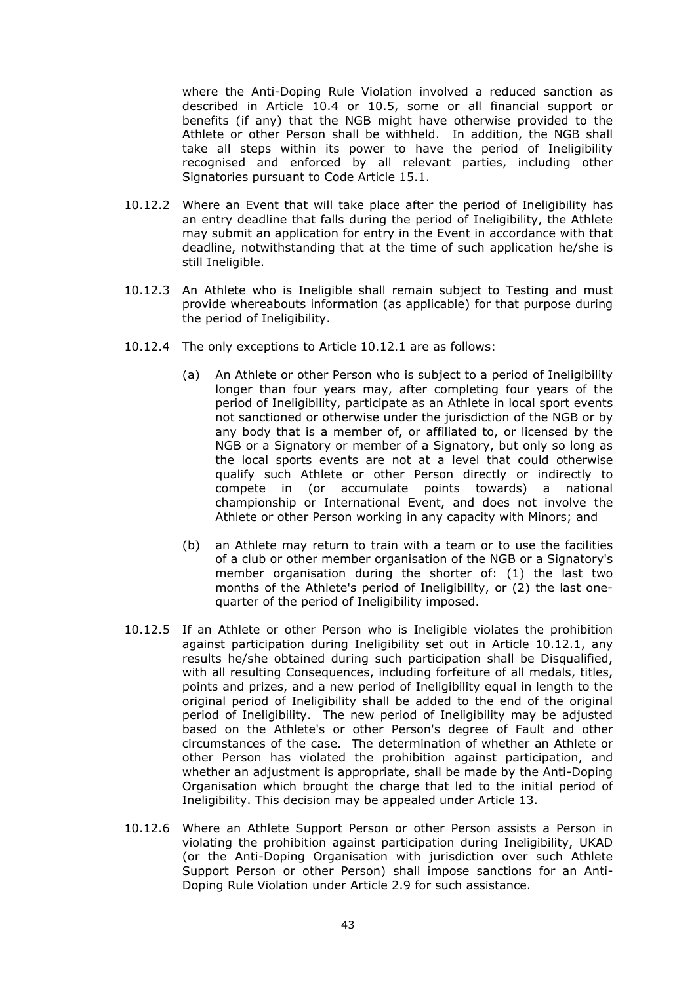where the Anti-Doping Rule Violation involved a reduced sanction as described in Article 10.4 or 10.5, some or all financial support or benefits (if any) that the NGB might have otherwise provided to the Athlete or other Person shall be withheld. In addition, the NGB shall take all steps within its power to have the period of Ineligibility recognised and enforced by all relevant parties, including other Signatories pursuant to Code Article 15.1.

- 10.12.2 Where an Event that will take place after the period of Ineligibility has an entry deadline that falls during the period of Ineligibility, the Athlete may submit an application for entry in the Event in accordance with that deadline, notwithstanding that at the time of such application he/she is still Ineligible.
- 10.12.3 An Athlete who is Ineligible shall remain subject to Testing and must provide whereabouts information (as applicable) for that purpose during the period of Ineligibility.
- 10.12.4 The only exceptions to Article 10.12.1 are as follows:
	- (a) An Athlete or other Person who is subject to a period of Ineligibility longer than four years may, after completing four years of the period of Ineligibility, participate as an Athlete in local sport events not sanctioned or otherwise under the jurisdiction of the NGB or by any body that is a member of, or affiliated to, or licensed by the NGB or a Signatory or member of a Signatory, but only so long as the local sports events are not at a level that could otherwise qualify such Athlete or other Person directly or indirectly to compete in (or accumulate points towards) a national championship or International Event, and does not involve the Athlete or other Person working in any capacity with Minors; and
	- (b) an Athlete may return to train with a team or to use the facilities of a club or other member organisation of the NGB or a Signatory's member organisation during the shorter of: (1) the last two months of the Athlete's period of Ineligibility, or (2) the last onequarter of the period of Ineligibility imposed.
- 10.12.5 If an Athlete or other Person who is Ineligible violates the prohibition against participation during Ineligibility set out in Article 10.12.1, any results he/she obtained during such participation shall be Disqualified, with all resulting Consequences, including forfeiture of all medals, titles, points and prizes, and a new period of Ineligibility equal in length to the original period of Ineligibility shall be added to the end of the original period of Ineligibility. The new period of Ineligibility may be adjusted based on the Athlete's or other Person's degree of Fault and other circumstances of the case. The determination of whether an Athlete or other Person has violated the prohibition against participation, and whether an adjustment is appropriate, shall be made by the Anti-Doping Organisation which brought the charge that led to the initial period of Ineligibility. This decision may be appealed under Article 13.
- 10.12.6 Where an Athlete Support Person or other Person assists a Person in violating the prohibition against participation during Ineligibility, UKAD (or the Anti-Doping Organisation with jurisdiction over such Athlete Support Person or other Person) shall impose sanctions for an Anti-Doping Rule Violation under Article 2.9 for such assistance.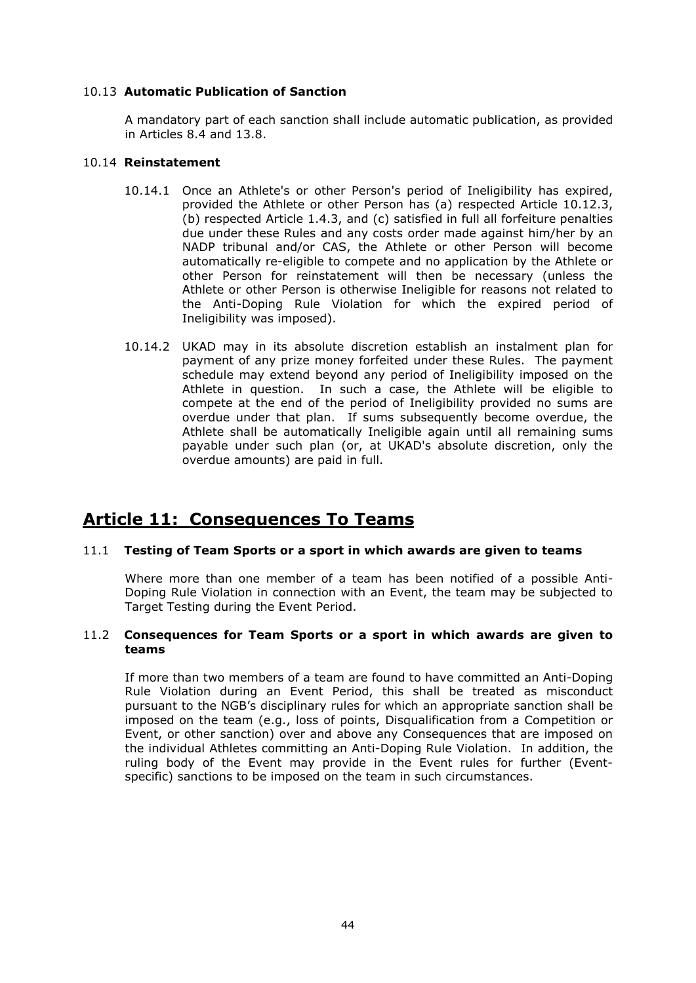# 10.13 **Automatic Publication of Sanction**

A mandatory part of each sanction shall include automatic publication, as provided in Articles 8.4 and 13.8.

# 10.14 **Reinstatement**

- 10.14.1 Once an Athlete's or other Person's period of Ineligibility has expired, provided the Athlete or other Person has (a) respected Article 10.12.3, (b) respected Article 1.4.3, and (c) satisfied in full all forfeiture penalties due under these Rules and any costs order made against him/her by an NADP tribunal and/or CAS, the Athlete or other Person will become automatically re-eligible to compete and no application by the Athlete or other Person for reinstatement will then be necessary (unless the Athlete or other Person is otherwise Ineligible for reasons not related to the Anti-Doping Rule Violation for which the expired period of Ineligibility was imposed).
- 10.14.2 UKAD may in its absolute discretion establish an instalment plan for payment of any prize money forfeited under these Rules. The payment schedule may extend beyond any period of Ineligibility imposed on the Athlete in question. In such a case, the Athlete will be eligible to compete at the end of the period of Ineligibility provided no sums are overdue under that plan. If sums subsequently become overdue, the Athlete shall be automatically Ineligible again until all remaining sums payable under such plan (or, at UKAD's absolute discretion, only the overdue amounts) are paid in full.

# **Article 11: Consequences To Teams**

# 11.1 **Testing of Team Sports or a sport in which awards are given to teams**

Where more than one member of a team has been notified of a possible Anti-Doping Rule Violation in connection with an Event, the team may be subjected to Target Testing during the Event Period.

### 11.2 **Consequences for Team Sports or a sport in which awards are given to teams**

If more than two members of a team are found to have committed an Anti-Doping Rule Violation during an Event Period, this shall be treated as misconduct pursuant to the NGB's disciplinary rules for which an appropriate sanction shall be imposed on the team (e.g., loss of points, Disqualification from a Competition or Event, or other sanction) over and above any Consequences that are imposed on the individual Athletes committing an Anti-Doping Rule Violation. In addition, the ruling body of the Event may provide in the Event rules for further (Eventspecific) sanctions to be imposed on the team in such circumstances.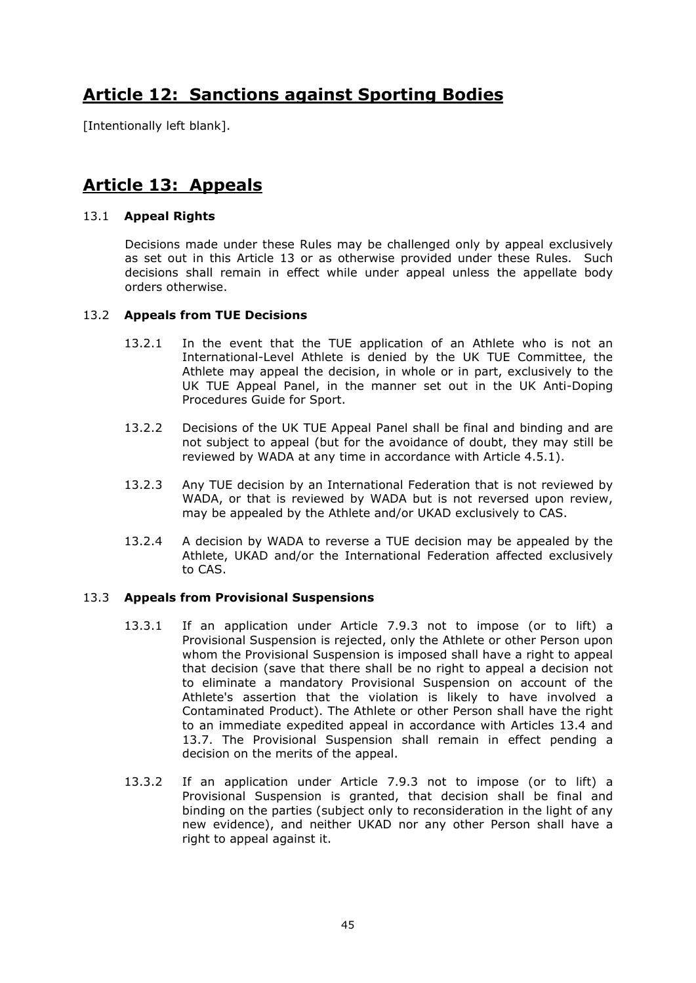# **Article 12: Sanctions against Sporting Bodies**

[Intentionally left blank].

# **Article 13: Appeals**

# 13.1 **Appeal Rights**

Decisions made under these Rules may be challenged only by appeal exclusively as set out in this Article 13 or as otherwise provided under these Rules. Such decisions shall remain in effect while under appeal unless the appellate body orders otherwise.

# 13.2 **Appeals from TUE Decisions**

- 13.2.1 In the event that the TUE application of an Athlete who is not an International-Level Athlete is denied by the UK TUE Committee, the Athlete may appeal the decision, in whole or in part, exclusively to the UK TUE Appeal Panel, in the manner set out in the UK Anti-Doping Procedures Guide for Sport.
- 13.2.2 Decisions of the UK TUE Appeal Panel shall be final and binding and are not subject to appeal (but for the avoidance of doubt, they may still be reviewed by WADA at any time in accordance with Article 4.5.1).
- 13.2.3 Any TUE decision by an International Federation that is not reviewed by WADA, or that is reviewed by WADA but is not reversed upon review, may be appealed by the Athlete and/or UKAD exclusively to CAS.
- 13.2.4 A decision by WADA to reverse a TUE decision may be appealed by the Athlete, UKAD and/or the International Federation affected exclusively to CAS.

### 13.3 **Appeals from Provisional Suspensions**

- 13.3.1 If an application under Article 7.9.3 not to impose (or to lift) a Provisional Suspension is rejected, only the Athlete or other Person upon whom the Provisional Suspension is imposed shall have a right to appeal that decision (save that there shall be no right to appeal a decision not to eliminate a mandatory Provisional Suspension on account of the Athlete's assertion that the violation is likely to have involved a Contaminated Product). The Athlete or other Person shall have the right to an immediate expedited appeal in accordance with Articles 13.4 and 13.7. The Provisional Suspension shall remain in effect pending a decision on the merits of the appeal.
- 13.3.2 If an application under Article 7.9.3 not to impose (or to lift) a Provisional Suspension is granted, that decision shall be final and binding on the parties (subject only to reconsideration in the light of any new evidence), and neither UKAD nor any other Person shall have a right to appeal against it.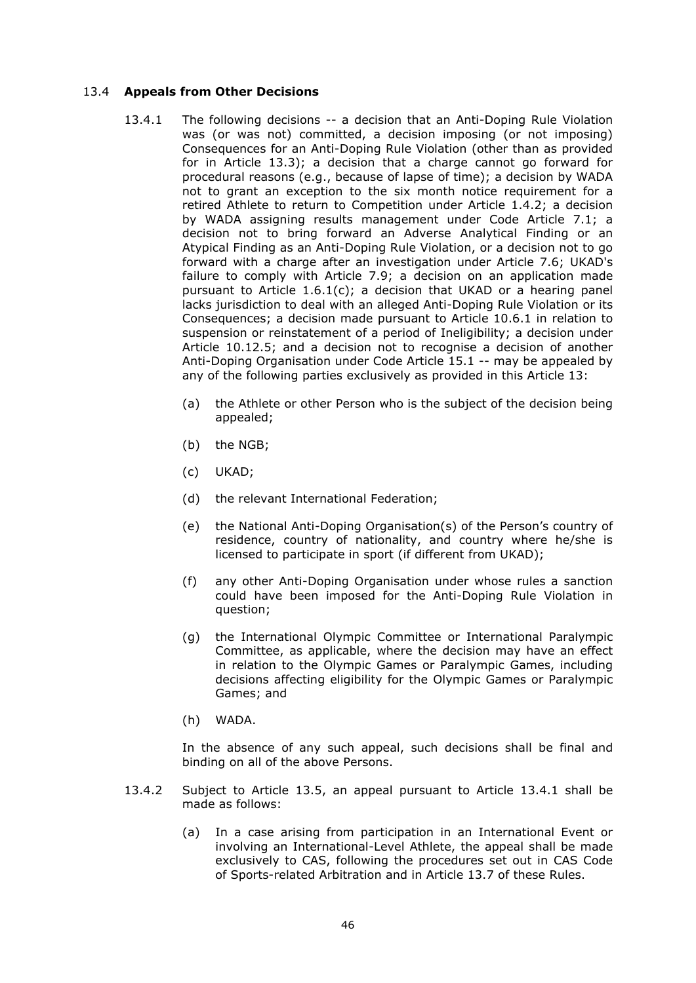# 13.4 **Appeals from Other Decisions**

- 13.4.1 The following decisions -- a decision that an Anti-Doping Rule Violation was (or was not) committed, a decision imposing (or not imposing) Consequences for an Anti-Doping Rule Violation (other than as provided for in Article 13.3); a decision that a charge cannot go forward for procedural reasons (e.g., because of lapse of time); a decision by WADA not to grant an exception to the six month notice requirement for a retired Athlete to return to Competition under Article 1.4.2; a decision by WADA assigning results management under Code Article 7.1; a decision not to bring forward an Adverse Analytical Finding or an Atypical Finding as an Anti-Doping Rule Violation, or a decision not to go forward with a charge after an investigation under Article 7.6; UKAD's failure to comply with Article 7.9; a decision on an application made pursuant to Article 1.6.1(c); a decision that UKAD or a hearing panel lacks jurisdiction to deal with an alleged Anti-Doping Rule Violation or its Consequences; a decision made pursuant to Article 10.6.1 in relation to suspension or reinstatement of a period of Ineligibility; a decision under Article 10.12.5; and a decision not to recognise a decision of another Anti-Doping Organisation under Code Article 15.1 -- may be appealed by any of the following parties exclusively as provided in this Article 13:
	- (a) the Athlete or other Person who is the subject of the decision being appealed;
	- (b) the NGB;
	- (c) UKAD;
	- (d) the relevant International Federation;
	- (e) the National Anti-Doping Organisation(s) of the Person's country of residence, country of nationality, and country where he/she is licensed to participate in sport (if different from UKAD);
	- (f) any other Anti-Doping Organisation under whose rules a sanction could have been imposed for the Anti-Doping Rule Violation in question;
	- (g) the International Olympic Committee or International Paralympic Committee, as applicable, where the decision may have an effect in relation to the Olympic Games or Paralympic Games, including decisions affecting eligibility for the Olympic Games or Paralympic Games; and
	- (h) WADA.

In the absence of any such appeal, such decisions shall be final and binding on all of the above Persons.

- 13.4.2 Subject to Article 13.5, an appeal pursuant to Article 13.4.1 shall be made as follows:
	- (a) In a case arising from participation in an International Event or involving an International-Level Athlete, the appeal shall be made exclusively to CAS, following the procedures set out in CAS Code of Sports-related Arbitration and in Article 13.7 of these Rules.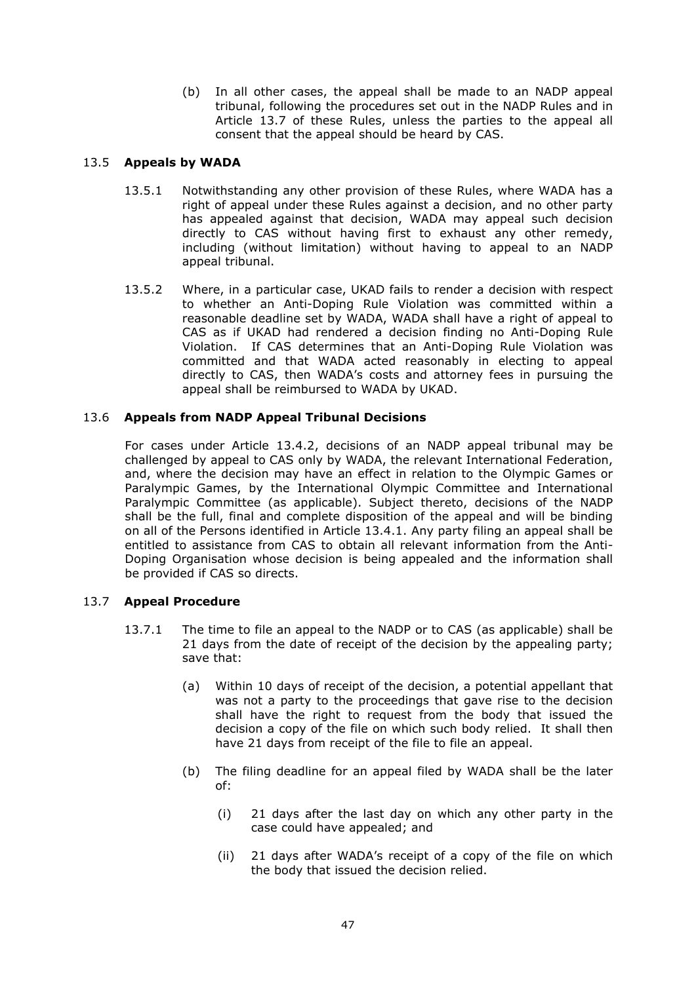(b) In all other cases, the appeal shall be made to an NADP appeal tribunal, following the procedures set out in the NADP Rules and in Article 13.7 of these Rules, unless the parties to the appeal all consent that the appeal should be heard by CAS.

# 13.5 **Appeals by WADA**

- 13.5.1 Notwithstanding any other provision of these Rules, where WADA has a right of appeal under these Rules against a decision, and no other party has appealed against that decision, WADA may appeal such decision directly to CAS without having first to exhaust any other remedy, including (without limitation) without having to appeal to an NADP appeal tribunal.
- 13.5.2 Where, in a particular case, UKAD fails to render a decision with respect to whether an Anti-Doping Rule Violation was committed within a reasonable deadline set by WADA, WADA shall have a right of appeal to CAS as if UKAD had rendered a decision finding no Anti-Doping Rule Violation. If CAS determines that an Anti-Doping Rule Violation was committed and that WADA acted reasonably in electing to appeal directly to CAS, then WADA's costs and attorney fees in pursuing the appeal shall be reimbursed to WADA by UKAD.

# 13.6 **Appeals from NADP Appeal Tribunal Decisions**

For cases under Article 13.4.2, decisions of an NADP appeal tribunal may be challenged by appeal to CAS only by WADA, the relevant International Federation, and, where the decision may have an effect in relation to the Olympic Games or Paralympic Games, by the International Olympic Committee and International Paralympic Committee (as applicable). Subject thereto, decisions of the NADP shall be the full, final and complete disposition of the appeal and will be binding on all of the Persons identified in Article 13.4.1. Any party filing an appeal shall be entitled to assistance from CAS to obtain all relevant information from the Anti-Doping Organisation whose decision is being appealed and the information shall be provided if CAS so directs.

# 13.7 **Appeal Procedure**

- 13.7.1 The time to file an appeal to the NADP or to CAS (as applicable) shall be 21 days from the date of receipt of the decision by the appealing party; save that:
	- (a) Within 10 days of receipt of the decision, a potential appellant that was not a party to the proceedings that gave rise to the decision shall have the right to request from the body that issued the decision a copy of the file on which such body relied. It shall then have 21 days from receipt of the file to file an appeal.
	- (b) The filing deadline for an appeal filed by WADA shall be the later of:
		- (i) 21 days after the last day on which any other party in the case could have appealed; and
		- (ii) 21 days after WADA's receipt of a copy of the file on which the body that issued the decision relied.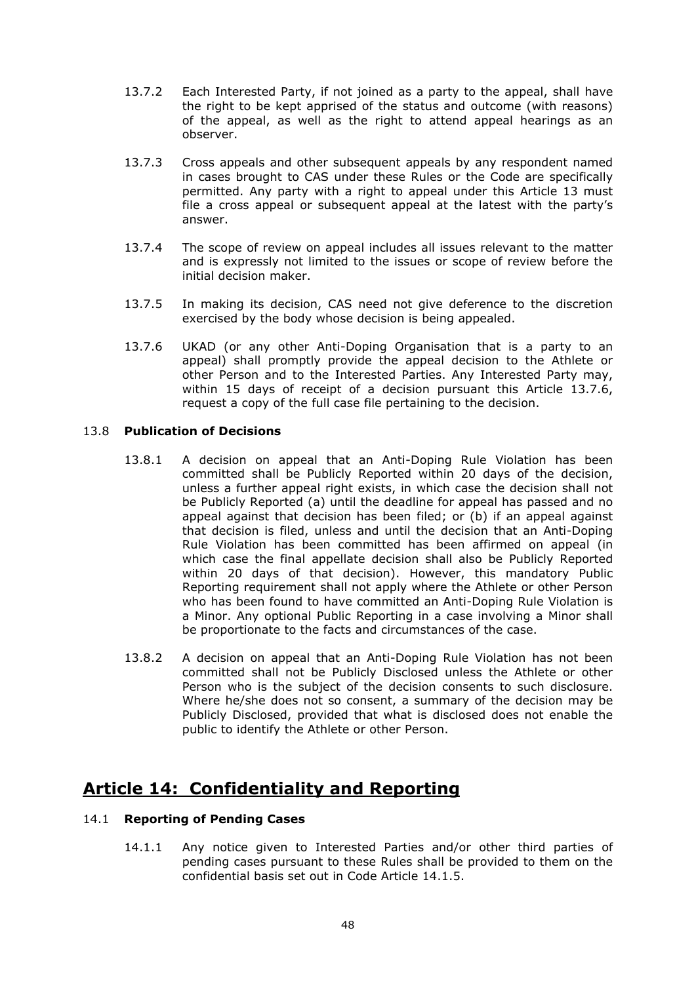- 13.7.2 Each Interested Party, if not joined as a party to the appeal, shall have the right to be kept apprised of the status and outcome (with reasons) of the appeal, as well as the right to attend appeal hearings as an observer.
- 13.7.3 Cross appeals and other subsequent appeals by any respondent named in cases brought to CAS under these Rules or the Code are specifically permitted. Any party with a right to appeal under this Article 13 must file a cross appeal or subsequent appeal at the latest with the party's answer.
- 13.7.4 The scope of review on appeal includes all issues relevant to the matter and is expressly not limited to the issues or scope of review before the initial decision maker.
- 13.7.5 In making its decision, CAS need not give deference to the discretion exercised by the body whose decision is being appealed.
- 13.7.6 UKAD (or any other Anti-Doping Organisation that is a party to an appeal) shall promptly provide the appeal decision to the Athlete or other Person and to the Interested Parties. Any Interested Party may, within 15 days of receipt of a decision pursuant this Article 13.7.6, request a copy of the full case file pertaining to the decision.

# 13.8 **Publication of Decisions**

- 13.8.1 A decision on appeal that an Anti-Doping Rule Violation has been committed shall be Publicly Reported within 20 days of the decision, unless a further appeal right exists, in which case the decision shall not be Publicly Reported (a) until the deadline for appeal has passed and no appeal against that decision has been filed; or (b) if an appeal against that decision is filed, unless and until the decision that an Anti-Doping Rule Violation has been committed has been affirmed on appeal (in which case the final appellate decision shall also be Publicly Reported within 20 days of that decision). However, this mandatory Public Reporting requirement shall not apply where the Athlete or other Person who has been found to have committed an Anti-Doping Rule Violation is a Minor. Any optional Public Reporting in a case involving a Minor shall be proportionate to the facts and circumstances of the case.
- 13.8.2 A decision on appeal that an Anti-Doping Rule Violation has not been committed shall not be Publicly Disclosed unless the Athlete or other Person who is the subject of the decision consents to such disclosure. Where he/she does not so consent, a summary of the decision may be Publicly Disclosed, provided that what is disclosed does not enable the public to identify the Athlete or other Person.

# **Article 14: Confidentiality and Reporting**

# 14.1 **Reporting of Pending Cases**

14.1.1 Any notice given to Interested Parties and/or other third parties of pending cases pursuant to these Rules shall be provided to them on the confidential basis set out in Code Article 14.1.5.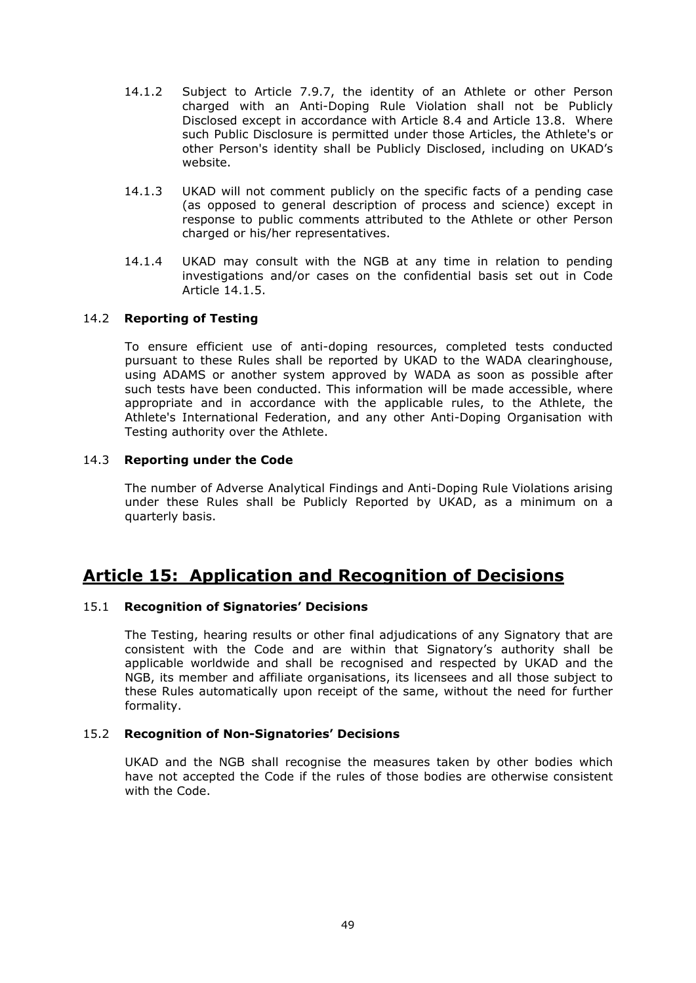- 14.1.2 Subject to Article 7.9.7, the identity of an Athlete or other Person charged with an Anti-Doping Rule Violation shall not be Publicly Disclosed except in accordance with Article 8.4 and Article 13.8. Where such Public Disclosure is permitted under those Articles, the Athlete's or other Person's identity shall be Publicly Disclosed, including on UKAD's website.
- 14.1.3 UKAD will not comment publicly on the specific facts of a pending case (as opposed to general description of process and science) except in response to public comments attributed to the Athlete or other Person charged or his/her representatives.
- 14.1.4 UKAD may consult with the NGB at any time in relation to pending investigations and/or cases on the confidential basis set out in Code Article 14.1.5.

# 14.2 **Reporting of Testing**

To ensure efficient use of anti-doping resources, completed tests conducted pursuant to these Rules shall be reported by UKAD to the WADA clearinghouse, using ADAMS or another system approved by WADA as soon as possible after such tests have been conducted. This information will be made accessible, where appropriate and in accordance with the applicable rules, to the Athlete, the Athlete's International Federation, and any other Anti-Doping Organisation with Testing authority over the Athlete.

# 14.3 **Reporting under the Code**

The number of Adverse Analytical Findings and Anti-Doping Rule Violations arising under these Rules shall be Publicly Reported by UKAD, as a minimum on a quarterly basis.

# **Article 15: Application and Recognition of Decisions**

### 15.1 **Recognition of Signatories' Decisions**

The Testing, hearing results or other final adjudications of any Signatory that are consistent with the Code and are within that Signatory's authority shall be applicable worldwide and shall be recognised and respected by UKAD and the NGB, its member and affiliate organisations, its licensees and all those subject to these Rules automatically upon receipt of the same, without the need for further formality.

### 15.2 **Recognition of Non-Signatories' Decisions**

UKAD and the NGB shall recognise the measures taken by other bodies which have not accepted the Code if the rules of those bodies are otherwise consistent with the Code.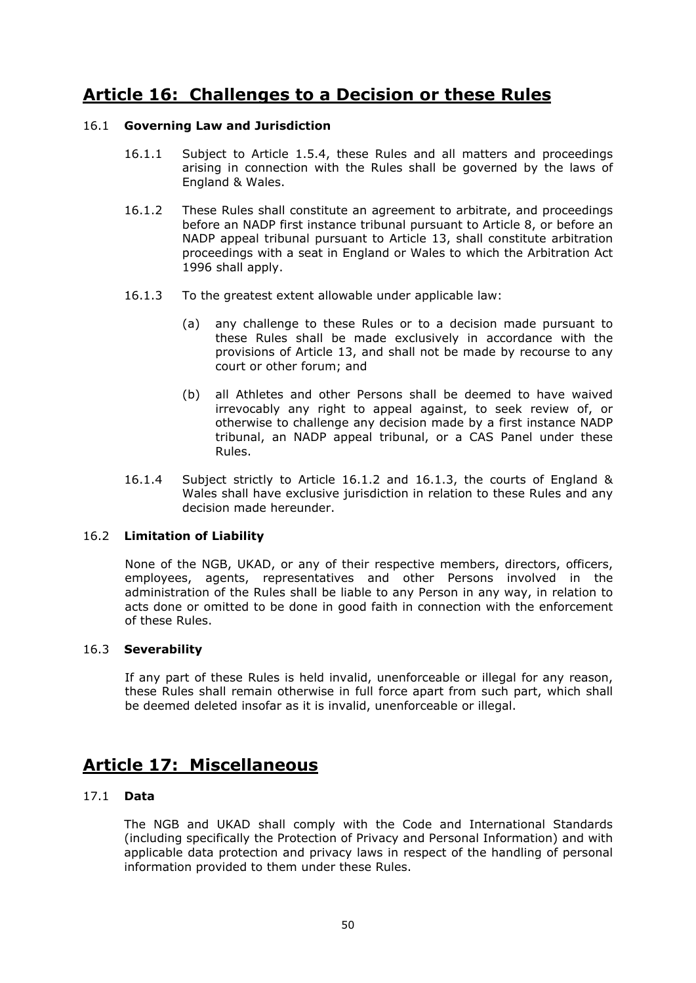# **Article 16: Challenges to a Decision or these Rules**

# 16.1 **Governing Law and Jurisdiction**

- 16.1.1 Subject to Article 1.5.4, these Rules and all matters and proceedings arising in connection with the Rules shall be governed by the laws of England & Wales.
- 16.1.2 These Rules shall constitute an agreement to arbitrate, and proceedings before an NADP first instance tribunal pursuant to Article 8, or before an NADP appeal tribunal pursuant to Article 13, shall constitute arbitration proceedings with a seat in England or Wales to which the Arbitration Act 1996 shall apply.
- 16.1.3 To the greatest extent allowable under applicable law:
	- (a) any challenge to these Rules or to a decision made pursuant to these Rules shall be made exclusively in accordance with the provisions of Article 13, and shall not be made by recourse to any court or other forum; and
	- (b) all Athletes and other Persons shall be deemed to have waived irrevocably any right to appeal against, to seek review of, or otherwise to challenge any decision made by a first instance NADP tribunal, an NADP appeal tribunal, or a CAS Panel under these Rules.
- 16.1.4 Subject strictly to Article 16.1.2 and 16.1.3, the courts of England & Wales shall have exclusive jurisdiction in relation to these Rules and any decision made hereunder.

### 16.2 **Limitation of Liability**

None of the NGB, UKAD, or any of their respective members, directors, officers, employees, agents, representatives and other Persons involved in the administration of the Rules shall be liable to any Person in any way, in relation to acts done or omitted to be done in good faith in connection with the enforcement of these Rules.

# 16.3 **Severability**

If any part of these Rules is held invalid, unenforceable or illegal for any reason, these Rules shall remain otherwise in full force apart from such part, which shall be deemed deleted insofar as it is invalid, unenforceable or illegal.

# **Article 17: Miscellaneous**

### 17.1 **Data**

The NGB and UKAD shall comply with the Code and International Standards (including specifically the Protection of Privacy and Personal Information) and with applicable data protection and privacy laws in respect of the handling of personal information provided to them under these Rules.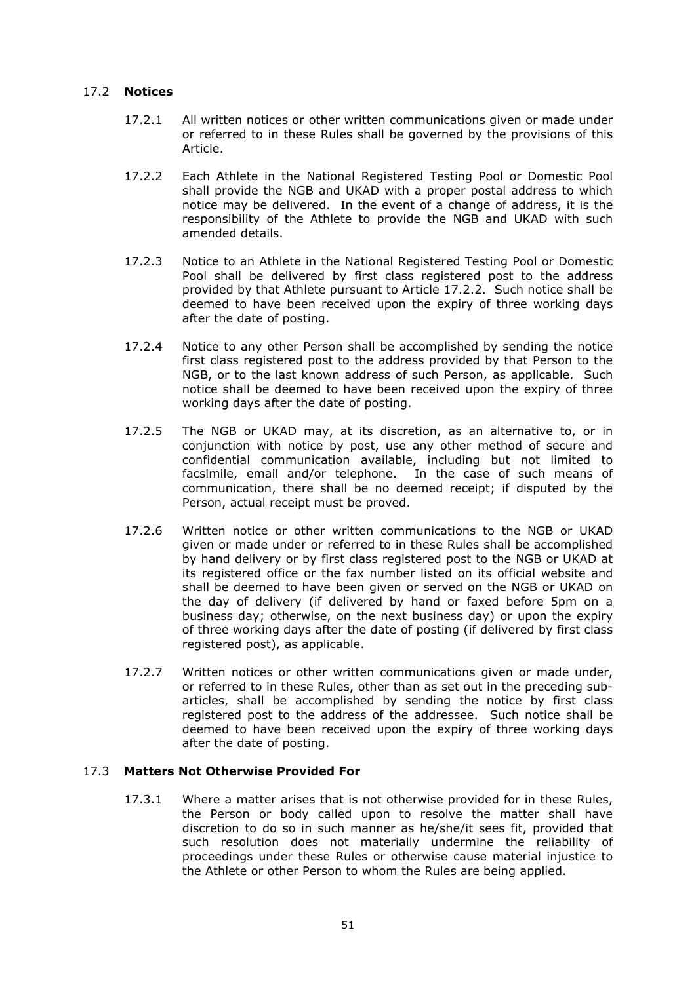# 17.2 **Notices**

- 17.2.1 All written notices or other written communications given or made under or referred to in these Rules shall be governed by the provisions of this Article.
- 17.2.2 Each Athlete in the National Registered Testing Pool or Domestic Pool shall provide the NGB and UKAD with a proper postal address to which notice may be delivered. In the event of a change of address, it is the responsibility of the Athlete to provide the NGB and UKAD with such amended details.
- 17.2.3 Notice to an Athlete in the National Registered Testing Pool or Domestic Pool shall be delivered by first class registered post to the address provided by that Athlete pursuant to Article 17.2.2. Such notice shall be deemed to have been received upon the expiry of three working days after the date of posting.
- 17.2.4 Notice to any other Person shall be accomplished by sending the notice first class registered post to the address provided by that Person to the NGB, or to the last known address of such Person, as applicable. Such notice shall be deemed to have been received upon the expiry of three working days after the date of posting.
- 17.2.5 The NGB or UKAD may, at its discretion, as an alternative to, or in conjunction with notice by post, use any other method of secure and confidential communication available, including but not limited to facsimile, email and/or telephone. In the case of such means of communication, there shall be no deemed receipt; if disputed by the Person, actual receipt must be proved.
- 17.2.6 Written notice or other written communications to the NGB or UKAD given or made under or referred to in these Rules shall be accomplished by hand delivery or by first class registered post to the NGB or UKAD at its registered office or the fax number listed on its official website and shall be deemed to have been given or served on the NGB or UKAD on the day of delivery (if delivered by hand or faxed before 5pm on a business day; otherwise, on the next business day) or upon the expiry of three working days after the date of posting (if delivered by first class registered post), as applicable.
- 17.2.7 Written notices or other written communications given or made under, or referred to in these Rules, other than as set out in the preceding subarticles, shall be accomplished by sending the notice by first class registered post to the address of the addressee. Such notice shall be deemed to have been received upon the expiry of three working days after the date of posting.

# 17.3 **Matters Not Otherwise Provided For**

17.3.1 Where a matter arises that is not otherwise provided for in these Rules, the Person or body called upon to resolve the matter shall have discretion to do so in such manner as he/she/it sees fit, provided that such resolution does not materially undermine the reliability of proceedings under these Rules or otherwise cause material injustice to the Athlete or other Person to whom the Rules are being applied.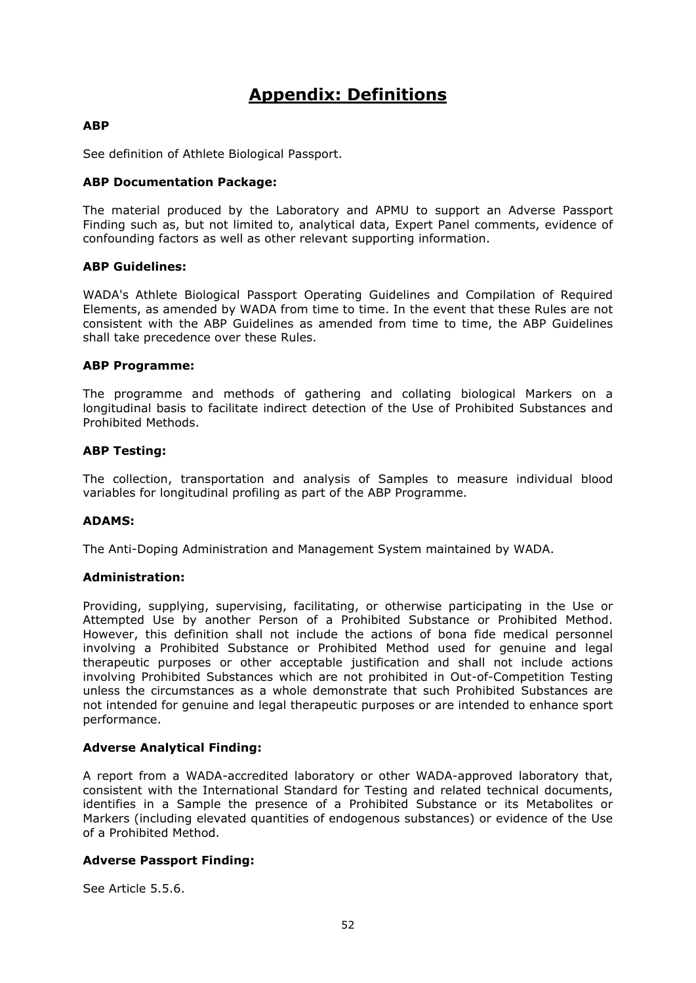# **Appendix: Definitions**

# **ABP**

See definition of Athlete Biological Passport.

# **ABP Documentation Package:**

The material produced by the Laboratory and APMU to support an Adverse Passport Finding such as, but not limited to, analytical data, Expert Panel comments, evidence of confounding factors as well as other relevant supporting information.

# **ABP Guidelines:**

WADA's Athlete Biological Passport Operating Guidelines and Compilation of Required Elements, as amended by WADA from time to time. In the event that these Rules are not consistent with the ABP Guidelines as amended from time to time, the ABP Guidelines shall take precedence over these Rules.

### **ABP Programme:**

The programme and methods of gathering and collating biological Markers on a longitudinal basis to facilitate indirect detection of the Use of Prohibited Substances and Prohibited Methods.

# **ABP Testing:**

The collection, transportation and analysis of Samples to measure individual blood variables for longitudinal profiling as part of the ABP Programme.

### **ADAMS:**

The Anti-Doping Administration and Management System maintained by WADA.

### **Administration:**

Providing, supplying, supervising, facilitating, or otherwise participating in the Use or Attempted Use by another Person of a Prohibited Substance or Prohibited Method. However, this definition shall not include the actions of bona fide medical personnel involving a Prohibited Substance or Prohibited Method used for genuine and legal therapeutic purposes or other acceptable justification and shall not include actions involving Prohibited Substances which are not prohibited in Out-of-Competition Testing unless the circumstances as a whole demonstrate that such Prohibited Substances are not intended for genuine and legal therapeutic purposes or are intended to enhance sport performance.

### **Adverse Analytical Finding:**

A report from a WADA-accredited laboratory or other WADA-approved laboratory that, consistent with the International Standard for Testing and related technical documents, identifies in a Sample the presence of a Prohibited Substance or its Metabolites or Markers (including elevated quantities of endogenous substances) or evidence of the Use of a Prohibited Method.

# **Adverse Passport Finding:**

See Article 5.5.6.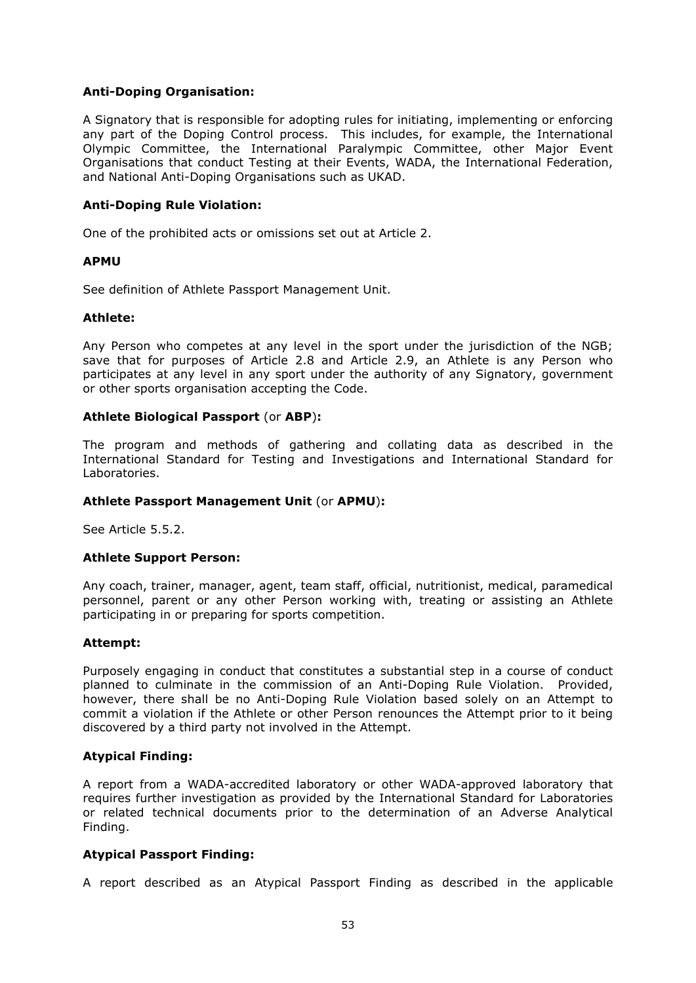# **Anti-Doping Organisation:**

A Signatory that is responsible for adopting rules for initiating, implementing or enforcing any part of the Doping Control process. This includes, for example, the International Olympic Committee, the International Paralympic Committee, other Major Event Organisations that conduct Testing at their Events, WADA, the International Federation, and National Anti-Doping Organisations such as UKAD.

# **Anti-Doping Rule Violation:**

One of the prohibited acts or omissions set out at Article 2.

### **APMU**

See definition of Athlete Passport Management Unit.

#### **Athlete:**

Any Person who competes at any level in the sport under the jurisdiction of the NGB; save that for purposes of Article 2.8 and Article 2.9, an Athlete is any Person who participates at any level in any sport under the authority of any Signatory, government or other sports organisation accepting the Code.

### **Athlete Biological Passport** (or **ABP**)**:**

The program and methods of gathering and collating data as described in the International Standard for Testing and Investigations and International Standard for Laboratories.

### **Athlete Passport Management Unit** (or **APMU**)**:**

See Article 5.5.2.

### **Athlete Support Person:**

Any coach, trainer, manager, agent, team staff, official, nutritionist, medical, paramedical personnel, parent or any other Person working with, treating or assisting an Athlete participating in or preparing for sports competition.

### **Attempt:**

Purposely engaging in conduct that constitutes a substantial step in a course of conduct planned to culminate in the commission of an Anti-Doping Rule Violation. Provided, however, there shall be no Anti-Doping Rule Violation based solely on an Attempt to commit a violation if the Athlete or other Person renounces the Attempt prior to it being discovered by a third party not involved in the Attempt.

### **Atypical Finding:**

A report from a WADA-accredited laboratory or other WADA-approved laboratory that requires further investigation as provided by the International Standard for Laboratories or related technical documents prior to the determination of an Adverse Analytical Finding.

### **Atypical Passport Finding:**

A report described as an Atypical Passport Finding as described in the applicable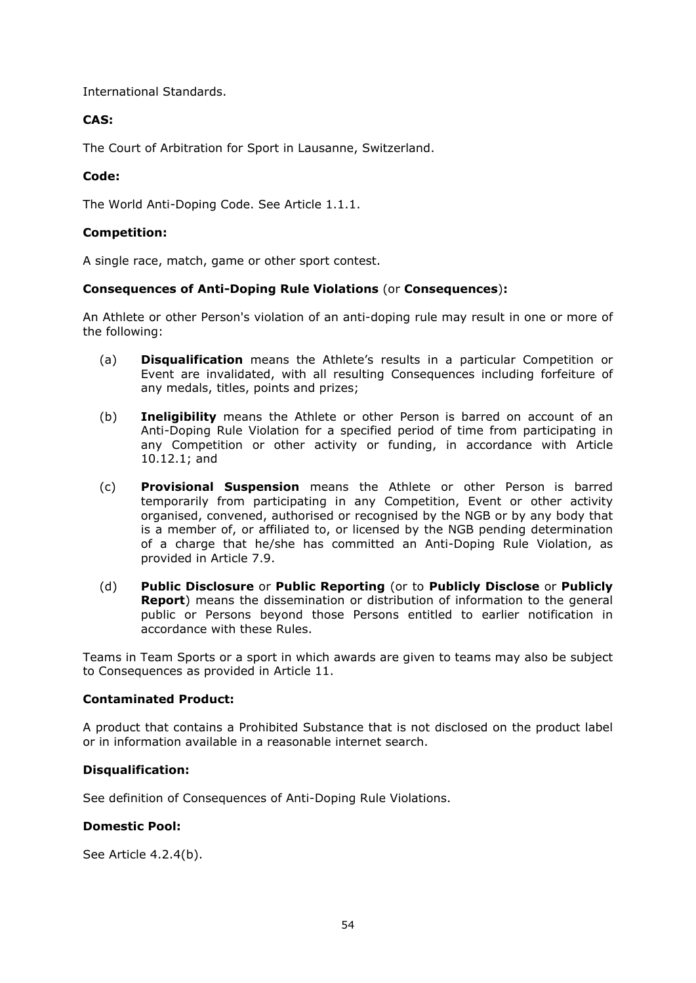International Standards.

# **CAS:**

The Court of Arbitration for Sport in Lausanne, Switzerland.

# **Code:**

The World Anti-Doping Code. See Article 1.1.1.

# **Competition:**

A single race, match, game or other sport contest.

### **Consequences of Anti-Doping Rule Violations** (or **Consequences**)**:**

An Athlete or other Person's violation of an anti-doping rule may result in one or more of the following:

- (a) **Disqualification** means the Athlete's results in a particular Competition or Event are invalidated, with all resulting Consequences including forfeiture of any medals, titles, points and prizes;
- (b) **Ineligibility** means the Athlete or other Person is barred on account of an Anti-Doping Rule Violation for a specified period of time from participating in any Competition or other activity or funding, in accordance with Article 10.12.1; and
- (c) **Provisional Suspension** means the Athlete or other Person is barred temporarily from participating in any Competition, Event or other activity organised, convened, authorised or recognised by the NGB or by any body that is a member of, or affiliated to, or licensed by the NGB pending determination of a charge that he/she has committed an Anti-Doping Rule Violation, as provided in Article 7.9.
- (d) **Public Disclosure** or **Public Reporting** (or to **Publicly Disclose** or **Publicly Report**) means the dissemination or distribution of information to the general public or Persons beyond those Persons entitled to earlier notification in accordance with these Rules.

Teams in Team Sports or a sport in which awards are given to teams may also be subject to Consequences as provided in Article 11.

### **Contaminated Product:**

A product that contains a Prohibited Substance that is not disclosed on the product label or in information available in a reasonable internet search.

### **Disqualification:**

See definition of Consequences of Anti-Doping Rule Violations.

### **Domestic Pool:**

See Article 4.2.4(b).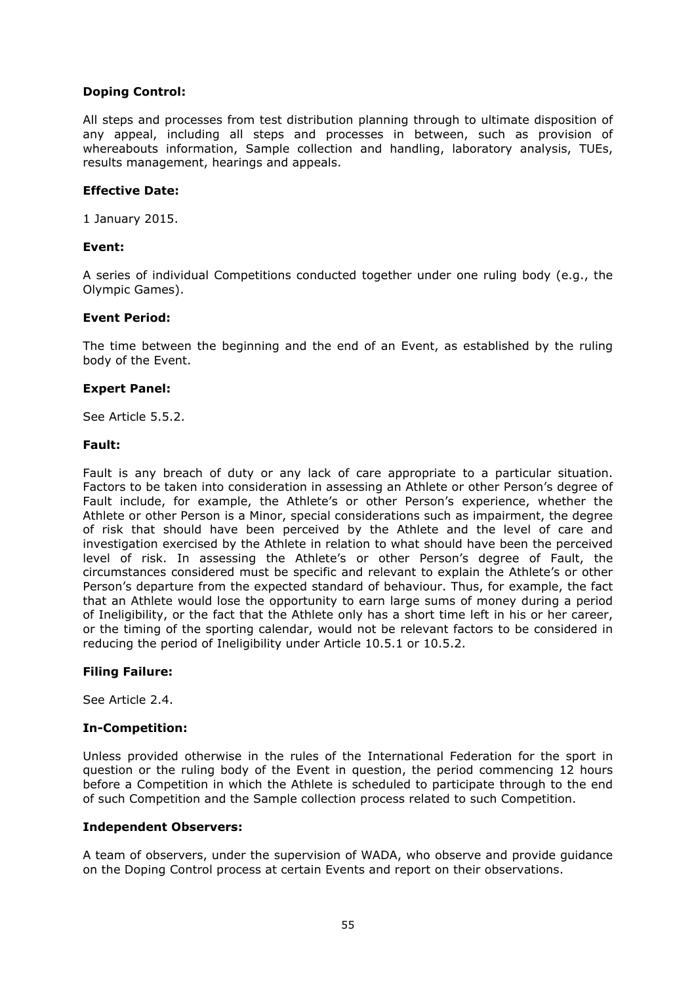# **Doping Control:**

All steps and processes from test distribution planning through to ultimate disposition of any appeal, including all steps and processes in between, such as provision of whereabouts information, Sample collection and handling, laboratory analysis, TUEs, results management, hearings and appeals.

# **Effective Date:**

1 January 2015.

# **Event:**

A series of individual Competitions conducted together under one ruling body (e.g., the Olympic Games).

# **Event Period:**

The time between the beginning and the end of an Event, as established by the ruling body of the Event.

# **Expert Panel:**

See Article 5.5.2.

### **Fault:**

Fault is any breach of duty or any lack of care appropriate to a particular situation. Factors to be taken into consideration in assessing an Athlete or other Person's degree of Fault include, for example, the Athlete's or other Person's experience, whether the Athlete or other Person is a Minor, special considerations such as impairment, the degree of risk that should have been perceived by the Athlete and the level of care and investigation exercised by the Athlete in relation to what should have been the perceived level of risk. In assessing the Athlete's or other Person's degree of Fault, the circumstances considered must be specific and relevant to explain the Athlete's or other Person's departure from the expected standard of behaviour. Thus, for example, the fact that an Athlete would lose the opportunity to earn large sums of money during a period of Ineligibility, or the fact that the Athlete only has a short time left in his or her career, or the timing of the sporting calendar, would not be relevant factors to be considered in reducing the period of Ineligibility under Article 10.5.1 or 10.5.2.

# **Filing Failure:**

See Article 2.4.

# **In-Competition:**

Unless provided otherwise in the rules of the International Federation for the sport in question or the ruling body of the Event in question, the period commencing 12 hours before a Competition in which the Athlete is scheduled to participate through to the end of such Competition and the Sample collection process related to such Competition.

### **Independent Observers:**

A team of observers, under the supervision of WADA, who observe and provide guidance on the Doping Control process at certain Events and report on their observations.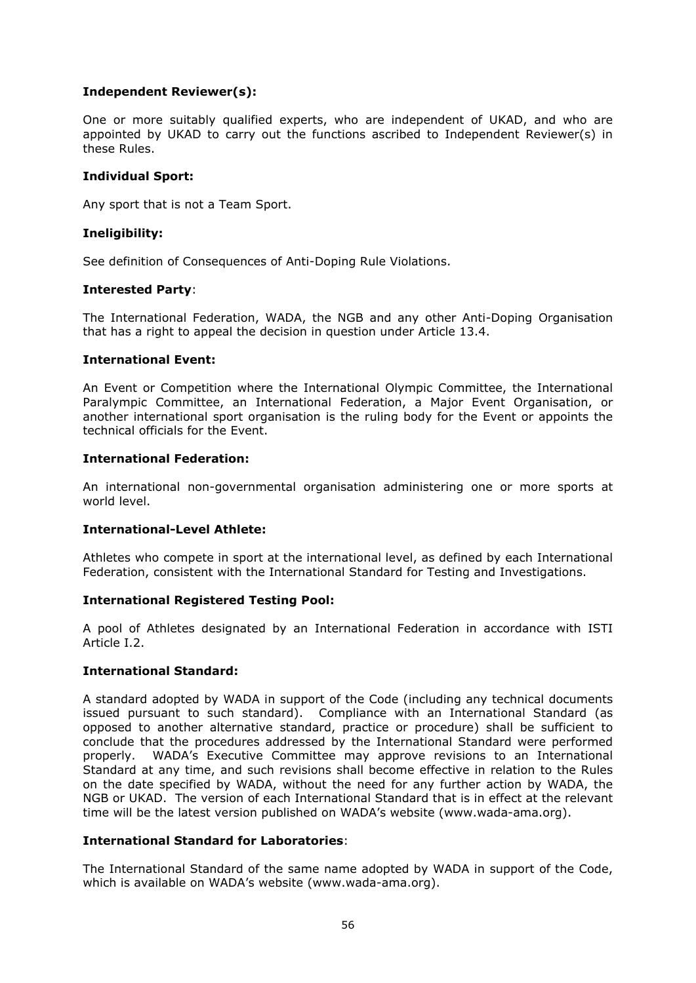# **Independent Reviewer(s):**

One or more suitably qualified experts, who are independent of UKAD, and who are appointed by UKAD to carry out the functions ascribed to Independent Reviewer(s) in these Rules.

# **Individual Sport:**

Any sport that is not a Team Sport.

# **Ineligibility:**

See definition of Consequences of Anti-Doping Rule Violations.

### **Interested Party**:

The International Federation, WADA, the NGB and any other Anti-Doping Organisation that has a right to appeal the decision in question under Article 13.4.

### **International Event:**

An Event or Competition where the International Olympic Committee, the International Paralympic Committee, an International Federation, a Major Event Organisation, or another international sport organisation is the ruling body for the Event or appoints the technical officials for the Event.

# **International Federation:**

An international non-governmental organisation administering one or more sports at world level.

# **International-Level Athlete:**

Athletes who compete in sport at the international level, as defined by each International Federation, consistent with the International Standard for Testing and Investigations.

### **International Registered Testing Pool:**

A pool of Athletes designated by an International Federation in accordance with ISTI Article I.2.

# **International Standard:**

A standard adopted by WADA in support of the Code (including any technical documents issued pursuant to such standard). Compliance with an International Standard (as opposed to another alternative standard, practice or procedure) shall be sufficient to conclude that the procedures addressed by the International Standard were performed properly. WADA's Executive Committee may approve revisions to an International Standard at any time, and such revisions shall become effective in relation to the Rules on the date specified by WADA, without the need for any further action by WADA, the NGB or UKAD. The version of each International Standard that is in effect at the relevant time will be the latest version published on WADA's website (www.wada-ama.org).

### **International Standard for Laboratories**:

The International Standard of the same name adopted by WADA in support of the Code, which is available on WADA's website (www.wada-ama.org).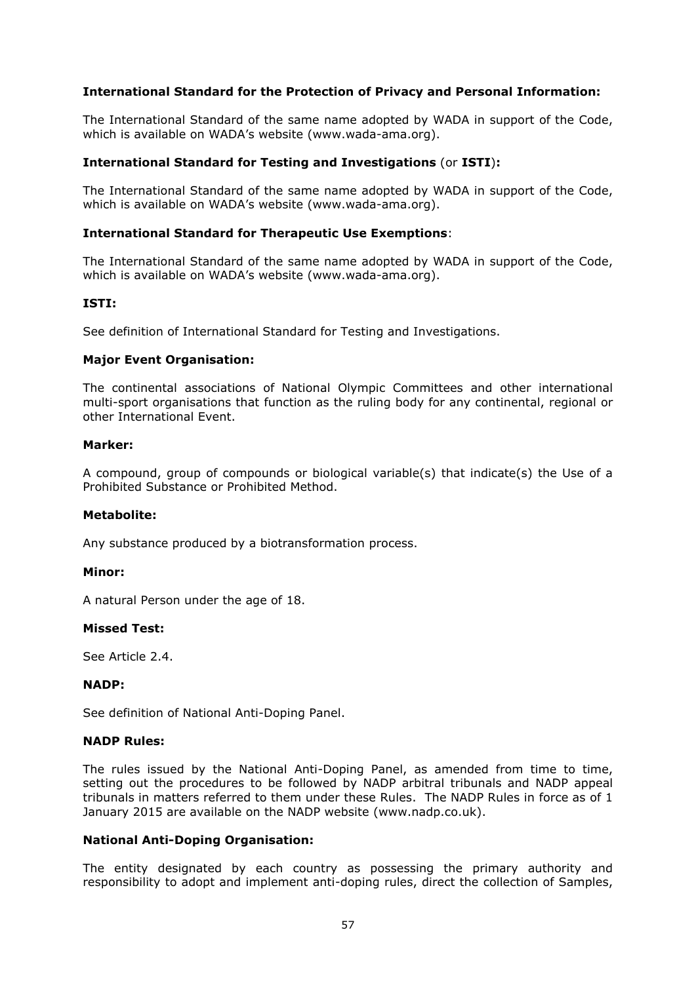# **International Standard for the Protection of Privacy and Personal Information:**

The International Standard of the same name adopted by WADA in support of the Code, which is available on WADA's website (www.wada-ama.org).

### **International Standard for Testing and Investigations** (or **ISTI**)**:**

The International Standard of the same name adopted by WADA in support of the Code, which is available on WADA's website (www.wada-ama.org).

#### **International Standard for Therapeutic Use Exemptions**:

The International Standard of the same name adopted by WADA in support of the Code, which is available on WADA's website (www.wada-ama.org).

#### **ISTI:**

See definition of International Standard for Testing and Investigations.

#### **Major Event Organisation:**

The continental associations of National Olympic Committees and other international multi-sport organisations that function as the ruling body for any continental, regional or other International Event.

#### **Marker:**

A compound, group of compounds or biological variable(s) that indicate(s) the Use of a Prohibited Substance or Prohibited Method.

#### **Metabolite:**

Any substance produced by a biotransformation process.

#### **Minor:**

A natural Person under the age of 18.

### **Missed Test:**

See Article 2.4.

#### **NADP:**

See definition of National Anti-Doping Panel.

#### **NADP Rules:**

The rules issued by the National Anti-Doping Panel, as amended from time to time, setting out the procedures to be followed by NADP arbitral tribunals and NADP appeal tribunals in matters referred to them under these Rules. The NADP Rules in force as of 1 January 2015 are available on the NADP website (www.nadp.co.uk).

### **National Anti-Doping Organisation:**

The entity designated by each country as possessing the primary authority and responsibility to adopt and implement anti-doping rules, direct the collection of Samples,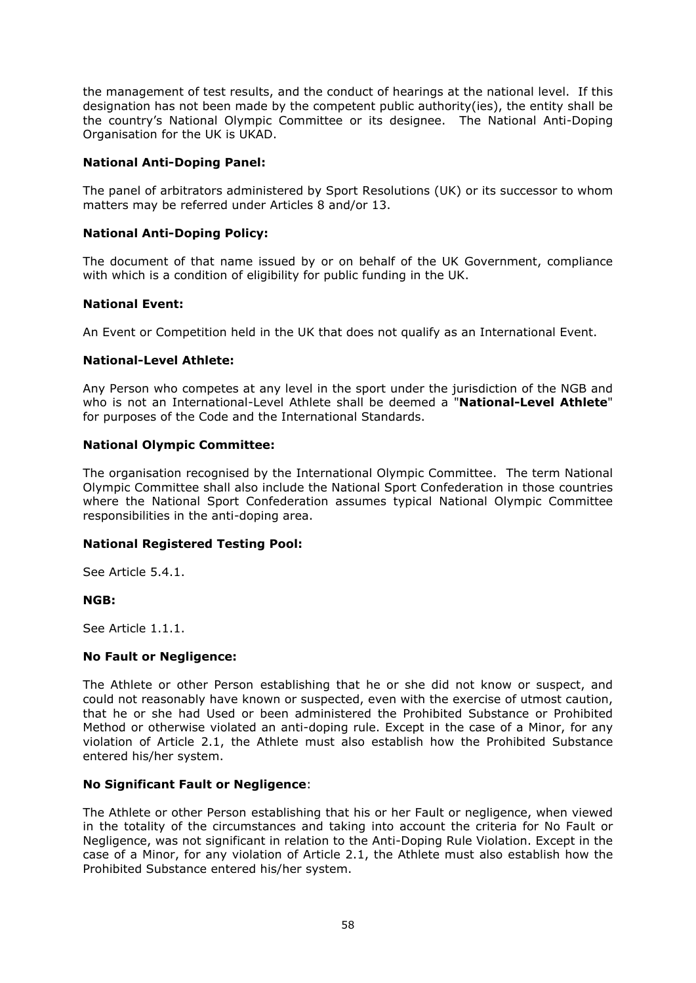the management of test results, and the conduct of hearings at the national level. If this designation has not been made by the competent public authority(ies), the entity shall be the country's National Olympic Committee or its designee. The National Anti-Doping Organisation for the UK is UKAD.

# **National Anti-Doping Panel:**

The panel of arbitrators administered by Sport Resolutions (UK) or its successor to whom matters may be referred under Articles 8 and/or 13.

# **National Anti-Doping Policy:**

The document of that name issued by or on behalf of the UK Government, compliance with which is a condition of eligibility for public funding in the UK.

# **National Event:**

An Event or Competition held in the UK that does not qualify as an International Event.

# **National-Level Athlete:**

Any Person who competes at any level in the sport under the jurisdiction of the NGB and who is not an International-Level Athlete shall be deemed a "**National-Level Athlete**" for purposes of the Code and the International Standards.

# **National Olympic Committee:**

The organisation recognised by the International Olympic Committee. The term National Olympic Committee shall also include the National Sport Confederation in those countries where the National Sport Confederation assumes typical National Olympic Committee responsibilities in the anti-doping area.

### **National Registered Testing Pool:**

See Article 5.4.1

### **NGB:**

See Article 1.1.1.

### **No Fault or Negligence:**

The Athlete or other Person establishing that he or she did not know or suspect, and could not reasonably have known or suspected, even with the exercise of utmost caution, that he or she had Used or been administered the Prohibited Substance or Prohibited Method or otherwise violated an anti-doping rule. Except in the case of a Minor, for any violation of Article 2.1, the Athlete must also establish how the Prohibited Substance entered his/her system.

### **No Significant Fault or Negligence**:

The Athlete or other Person establishing that his or her Fault or negligence, when viewed in the totality of the circumstances and taking into account the criteria for No Fault or Negligence, was not significant in relation to the Anti-Doping Rule Violation. Except in the case of a Minor, for any violation of Article 2.1, the Athlete must also establish how the Prohibited Substance entered his/her system.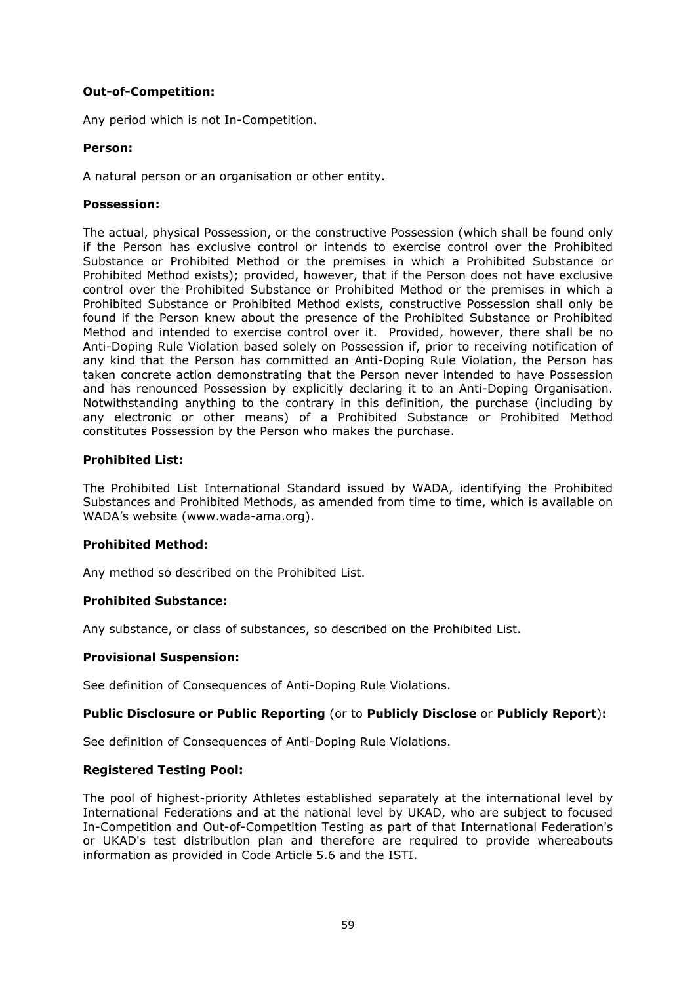# **Out-of-Competition:**

Any period which is not In-Competition.

### **Person:**

A natural person or an organisation or other entity.

# **Possession:**

The actual, physical Possession, or the constructive Possession (which shall be found only if the Person has exclusive control or intends to exercise control over the Prohibited Substance or Prohibited Method or the premises in which a Prohibited Substance or Prohibited Method exists); provided, however, that if the Person does not have exclusive control over the Prohibited Substance or Prohibited Method or the premises in which a Prohibited Substance or Prohibited Method exists, constructive Possession shall only be found if the Person knew about the presence of the Prohibited Substance or Prohibited Method and intended to exercise control over it. Provided, however, there shall be no Anti-Doping Rule Violation based solely on Possession if, prior to receiving notification of any kind that the Person has committed an Anti-Doping Rule Violation, the Person has taken concrete action demonstrating that the Person never intended to have Possession and has renounced Possession by explicitly declaring it to an Anti-Doping Organisation. Notwithstanding anything to the contrary in this definition, the purchase (including by any electronic or other means) of a Prohibited Substance or Prohibited Method constitutes Possession by the Person who makes the purchase.

# **Prohibited List:**

The Prohibited List International Standard issued by WADA, identifying the Prohibited Substances and Prohibited Methods, as amended from time to time, which is available on WADA's website (www.wada-ama.org).

### **Prohibited Method:**

Any method so described on the Prohibited List.

# **Prohibited Substance:**

Any substance, or class of substances, so described on the Prohibited List.

### **Provisional Suspension:**

See definition of Consequences of Anti-Doping Rule Violations.

# **Public Disclosure or Public Reporting** (or to **Publicly Disclose** or **Publicly Report**)**:**

See definition of Consequences of Anti-Doping Rule Violations.

### **Registered Testing Pool:**

The pool of highest-priority Athletes established separately at the international level by International Federations and at the national level by UKAD, who are subject to focused In-Competition and Out-of-Competition Testing as part of that International Federation's or UKAD's test distribution plan and therefore are required to provide whereabouts information as provided in Code Article 5.6 and the ISTI.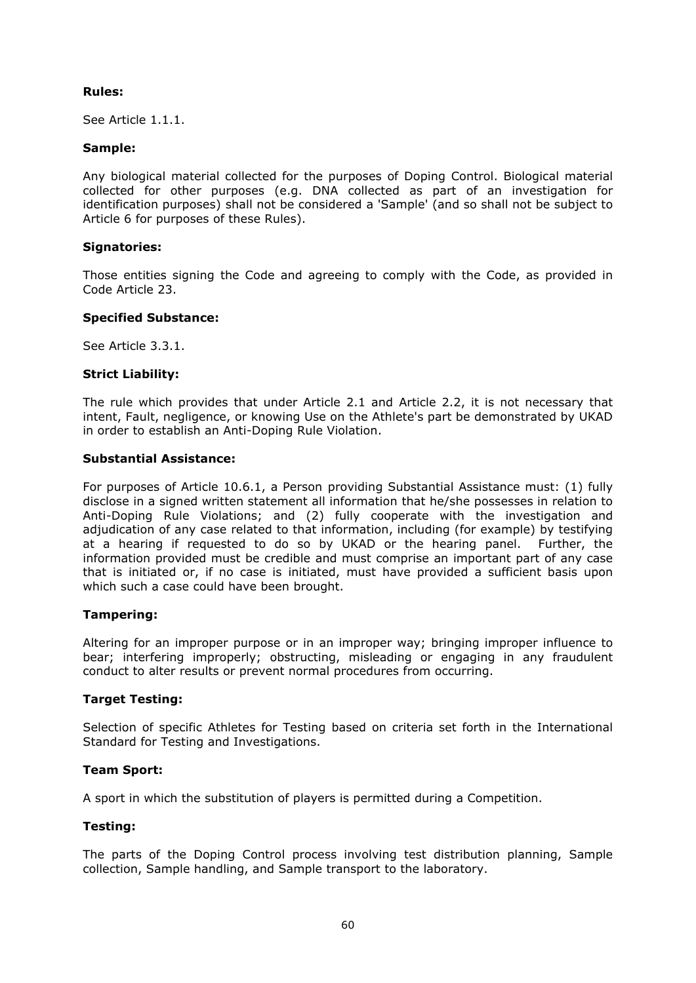# **Rules:**

See Article 1.1.1.

# **Sample:**

Any biological material collected for the purposes of Doping Control. Biological material collected for other purposes (e.g. DNA collected as part of an investigation for identification purposes) shall not be considered a 'Sample' (and so shall not be subject to Article 6 for purposes of these Rules).

# **Signatories:**

Those entities signing the Code and agreeing to comply with the Code, as provided in Code Article 23.

# **Specified Substance:**

See Article 3.3.1.

# **Strict Liability:**

The rule which provides that under Article 2.1 and Article 2.2, it is not necessary that intent, Fault, negligence, or knowing Use on the Athlete's part be demonstrated by UKAD in order to establish an Anti-Doping Rule Violation.

# **Substantial Assistance:**

For purposes of Article 10.6.1, a Person providing Substantial Assistance must: (1) fully disclose in a signed written statement all information that he/she possesses in relation to Anti-Doping Rule Violations; and (2) fully cooperate with the investigation and adjudication of any case related to that information, including (for example) by testifying at a hearing if requested to do so by UKAD or the hearing panel. Further, the information provided must be credible and must comprise an important part of any case that is initiated or, if no case is initiated, must have provided a sufficient basis upon which such a case could have been brought.

### **Tampering:**

Altering for an improper purpose or in an improper way; bringing improper influence to bear; interfering improperly; obstructing, misleading or engaging in any fraudulent conduct to alter results or prevent normal procedures from occurring.

### **Target Testing:**

Selection of specific Athletes for Testing based on criteria set forth in the International Standard for Testing and Investigations.

### **Team Sport:**

A sport in which the substitution of players is permitted during a Competition.

### **Testing:**

The parts of the Doping Control process involving test distribution planning, Sample collection, Sample handling, and Sample transport to the laboratory.